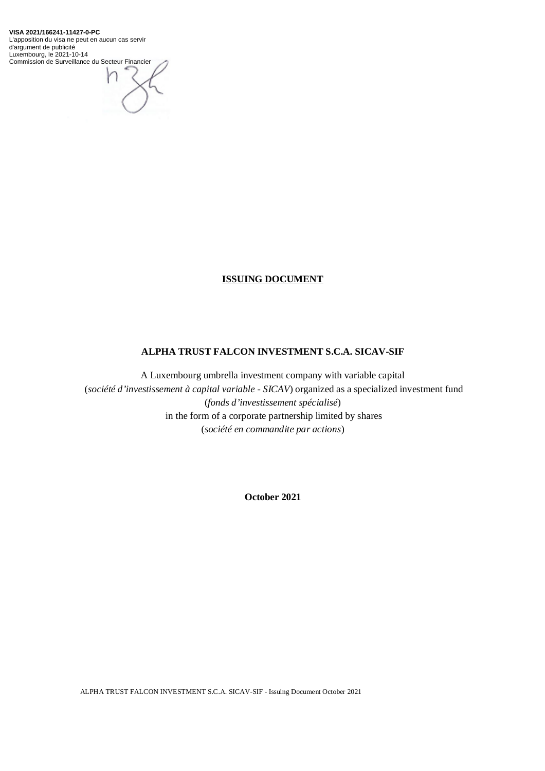**VISA 2021/166241-11427-0-PC** L'apposition du visa ne peut en aucun cas servir d'argument de publicité Luxembourg, le 2021-10-14 Commission de Surveillance du Secteur Financier



# **ISSUING DOCUMENT**

# **ALPHA TRUST FALCON INVESTMENT S.C.A. SICAV-SIF**

A Luxembourg umbrella investment company with variable capital (*société d'investissement à capital variable - SICAV*) organized as a specialized investment fund (*fonds d'investissement spécialisé*) in the form of a corporate partnership limited by shares (*société en commandite par actions*)

**October 2021**

ALPHA TRUST FALCON INVESTMENT S.C.A. SICAV-SIF - Issuing Document October 2021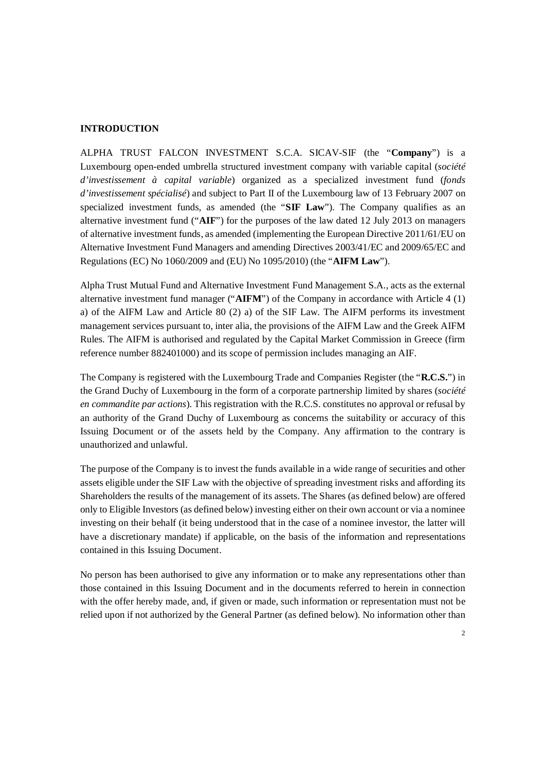#### **INTRODUCTION**

ALPHA TRUST FALCON INVESTMENT S.C.A. SICAV-SIF (the "**Company**") is a Luxembourg open-ended umbrella structured investment company with variable capital (*société d'investissement à capital variable*) organized as a specialized investment fund (*fonds d'investissement spécialisé*) and subject to Part II of the Luxembourg law of 13 February 2007 on specialized investment funds, as amended (the "**SIF Law**"). The Company qualifies as an alternative investment fund ("**AIF**") for the purposes of the law dated 12 July 2013 on managers of alternative investment funds, as amended (implementing the European Directive 2011/61/EU on Alternative Investment Fund Managers and amending Directives 2003/41/EC and 2009/65/EC and Regulations (EC) No 1060/2009 and (EU) No 1095/2010) (the "**AIFM Law**").

Alpha Trust Mutual Fund and Alternative Investment Fund Management S.A., acts as the external alternative investment fund manager ("**AIFM**") of the Company in accordance with Article 4 (1) a) of the AIFM Law and Article 80 (2) a) of the SIF Law. The AIFM performs its investment management services pursuant to, inter alia, the provisions of the AIFM Law and the Greek AIFM Rules. The AIFM is authorised and regulated by the Capital Market Commission in Greece (firm reference number 882401000) and its scope of permission includes managing an AIF.

The Company is registered with the Luxembourg Trade and Companies Register (the "**R.C.S.**") in the Grand Duchy of Luxembourg in the form of a corporate partnership limited by shares (*société en commandite par actions*). This registration with the R.C.S. constitutes no approval or refusal by an authority of the Grand Duchy of Luxembourg as concerns the suitability or accuracy of this Issuing Document or of the assets held by the Company. Any affirmation to the contrary is unauthorized and unlawful.

The purpose of the Company is to invest the funds available in a wide range of securities and other assets eligible under the SIF Law with the objective of spreading investment risks and affording its Shareholders the results of the management of its assets. The Shares (as defined below) are offered only to Eligible Investors (as defined below) investing either on their own account or via a nominee investing on their behalf (it being understood that in the case of a nominee investor, the latter will have a discretionary mandate) if applicable, on the basis of the information and representations contained in this Issuing Document.

No person has been authorised to give any information or to make any representations other than those contained in this Issuing Document and in the documents referred to herein in connection with the offer hereby made, and, if given or made, such information or representation must not be relied upon if not authorized by the General Partner (as defined below). No information other than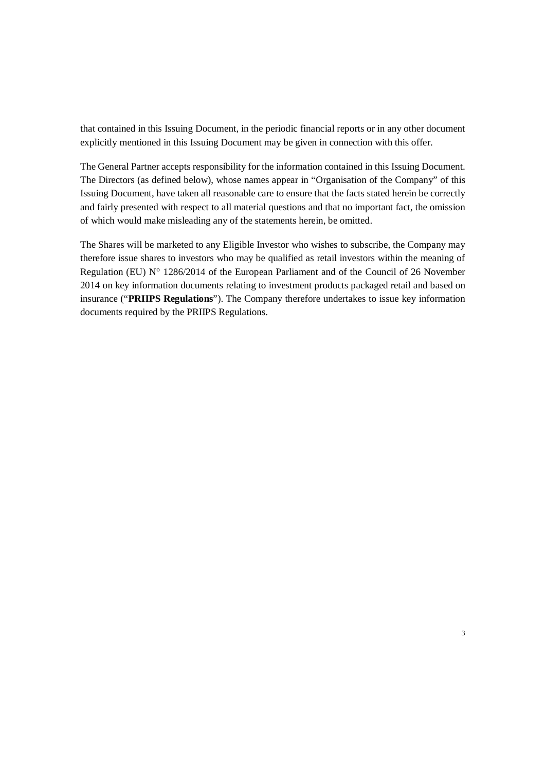that contained in this Issuing Document, in the periodic financial reports or in any other document explicitly mentioned in this Issuing Document may be given in connection with this offer.

The General Partner accepts responsibility for the information contained in this Issuing Document. The Directors (as defined below), whose names appear in "Organisation of the Company" of this Issuing Document, have taken all reasonable care to ensure that the facts stated herein be correctly and fairly presented with respect to all material questions and that no important fact, the omission of which would make misleading any of the statements herein, be omitted.

The Shares will be marketed to any Eligible Investor who wishes to subscribe, the Company may therefore issue shares to investors who may be qualified as retail investors within the meaning of Regulation (EU) N° 1286/2014 of the European Parliament and of the Council of 26 November 2014 on key information documents relating to investment products packaged retail and based on insurance ("**PRIIPS Regulations**"). The Company therefore undertakes to issue key information documents required by the PRIIPS Regulations.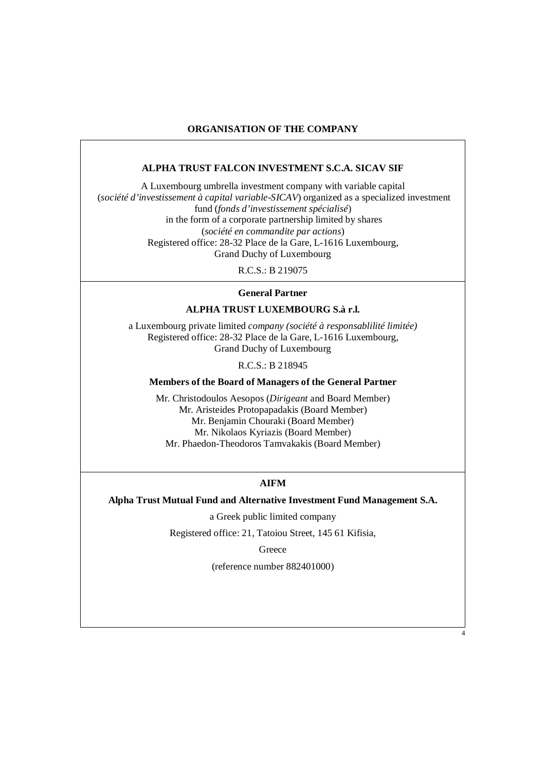# **ORGANISATION OF THE COMPANY**

#### **ALPHA TRUST FALCON INVESTMENT S.C.A. SICAV SIF**

A Luxembourg umbrella investment company with variable capital (*société d'investissement à capital variable-SICAV*) organized as a specialized investment fund (*fonds d'investissement spécialisé*) in the form of a corporate partnership limited by shares (*société en commandite par actions*) Registered office: 28-32 Place de la Gare, L-1616 Luxembourg, Grand Duchy of Luxembourg

 $R \text{ C}$ .S. $\cdot$  B 219075

#### **General Partner**

### **ALPHA TRUST LUXEMBOURG S.à r.l.**

a Luxembourg private limited *company (société à responsablilité limitée)*  Registered office: 28-32 Place de la Gare, L-1616 Luxembourg, Grand Duchy of Luxembourg

R.C.S.: B 218945

#### **Members of the Board of Managers of the General Partner**

Mr. Christodoulos Aesopos (*Dirigeant* and Board Member) Mr. Aristeides Protopapadakis (Board Member) Mr. Benjamin Chouraki (Board Member) Mr. Nikolaos Kyriazis (Board Member) Mr. Phaedon-Theodoros Tamvakakis (Board Member)

#### **AIFM**

**Alpha Trust Mutual Fund and Alternative Investment Fund Management S.A.** 

a Greek public limited company

Registered office: 21, Tatoiou Street, 145 61 Kifisia,

**Greece** 

(reference number 882401000)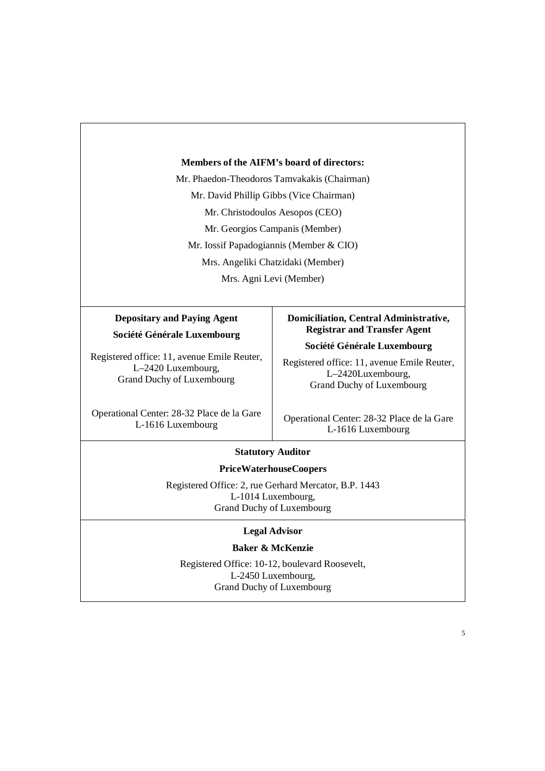#### **Members of the AIFM's board of directors:**

Mr. Phaedon-Theodoros Tamvakakis (Chairman) Mr. David Phillip Gibbs (Vice Chairman) Mr. Christodoulos Aesopos (CEO) Mr. Georgios Campanis (Member) Mr. Iossif Papadogiannis (Member & CIO) Mrs. Angeliki Chatzidaki (Member) Mrs. Agni Levi (Member)

# **Depositary and Paying Agent Société Générale Luxembourg**

Registered office: 11, avenue Emile Reuter, L–2420 Luxembourg, Grand Duchy of Luxembourg

Operational Center: 28-32 Place de la Gare L-1616 Luxembourg

# **Domiciliation, Central Administrative, Registrar and Transfer Agent**

**Société Générale Luxembourg** 

Registered office: 11, avenue Emile Reuter, L–2420Luxembourg, Grand Duchy of Luxembourg

Operational Center: 28-32 Place de la Gare L-1616 Luxembourg

# **Statutory Auditor**

# **PriceWaterhouseCoopers**

Registered Office: 2, rue Gerhard Mercator, B.P. 1443 L-1014 Luxembourg, Grand Duchy of Luxembourg

#### **Legal Advisor**

#### **Baker & McKenzie**

Registered Office: 10-12, boulevard Roosevelt, L-2450 Luxembourg, Grand Duchy of Luxembourg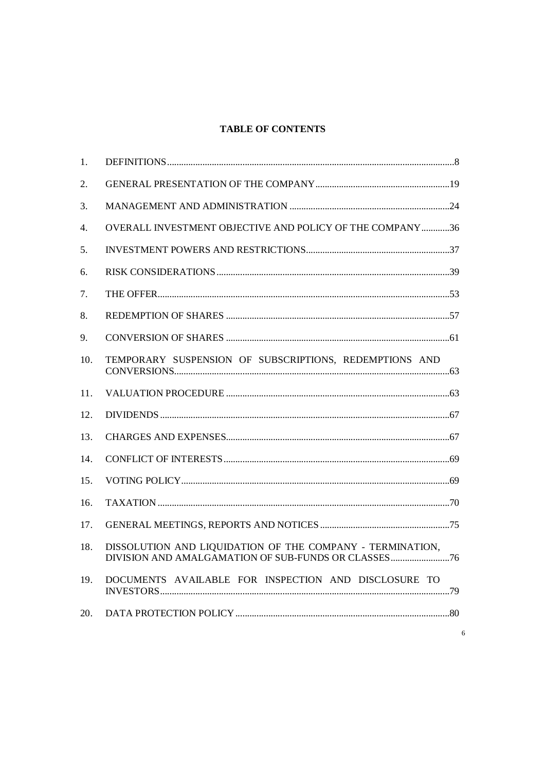# **TABLE OF CONTENTS**

| 1.  |                                                           |
|-----|-----------------------------------------------------------|
| 2.  |                                                           |
| 3.  |                                                           |
| 4.  | OVERALL INVESTMENT OBJECTIVE AND POLICY OF THE COMPANY36  |
| 5.  |                                                           |
| 6.  |                                                           |
| 7.  |                                                           |
| 8.  |                                                           |
| 9.  |                                                           |
| 10. | TEMPORARY SUSPENSION OF SUBSCRIPTIONS, REDEMPTIONS AND    |
| 11. |                                                           |
| 12. |                                                           |
| 13. |                                                           |
| 14. |                                                           |
| 15. |                                                           |
| 16. |                                                           |
| 17. |                                                           |
| 18. | DISSOLUTION AND LIQUIDATION OF THE COMPANY - TERMINATION, |
| 19. | DOCUMENTS AVAILABLE FOR INSPECTION AND DISCLOSURE TO      |
| 20. |                                                           |
|     |                                                           |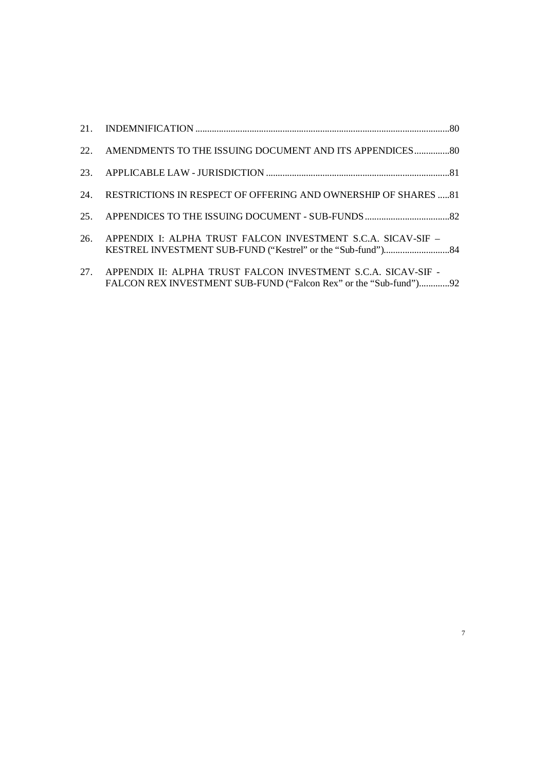|     | 22. AMENDMENTS TO THE ISSUING DOCUMENT AND ITS APPENDICES 80                                                                       |  |
|-----|------------------------------------------------------------------------------------------------------------------------------------|--|
|     |                                                                                                                                    |  |
|     | 24. RESTRICTIONS IN RESPECT OF OFFERING AND OWNERSHIP OF SHARES 81                                                                 |  |
|     |                                                                                                                                    |  |
| 26. | APPENDIX I: ALPHA TRUST FALCON INVESTMENT S.C.A. SICAV-SIF -                                                                       |  |
| 27. | APPENDIX II: ALPHA TRUST FALCON INVESTMENT S.C.A. SICAV-SIF -<br>FALCON REX INVESTMENT SUB-FUND ("Falcon Rex" or the "Sub-fund")92 |  |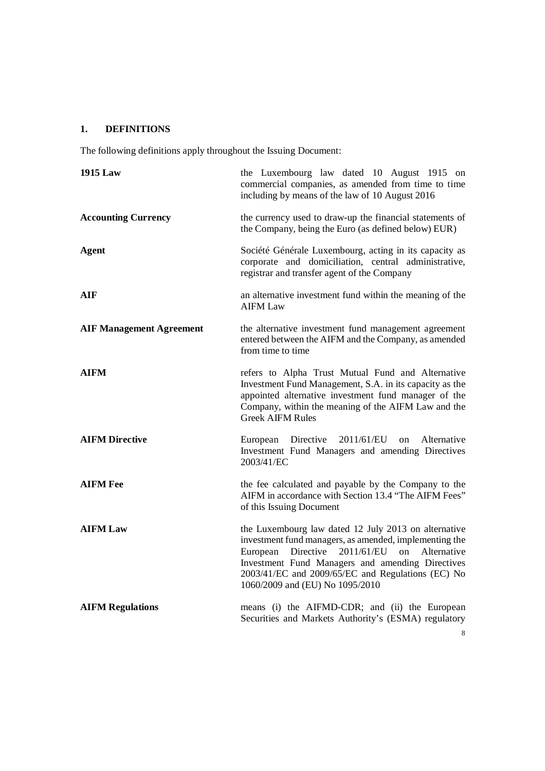# **1. DEFINITIONS**

The following definitions apply throughout the Issuing Document:

| <b>1915 Law</b>                 | the Luxembourg law dated 10 August 1915 on<br>commercial companies, as amended from time to time<br>including by means of the law of 10 August 2016                                                                                                                                                                 |
|---------------------------------|---------------------------------------------------------------------------------------------------------------------------------------------------------------------------------------------------------------------------------------------------------------------------------------------------------------------|
| <b>Accounting Currency</b>      | the currency used to draw-up the financial statements of<br>the Company, being the Euro (as defined below) EUR)                                                                                                                                                                                                     |
| <b>Agent</b>                    | Société Générale Luxembourg, acting in its capacity as<br>corporate and domiciliation, central administrative,<br>registrar and transfer agent of the Company                                                                                                                                                       |
| AIF                             | an alternative investment fund within the meaning of the<br><b>AIFM Law</b>                                                                                                                                                                                                                                         |
| <b>AIF Management Agreement</b> | the alternative investment fund management agreement<br>entered between the AIFM and the Company, as amended<br>from time to time                                                                                                                                                                                   |
| <b>AIFM</b>                     | refers to Alpha Trust Mutual Fund and Alternative<br>Investment Fund Management, S.A. in its capacity as the<br>appointed alternative investment fund manager of the<br>Company, within the meaning of the AIFM Law and the<br><b>Greek AIFM Rules</b>                                                              |
| <b>AIFM Directive</b>           | 2011/61/EU<br>Alternative<br>Directive<br>on<br>European<br>Investment Fund Managers and amending Directives<br>2003/41/EC                                                                                                                                                                                          |
| <b>AIFM Fee</b>                 | the fee calculated and payable by the Company to the<br>AIFM in accordance with Section 13.4 "The AIFM Fees"<br>of this Issuing Document                                                                                                                                                                            |
| <b>AIFM Law</b>                 | the Luxembourg law dated 12 July 2013 on alternative<br>investment fund managers, as amended, implementing the<br>Directive<br>2011/61/EU on<br>Alternative<br>European<br>Investment Fund Managers and amending Directives<br>2003/41/EC and 2009/65/EC and Regulations (EC) No<br>1060/2009 and (EU) No 1095/2010 |
| <b>AIFM Regulations</b>         | means (i) the AIFMD-CDR; and (ii) the European<br>Securities and Markets Authority's (ESMA) regulatory                                                                                                                                                                                                              |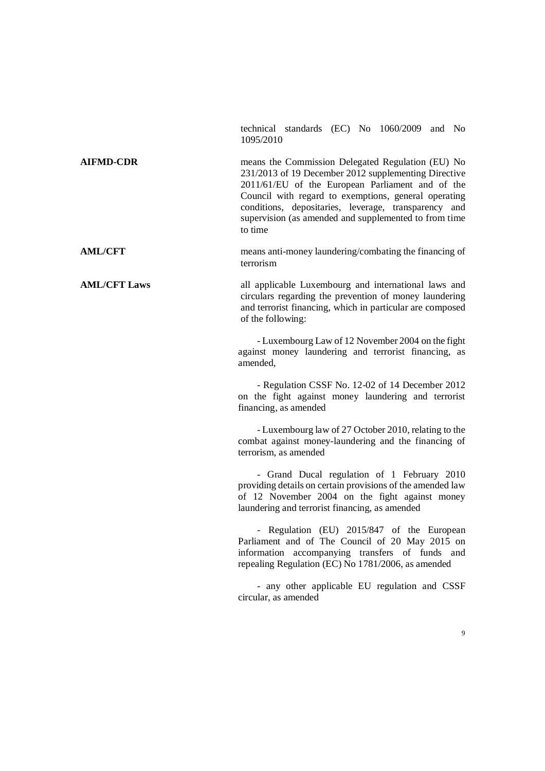technical standards (EC) No 1060/2009 and No 1095/2010 **AIFMD-CDR** means the Commission Delegated Regulation (EU) No 231/2013 of 19 December 2012 supplementing Directive 2011/61/EU of the European Parliament and of the Council with regard to exemptions, general operating conditions, depositaries, leverage, transparency and supervision (as amended and supplemented to from time to time **AML/CFT** means anti-money laundering/combating the financing of terrorism **AML/CFT Laws** all applicable Luxembourg and international laws and circulars regarding the prevention of money laundering and terrorist financing, which in particular are composed of the following: - Luxembourg Law of 12 November 2004 on the fight against money laundering and terrorist financing, as amended, - Regulation CSSF No. 12-02 of 14 December 2012 on the fight against money laundering and terrorist financing, as amended - Luxembourg law of 27 October 2010, relating to the combat against money-laundering and the financing of terrorism, as amended - Grand Ducal regulation of 1 February 2010 providing details on certain provisions of the amended law of 12 November 2004 on the fight against money laundering and terrorist financing, as amended - Regulation (EU) 2015/847 of the European Parliament and of The Council of 20 May 2015 on information accompanying transfers of funds and repealing Regulation (EC) No 1781/2006, as amended - any other applicable EU regulation and CSSF circular, as amended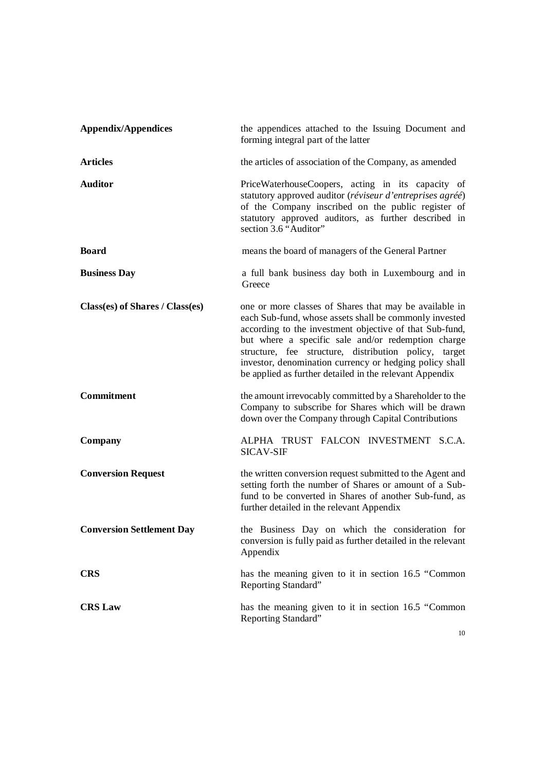| <b>Appendix/Appendices</b>       | the appendices attached to the Issuing Document and<br>forming integral part of the latter                                                                                                                                                                                                                                                                                                                       |
|----------------------------------|------------------------------------------------------------------------------------------------------------------------------------------------------------------------------------------------------------------------------------------------------------------------------------------------------------------------------------------------------------------------------------------------------------------|
| <b>Articles</b>                  | the articles of association of the Company, as amended                                                                                                                                                                                                                                                                                                                                                           |
| <b>Auditor</b>                   | PriceWaterhouseCoopers, acting in its capacity of<br>statutory approved auditor (réviseur d'entreprises agréé)<br>of the Company inscribed on the public register of<br>statutory approved auditors, as further described in<br>section 3.6 "Auditor"                                                                                                                                                            |
| <b>Board</b>                     | means the board of managers of the General Partner                                                                                                                                                                                                                                                                                                                                                               |
| <b>Business Day</b>              | a full bank business day both in Luxembourg and in<br>Greece                                                                                                                                                                                                                                                                                                                                                     |
| Class(es) of Shares / Class(es)  | one or more classes of Shares that may be available in<br>each Sub-fund, whose assets shall be commonly invested<br>according to the investment objective of that Sub-fund,<br>but where a specific sale and/or redemption charge<br>structure, fee structure, distribution policy, target<br>investor, denomination currency or hedging policy shall<br>be applied as further detailed in the relevant Appendix |
| Commitment                       | the amount irrevocably committed by a Shareholder to the<br>Company to subscribe for Shares which will be drawn<br>down over the Company through Capital Contributions                                                                                                                                                                                                                                           |
| Company                          | ALPHA TRUST FALCON INVESTMENT S.C.A.<br><b>SICAV-SIF</b>                                                                                                                                                                                                                                                                                                                                                         |
| <b>Conversion Request</b>        | the written conversion request submitted to the Agent and<br>setting forth the number of Shares or amount of a Sub-<br>fund to be converted in Shares of another Sub-fund, as<br>further detailed in the relevant Appendix                                                                                                                                                                                       |
| <b>Conversion Settlement Day</b> | the Business Day on which the consideration for<br>conversion is fully paid as further detailed in the relevant<br>Appendix                                                                                                                                                                                                                                                                                      |
| <b>CRS</b>                       | has the meaning given to it in section 16.5 "Common<br>Reporting Standard"                                                                                                                                                                                                                                                                                                                                       |
| <b>CRS Law</b>                   | has the meaning given to it in section 16.5 "Common<br>Reporting Standard"                                                                                                                                                                                                                                                                                                                                       |

10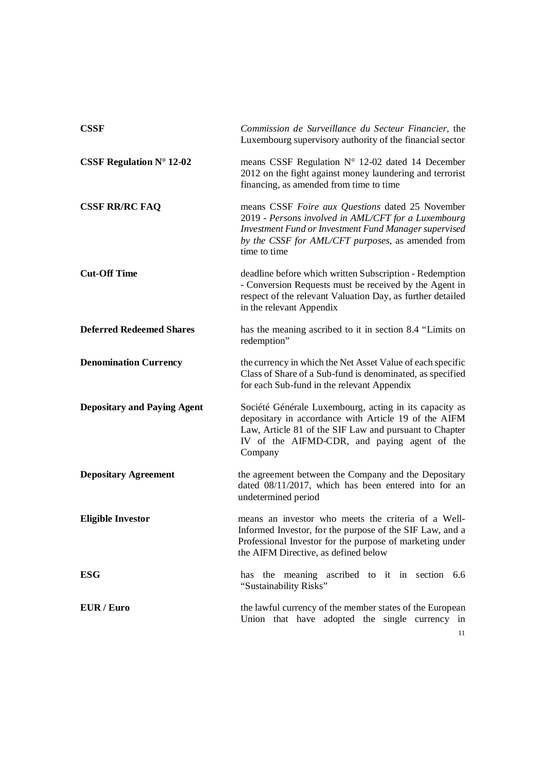| <b>CSSF</b>                        | Commission de Surveillance du Secteur Financier, the<br>Luxembourg supervisory authority of the financial sector                                                                                                                      |
|------------------------------------|---------------------------------------------------------------------------------------------------------------------------------------------------------------------------------------------------------------------------------------|
| CSSF Regulation $N^{\circ}$ 12-02  | means CSSF Regulation N° 12-02 dated 14 December<br>2012 on the fight against money laundering and terrorist<br>financing, as amended from time to time                                                                               |
| <b>CSSF RR/RC FAQ</b>              | means CSSF Foire aux Questions dated 25 November<br>2019 - Persons involved in AML/CFT for a Luxembourg<br>Investment Fund or Investment Fund Manager supervised<br>by the CSSF for AML/CFT purposes, as amended from<br>time to time |
| <b>Cut-Off Time</b>                | deadline before which written Subscription - Redemption<br>- Conversion Requests must be received by the Agent in<br>respect of the relevant Valuation Day, as further detailed<br>in the relevant Appendix                           |
| <b>Deferred Redeemed Shares</b>    | has the meaning ascribed to it in section 8.4 "Limits on<br>redemption"                                                                                                                                                               |
| <b>Denomination Currency</b>       | the currency in which the Net Asset Value of each specific<br>Class of Share of a Sub-fund is denominated, as specified<br>for each Sub-fund in the relevant Appendix                                                                 |
| <b>Depositary and Paying Agent</b> | Société Générale Luxembourg, acting in its capacity as<br>depositary in accordance with Article 19 of the AIFM<br>Law, Article 81 of the SIF Law and pursuant to Chapter<br>IV of the AIFMD-CDR, and paying agent of the<br>Company   |
| <b>Depositary Agreement</b>        | the agreement between the Company and the Depositary<br>dated 08/11/2017, which has been entered into for an<br>undetermined period                                                                                                   |
| <b>Eligible Investor</b>           | means an investor who meets the criteria of a Well-<br>Informed Investor, for the purpose of the SIF Law, and a<br>Professional Investor for the purpose of marketing under<br>the AIFM Directive, as defined below                   |
| <b>ESG</b>                         | has the meaning ascribed to it in section 6.6<br>"Sustainability Risks"                                                                                                                                                               |
| EUR / Euro                         | the lawful currency of the member states of the European<br>Union that have adopted the single currency in<br>11                                                                                                                      |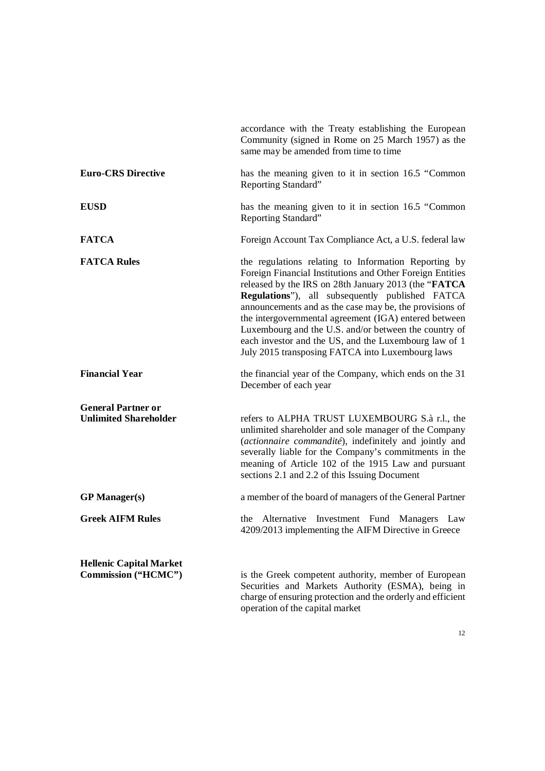|                                                           | accordance with the Treaty establishing the European<br>Community (signed in Rome on 25 March 1957) as the<br>same may be amended from time to time                                                                                                                                                                                                                                                                                                                                                                     |
|-----------------------------------------------------------|-------------------------------------------------------------------------------------------------------------------------------------------------------------------------------------------------------------------------------------------------------------------------------------------------------------------------------------------------------------------------------------------------------------------------------------------------------------------------------------------------------------------------|
| <b>Euro-CRS Directive</b>                                 | has the meaning given to it in section 16.5 "Common"<br>Reporting Standard"                                                                                                                                                                                                                                                                                                                                                                                                                                             |
| <b>EUSD</b>                                               | has the meaning given to it in section 16.5 "Common"<br>Reporting Standard"                                                                                                                                                                                                                                                                                                                                                                                                                                             |
| <b>FATCA</b>                                              | Foreign Account Tax Compliance Act, a U.S. federal law                                                                                                                                                                                                                                                                                                                                                                                                                                                                  |
| <b>FATCA Rules</b>                                        | the regulations relating to Information Reporting by<br>Foreign Financial Institutions and Other Foreign Entities<br>released by the IRS on 28th January 2013 (the "FATCA"<br>Regulations"), all subsequently published FATCA<br>announcements and as the case may be, the provisions of<br>the intergovernmental agreement (IGA) entered between<br>Luxembourg and the U.S. and/or between the country of<br>each investor and the US, and the Luxembourg law of 1<br>July 2015 transposing FATCA into Luxembourg laws |
| <b>Financial Year</b>                                     | the financial year of the Company, which ends on the 31<br>December of each year                                                                                                                                                                                                                                                                                                                                                                                                                                        |
| <b>General Partner or</b><br><b>Unlimited Shareholder</b> | refers to ALPHA TRUST LUXEMBOURG S.à r.l., the<br>unlimited shareholder and sole manager of the Company<br>(actionnaire commandité), indefinitely and jointly and<br>severally liable for the Company's commitments in the<br>meaning of Article 102 of the 1915 Law and pursuant<br>sections 2.1 and 2.2 of this Issuing Document                                                                                                                                                                                      |
| <b>GP</b> Manager(s)                                      | a member of the board of managers of the General Partner                                                                                                                                                                                                                                                                                                                                                                                                                                                                |
| <b>Greek AIFM Rules</b>                                   | Alternative<br>Investment Fund Managers Law<br>the<br>4209/2013 implementing the AIFM Directive in Greece                                                                                                                                                                                                                                                                                                                                                                                                               |
| <b>Hellenic Capital Market</b><br>Commission ("HCMC")     | is the Greek competent authority, member of European<br>Securities and Markets Authority (ESMA), being in<br>charge of ensuring protection and the orderly and efficient<br>operation of the capital market                                                                                                                                                                                                                                                                                                             |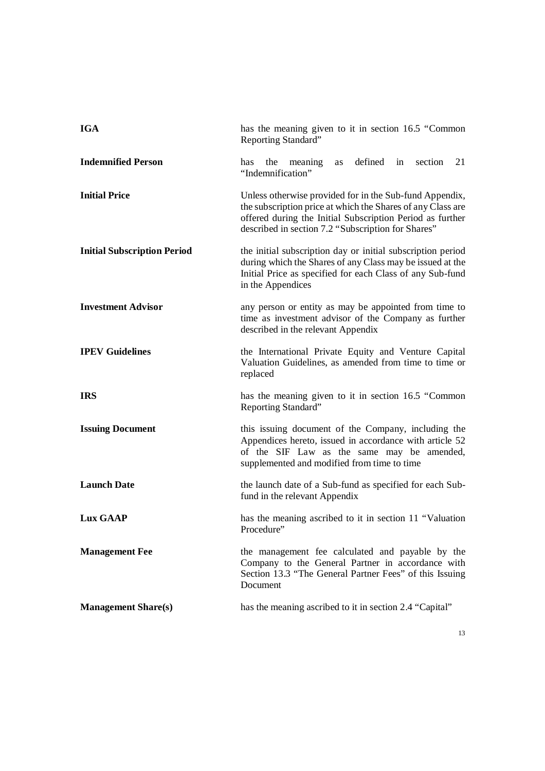| <b>IGA</b>                         | has the meaning given to it in section 16.5 "Common<br>Reporting Standard"                                                                                                                                                                |
|------------------------------------|-------------------------------------------------------------------------------------------------------------------------------------------------------------------------------------------------------------------------------------------|
| <b>Indemnified Person</b>          | the meaning<br>as defined in section<br>21<br>has<br>"Indemnification"                                                                                                                                                                    |
| <b>Initial Price</b>               | Unless otherwise provided for in the Sub-fund Appendix,<br>the subscription price at which the Shares of any Class are<br>offered during the Initial Subscription Period as further<br>described in section 7.2 "Subscription for Shares" |
| <b>Initial Subscription Period</b> | the initial subscription day or initial subscription period<br>during which the Shares of any Class may be issued at the<br>Initial Price as specified for each Class of any Sub-fund<br>in the Appendices                                |
| <b>Investment Advisor</b>          | any person or entity as may be appointed from time to<br>time as investment advisor of the Company as further<br>described in the relevant Appendix                                                                                       |
| <b>IPEV Guidelines</b>             | the International Private Equity and Venture Capital<br>Valuation Guidelines, as amended from time to time or<br>replaced                                                                                                                 |
| <b>IRS</b>                         | has the meaning given to it in section 16.5 "Common<br>Reporting Standard"                                                                                                                                                                |
| <b>Issuing Document</b>            | this issuing document of the Company, including the<br>Appendices hereto, issued in accordance with article 52<br>of the SIF Law as the same may be amended,<br>supplemented and modified from time to time                               |
| <b>Launch Date</b>                 | the launch date of a Sub-fund as specified for each Sub-<br>fund in the relevant Appendix                                                                                                                                                 |
| <b>Lux GAAP</b>                    | has the meaning ascribed to it in section 11 "Valuation<br>Procedure"                                                                                                                                                                     |
| <b>Management Fee</b>              | the management fee calculated and payable by the<br>Company to the General Partner in accordance with<br>Section 13.3 "The General Partner Fees" of this Issuing<br>Document                                                              |
| <b>Management Share(s)</b>         | has the meaning ascribed to it in section 2.4 "Capital"                                                                                                                                                                                   |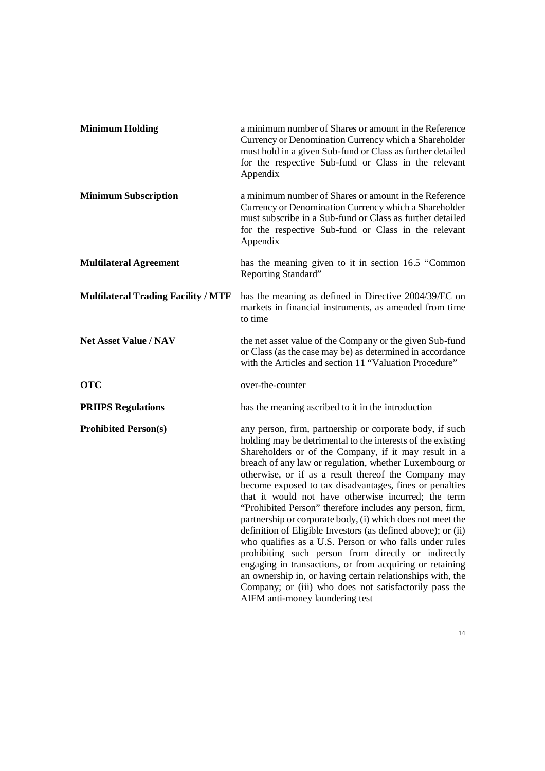| <b>Minimum Holding</b>                     | a minimum number of Shares or amount in the Reference<br>Currency or Denomination Currency which a Shareholder<br>must hold in a given Sub-fund or Class as further detailed<br>for the respective Sub-fund or Class in the relevant<br>Appendix                                                                                                                                                                                                                                                                                                                                                                                                                                                                                                                                                                                                                                                                                                        |
|--------------------------------------------|---------------------------------------------------------------------------------------------------------------------------------------------------------------------------------------------------------------------------------------------------------------------------------------------------------------------------------------------------------------------------------------------------------------------------------------------------------------------------------------------------------------------------------------------------------------------------------------------------------------------------------------------------------------------------------------------------------------------------------------------------------------------------------------------------------------------------------------------------------------------------------------------------------------------------------------------------------|
| <b>Minimum Subscription</b>                | a minimum number of Shares or amount in the Reference<br>Currency or Denomination Currency which a Shareholder<br>must subscribe in a Sub-fund or Class as further detailed<br>for the respective Sub-fund or Class in the relevant<br>Appendix                                                                                                                                                                                                                                                                                                                                                                                                                                                                                                                                                                                                                                                                                                         |
| <b>Multilateral Agreement</b>              | has the meaning given to it in section 16.5 "Common<br>Reporting Standard"                                                                                                                                                                                                                                                                                                                                                                                                                                                                                                                                                                                                                                                                                                                                                                                                                                                                              |
| <b>Multilateral Trading Facility / MTF</b> | has the meaning as defined in Directive 2004/39/EC on<br>markets in financial instruments, as amended from time<br>to time                                                                                                                                                                                                                                                                                                                                                                                                                                                                                                                                                                                                                                                                                                                                                                                                                              |
| <b>Net Asset Value / NAV</b>               | the net asset value of the Company or the given Sub-fund<br>or Class (as the case may be) as determined in accordance<br>with the Articles and section 11 "Valuation Procedure"                                                                                                                                                                                                                                                                                                                                                                                                                                                                                                                                                                                                                                                                                                                                                                         |
| <b>OTC</b>                                 | over-the-counter                                                                                                                                                                                                                                                                                                                                                                                                                                                                                                                                                                                                                                                                                                                                                                                                                                                                                                                                        |
| <b>PRIIPS Regulations</b>                  | has the meaning ascribed to it in the introduction                                                                                                                                                                                                                                                                                                                                                                                                                                                                                                                                                                                                                                                                                                                                                                                                                                                                                                      |
| <b>Prohibited Person(s)</b>                | any person, firm, partnership or corporate body, if such<br>holding may be detrimental to the interests of the existing<br>Shareholders or of the Company, if it may result in a<br>breach of any law or regulation, whether Luxembourg or<br>otherwise, or if as a result thereof the Company may<br>become exposed to tax disadvantages, fines or penalties<br>that it would not have otherwise incurred; the term<br>"Prohibited Person" therefore includes any person, firm,<br>partnership or corporate body, (i) which does not meet the<br>definition of Eligible Investors (as defined above); or (ii)<br>who qualifies as a U.S. Person or who falls under rules<br>prohibiting such person from directly or indirectly<br>engaging in transactions, or from acquiring or retaining<br>an ownership in, or having certain relationships with, the<br>Company; or (iii) who does not satisfactorily pass the<br>AIFM anti-money laundering test |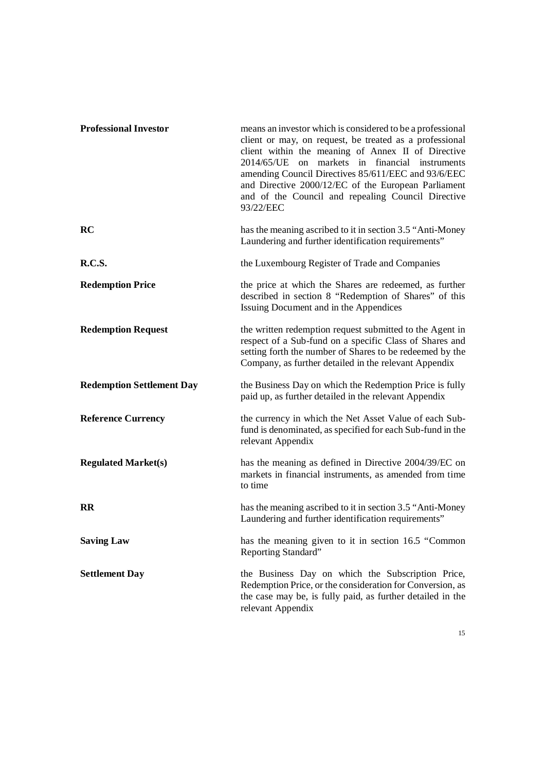| <b>Professional Investor</b>     | means an investor which is considered to be a professional<br>client or may, on request, be treated as a professional<br>client within the meaning of Annex II of Directive<br>2014/65/UE on markets in financial instruments<br>amending Council Directives 85/611/EEC and 93/6/EEC<br>and Directive 2000/12/EC of the European Parliament<br>and of the Council and repealing Council Directive<br>93/22/EEC |
|----------------------------------|----------------------------------------------------------------------------------------------------------------------------------------------------------------------------------------------------------------------------------------------------------------------------------------------------------------------------------------------------------------------------------------------------------------|
| RC                               | has the meaning ascribed to it in section 3.5 "Anti-Money"<br>Laundering and further identification requirements"                                                                                                                                                                                                                                                                                              |
| <b>R.C.S.</b>                    | the Luxembourg Register of Trade and Companies                                                                                                                                                                                                                                                                                                                                                                 |
| <b>Redemption Price</b>          | the price at which the Shares are redeemed, as further<br>described in section 8 "Redemption of Shares" of this<br>Issuing Document and in the Appendices                                                                                                                                                                                                                                                      |
| <b>Redemption Request</b>        | the written redemption request submitted to the Agent in<br>respect of a Sub-fund on a specific Class of Shares and<br>setting forth the number of Shares to be redeemed by the<br>Company, as further detailed in the relevant Appendix                                                                                                                                                                       |
| <b>Redemption Settlement Day</b> | the Business Day on which the Redemption Price is fully<br>paid up, as further detailed in the relevant Appendix                                                                                                                                                                                                                                                                                               |
| <b>Reference Currency</b>        | the currency in which the Net Asset Value of each Sub-<br>fund is denominated, as specified for each Sub-fund in the<br>relevant Appendix                                                                                                                                                                                                                                                                      |
| <b>Regulated Market(s)</b>       | has the meaning as defined in Directive 2004/39/EC on<br>markets in financial instruments, as amended from time<br>to time                                                                                                                                                                                                                                                                                     |
| <b>RR</b>                        | has the meaning ascribed to it in section 3.5 "Anti-Money"<br>Laundering and further identification requirements"                                                                                                                                                                                                                                                                                              |
| <b>Saving Law</b>                | has the meaning given to it in section 16.5 "Common<br>Reporting Standard"                                                                                                                                                                                                                                                                                                                                     |
| <b>Settlement Day</b>            | the Business Day on which the Subscription Price,<br>Redemption Price, or the consideration for Conversion, as<br>the case may be, is fully paid, as further detailed in the<br>relevant Appendix                                                                                                                                                                                                              |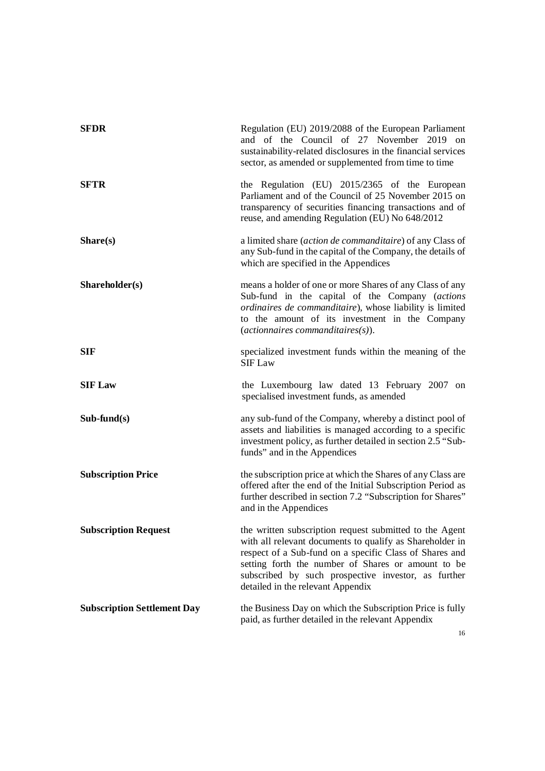| <b>SFDR</b>                        | Regulation (EU) 2019/2088 of the European Parliament<br>and of the Council of 27 November 2019 on<br>sustainability-related disclosures in the financial services<br>sector, as amended or supplemented from time to time                                                                                                        |
|------------------------------------|----------------------------------------------------------------------------------------------------------------------------------------------------------------------------------------------------------------------------------------------------------------------------------------------------------------------------------|
| <b>SFTR</b>                        | the Regulation (EU) 2015/2365 of the European<br>Parliament and of the Council of 25 November 2015 on<br>transparency of securities financing transactions and of<br>reuse, and amending Regulation (EU) No 648/2012                                                                                                             |
| Share(s)                           | a limited share (action de commanditaire) of any Class of<br>any Sub-fund in the capital of the Company, the details of<br>which are specified in the Appendices                                                                                                                                                                 |
| Shareholder(s)                     | means a holder of one or more Shares of any Class of any<br>Sub-fund in the capital of the Company (actions<br>ordinaires de commanditaire), whose liability is limited<br>to the amount of its investment in the Company<br>$(\textit{action}\n  naires\n  commanditaires(s)).$                                                 |
| <b>SIF</b>                         | specialized investment funds within the meaning of the<br><b>SIF Law</b>                                                                                                                                                                                                                                                         |
| <b>SIF Law</b>                     | the Luxembourg law dated 13 February 2007 on<br>specialised investment funds, as amended                                                                                                                                                                                                                                         |
| $Sub-fund(s)$                      | any sub-fund of the Company, whereby a distinct pool of<br>assets and liabilities is managed according to a specific<br>investment policy, as further detailed in section 2.5 "Sub-<br>funds" and in the Appendices                                                                                                              |
| <b>Subscription Price</b>          | the subscription price at which the Shares of any Class are<br>offered after the end of the Initial Subscription Period as<br>further described in section 7.2 "Subscription for Shares"<br>and in the Appendices                                                                                                                |
| <b>Subscription Request</b>        | the written subscription request submitted to the Agent<br>with all relevant documents to qualify as Shareholder in<br>respect of a Sub-fund on a specific Class of Shares and<br>setting forth the number of Shares or amount to be<br>subscribed by such prospective investor, as further<br>detailed in the relevant Appendix |
| <b>Subscription Settlement Day</b> | the Business Day on which the Subscription Price is fully<br>paid, as further detailed in the relevant Appendix                                                                                                                                                                                                                  |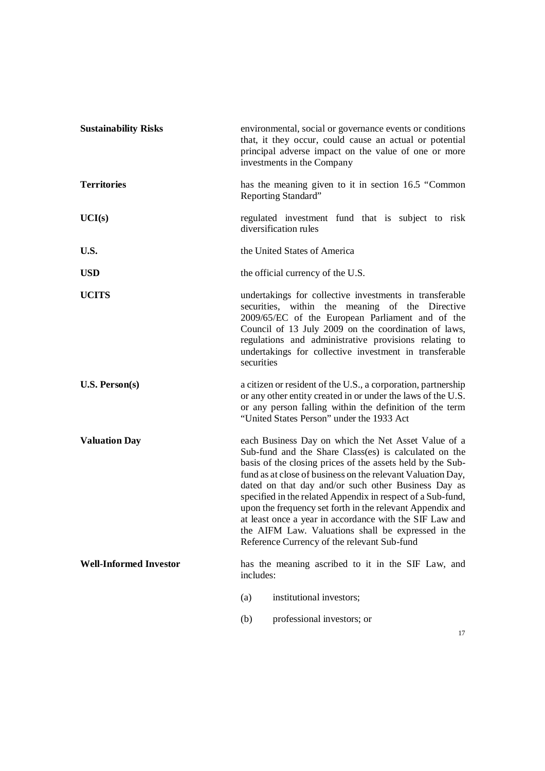| <b>Sustainability Risks</b>   | environmental, social or governance events or conditions<br>that, it they occur, could cause an actual or potential<br>principal adverse impact on the value of one or more<br>investments in the Company                                                                                                                                                                                                                                                                                                                                                                                    |
|-------------------------------|----------------------------------------------------------------------------------------------------------------------------------------------------------------------------------------------------------------------------------------------------------------------------------------------------------------------------------------------------------------------------------------------------------------------------------------------------------------------------------------------------------------------------------------------------------------------------------------------|
| <b>Territories</b>            | has the meaning given to it in section 16.5 "Common<br>Reporting Standard"                                                                                                                                                                                                                                                                                                                                                                                                                                                                                                                   |
| UCI(s)                        | regulated investment fund that is subject to risk<br>diversification rules                                                                                                                                                                                                                                                                                                                                                                                                                                                                                                                   |
| U.S.                          | the United States of America                                                                                                                                                                                                                                                                                                                                                                                                                                                                                                                                                                 |
| <b>USD</b>                    | the official currency of the U.S.                                                                                                                                                                                                                                                                                                                                                                                                                                                                                                                                                            |
| <b>UCITS</b>                  | undertakings for collective investments in transferable<br>securities, within the meaning of the Directive<br>2009/65/EC of the European Parliament and of the<br>Council of 13 July 2009 on the coordination of laws,<br>regulations and administrative provisions relating to<br>undertakings for collective investment in transferable<br>securities                                                                                                                                                                                                                                      |
| U.S. Person(s)                | a citizen or resident of the U.S., a corporation, partnership<br>or any other entity created in or under the laws of the U.S.<br>or any person falling within the definition of the term<br>"United States Person" under the 1933 Act                                                                                                                                                                                                                                                                                                                                                        |
| <b>Valuation Day</b>          | each Business Day on which the Net Asset Value of a<br>Sub-fund and the Share Class(es) is calculated on the<br>basis of the closing prices of the assets held by the Sub-<br>fund as at close of business on the relevant Valuation Day,<br>dated on that day and/or such other Business Day as<br>specified in the related Appendix in respect of a Sub-fund,<br>upon the frequency set forth in the relevant Appendix and<br>at least once a year in accordance with the SIF Law and<br>the AIFM Law. Valuations shall be expressed in the<br>Reference Currency of the relevant Sub-fund |
| <b>Well-Informed Investor</b> | has the meaning ascribed to it in the SIF Law, and<br>includes:                                                                                                                                                                                                                                                                                                                                                                                                                                                                                                                              |
|                               | institutional investors;<br>(a)                                                                                                                                                                                                                                                                                                                                                                                                                                                                                                                                                              |
|                               | professional investors; or<br>(b)                                                                                                                                                                                                                                                                                                                                                                                                                                                                                                                                                            |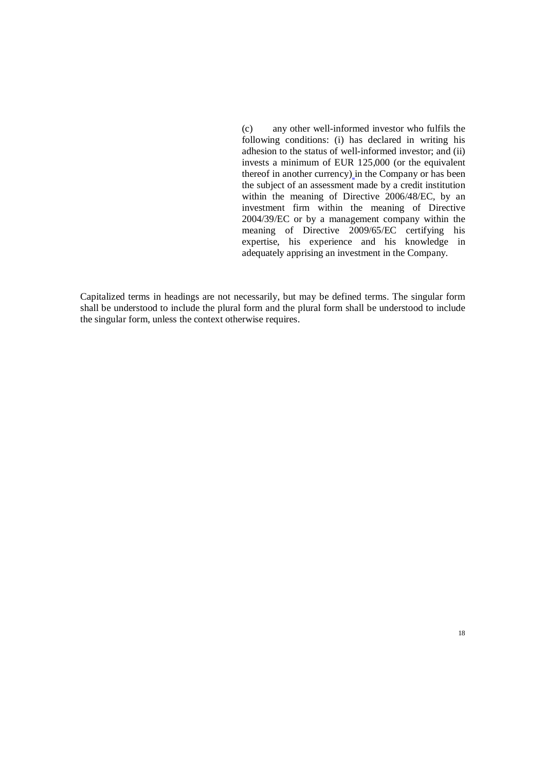(c) any other well-informed investor who fulfils the following conditions: (i) has declared in writing his adhesion to the status of well-informed investor; and (ii) invests a minimum of EUR 125,000 (or the equivalent thereof in another currency) in the Company or has been the subject of an assessment made by a credit institution within the meaning of Directive 2006/48/EC, by an investment firm within the meaning of Directive 2004/39/EC or by a management company within the meaning of Directive 2009/65/EC certifying his expertise, his experience and his knowledge in adequately apprising an investment in the Company.

Capitalized terms in headings are not necessarily, but may be defined terms. The singular form shall be understood to include the plural form and the plural form shall be understood to include the singular form, unless the context otherwise requires.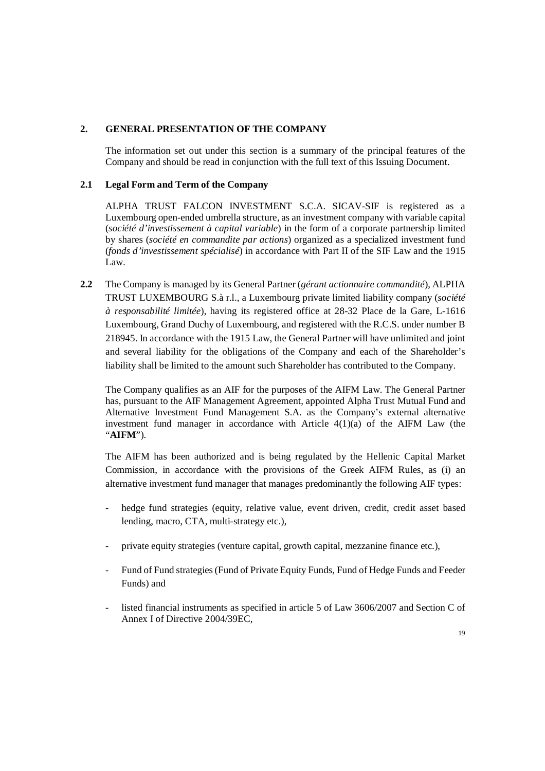# **2. GENERAL PRESENTATION OF THE COMPANY**

The information set out under this section is a summary of the principal features of the Company and should be read in conjunction with the full text of this Issuing Document.

# **2.1 Legal Form and Term of the Company**

ALPHA TRUST FALCON INVESTMENT S.C.A. SICAV-SIF is registered as a Luxembourg open-ended umbrella structure, as an investment company with variable capital (*société d'investissement à capital variable*) in the form of a corporate partnership limited by shares (*société en commandite par actions*) organized as a specialized investment fund (*fonds d'investissement spécialisé*) in accordance with Part II of the SIF Law and the 1915 Law.

**2.2** The Company is managed by its General Partner (*gérant actionnaire commandité*), ALPHA TRUST LUXEMBOURG S.à r.l., a Luxembourg private limited liability company (*société à responsabilité limitée*), having its registered office at 28-32 Place de la Gare, L-1616 Luxembourg, Grand Duchy of Luxembourg, and registered with the R.C.S. under number B 218945. In accordance with the 1915 Law, the General Partner will have unlimited and joint and several liability for the obligations of the Company and each of the Shareholder's liability shall be limited to the amount such Shareholder has contributed to the Company.

The Company qualifies as an AIF for the purposes of the AIFM Law. The General Partner has, pursuant to the AIF Management Agreement, appointed Alpha Trust Mutual Fund and Alternative Investment Fund Management S.A. as the Company's external alternative investment fund manager in accordance with Article 4(1)(a) of the AIFM Law (the "**AIFM**").

The AIFM has been authorized and is being regulated by the Hellenic Capital Market Commission, in accordance with the provisions of the Greek AIFM Rules, as (i) an alternative investment fund manager that manages predominantly the following AIF types:

- hedge fund strategies (equity, relative value, event driven, credit, credit asset based lending, macro, CTA, multi-strategy etc.),
- private equity strategies (venture capital, growth capital, mezzanine finance etc.),
- Fund of Fund strategies (Fund of Private Equity Funds, Fund of Hedge Funds and Feeder Funds) and
- listed financial instruments as specified in article 5 of Law 3606/2007 and Section C of Annex I of Directive 2004/39EC,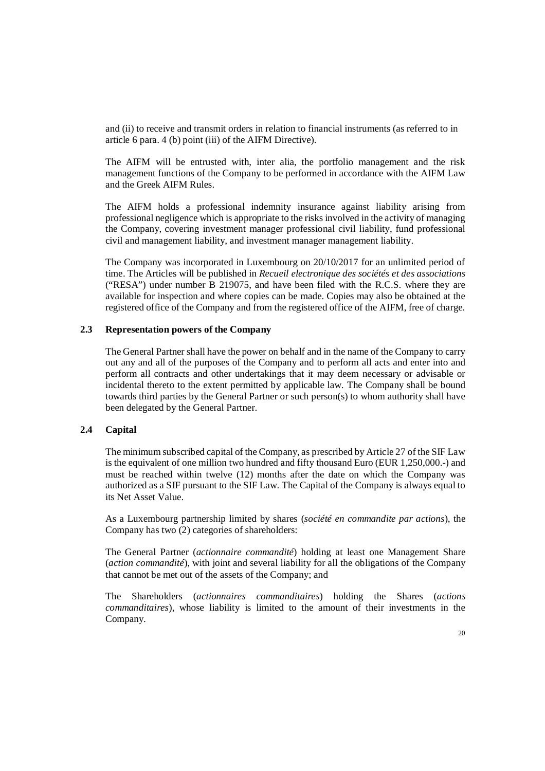and (ii) to receive and transmit orders in relation to financial instruments (as referred to in article 6 para. 4 (b) point (iii) of the AIFM Directive).

The AIFM will be entrusted with, inter alia, the portfolio management and the risk management functions of the Company to be performed in accordance with the AIFM Law and the Greek AIFM Rules.

The AIFM holds a professional indemnity insurance against liability arising from professional negligence which is appropriate to the risks involved in the activity of managing the Company, covering investment manager professional civil liability, fund professional civil and management liability, and investment manager management liability.

The Company was incorporated in Luxembourg on 20/10/2017 for an unlimited period of time. The Articles will be published in *Recueil electronique des sociétés et des associations* ("RESA") under number B 219075, and have been filed with the R.C.S. where they are available for inspection and where copies can be made. Copies may also be obtained at the registered office of the Company and from the registered office of the AIFM, free of charge.

#### **2.3 Representation powers of the Company**

The General Partner shall have the power on behalf and in the name of the Company to carry out any and all of the purposes of the Company and to perform all acts and enter into and perform all contracts and other undertakings that it may deem necessary or advisable or incidental thereto to the extent permitted by applicable law. The Company shall be bound towards third parties by the General Partner or such person(s) to whom authority shall have been delegated by the General Partner.

#### **2.4 Capital**

The minimum subscribed capital of the Company, as prescribed by Article 27 of the SIF Law is the equivalent of one million two hundred and fifty thousand Euro (EUR 1,250,000.-) and must be reached within twelve (12) months after the date on which the Company was authorized as a SIF pursuant to the SIF Law. The Capital of the Company is always equal to its Net Asset Value.

As a Luxembourg partnership limited by shares (*société en commandite par actions*), the Company has two (2) categories of shareholders:

The General Partner (*actionnaire commandité*) holding at least one Management Share (*action commandité*), with joint and several liability for all the obligations of the Company that cannot be met out of the assets of the Company; and

The Shareholders (*actionnaires commanditaires*) holding the Shares (*actions commanditaires*), whose liability is limited to the amount of their investments in the Company.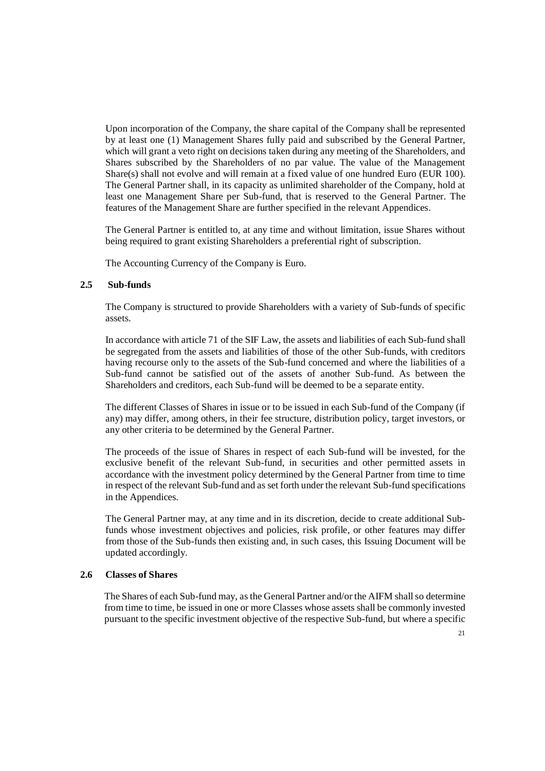Upon incorporation of the Company, the share capital of the Company shall be represented by at least one (1) Management Shares fully paid and subscribed by the General Partner, which will grant a veto right on decisions taken during any meeting of the Shareholders, and Shares subscribed by the Shareholders of no par value. The value of the Management Share(s) shall not evolve and will remain at a fixed value of one hundred Euro (EUR 100). The General Partner shall, in its capacity as unlimited shareholder of the Company, hold at least one Management Share per Sub-fund, that is reserved to the General Partner. The features of the Management Share are further specified in the relevant Appendices.

The General Partner is entitled to, at any time and without limitation, issue Shares without being required to grant existing Shareholders a preferential right of subscription.

The Accounting Currency of the Company is Euro.

#### **2.5 Sub-funds**

The Company is structured to provide Shareholders with a variety of Sub-funds of specific assets.

In accordance with article 71 of the SIF Law, the assets and liabilities of each Sub-fund shall be segregated from the assets and liabilities of those of the other Sub-funds, with creditors having recourse only to the assets of the Sub-fund concerned and where the liabilities of a Sub-fund cannot be satisfied out of the assets of another Sub-fund. As between the Shareholders and creditors, each Sub-fund will be deemed to be a separate entity.

The different Classes of Shares in issue or to be issued in each Sub-fund of the Company (if any) may differ, among others, in their fee structure, distribution policy, target investors, or any other criteria to be determined by the General Partner.

The proceeds of the issue of Shares in respect of each Sub-fund will be invested, for the exclusive benefit of the relevant Sub-fund, in securities and other permitted assets in accordance with the investment policy determined by the General Partner from time to time in respect of the relevant Sub-fund and as set forth under the relevant Sub-fund specifications in the Appendices.

The General Partner may, at any time and in its discretion, decide to create additional Subfunds whose investment objectives and policies, risk profile, or other features may differ from those of the Sub-funds then existing and, in such cases, this Issuing Document will be updated accordingly.

#### **2.6 Classes of Shares**

The Shares of each Sub-fund may, as the General Partner and/or the AIFM shall so determine from time to time, be issued in one or more Classes whose assets shall be commonly invested pursuant to the specific investment objective of the respective Sub-fund, but where a specific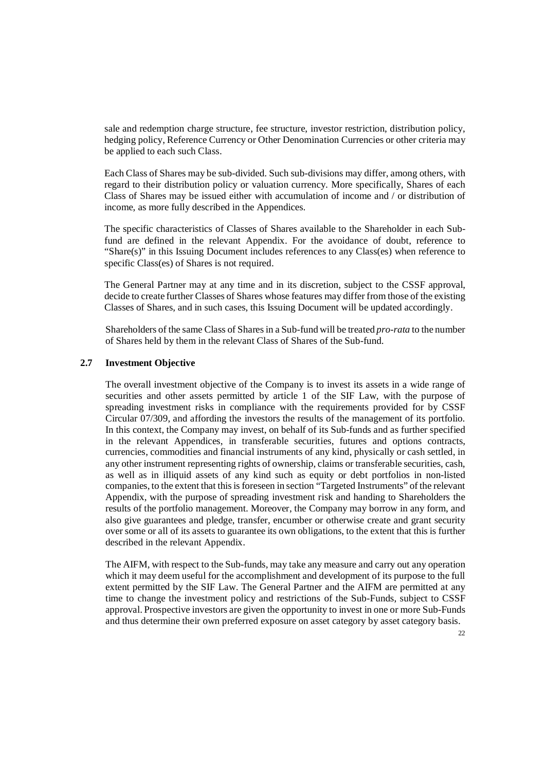sale and redemption charge structure, fee structure, investor restriction, distribution policy, hedging policy, Reference Currency or Other Denomination Currencies or other criteria may be applied to each such Class.

Each Class of Shares may be sub-divided. Such sub-divisions may differ, among others, with regard to their distribution policy or valuation currency. More specifically, Shares of each Class of Shares may be issued either with accumulation of income and / or distribution of income, as more fully described in the Appendices.

The specific characteristics of Classes of Shares available to the Shareholder in each Subfund are defined in the relevant Appendix. For the avoidance of doubt, reference to "Share(s)" in this Issuing Document includes references to any Class(es) when reference to specific Class(es) of Shares is not required.

The General Partner may at any time and in its discretion, subject to the CSSF approval, decide to create further Classes of Shares whose features may differ from those of the existing Classes of Shares, and in such cases, this Issuing Document will be updated accordingly.

Shareholders of the same Class of Shares in a Sub-fund will be treated *pro-rata* to the number of Shares held by them in the relevant Class of Shares of the Sub-fund.

#### **2.7 Investment Objective**

The overall investment objective of the Company is to invest its assets in a wide range of securities and other assets permitted by article 1 of the SIF Law, with the purpose of spreading investment risks in compliance with the requirements provided for by CSSF Circular 07/309, and affording the investors the results of the management of its portfolio. In this context, the Company may invest, on behalf of its Sub-funds and as further specified in the relevant Appendices, in transferable securities, futures and options contracts, currencies, commodities and financial instruments of any kind, physically or cash settled, in any other instrument representing rights of ownership, claims or transferable securities, cash, as well as in illiquid assets of any kind such as equity or debt portfolios in non-listed companies, to the extent that this is foreseen in section "Targeted Instruments" of the relevant Appendix, with the purpose of spreading investment risk and handing to Shareholders the results of the portfolio management. Moreover, the Company may borrow in any form, and also give guarantees and pledge, transfer, encumber or otherwise create and grant security over some or all of its assets to guarantee its own obligations, to the extent that this is further described in the relevant Appendix.

The AIFM, with respect to the Sub-funds, may take any measure and carry out any operation which it may deem useful for the accomplishment and development of its purpose to the full extent permitted by the SIF Law. The General Partner and the AIFM are permitted at any time to change the investment policy and restrictions of the Sub-Funds, subject to CSSF approval. Prospective investors are given the opportunity to invest in one or more Sub-Funds and thus determine their own preferred exposure on asset category by asset category basis.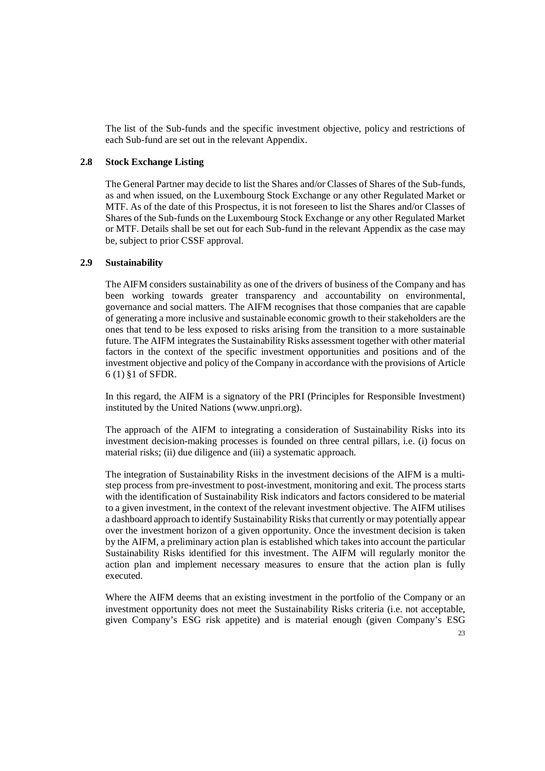The list of the Sub-funds and the specific investment objective, policy and restrictions of each Sub-fund are set out in the relevant Appendix.

#### **2.8 Stock Exchange Listing**

The General Partner may decide to list the Shares and/or Classes of Shares of the Sub-funds, as and when issued, on the Luxembourg Stock Exchange or any other Regulated Market or MTF. As of the date of this Prospectus, it is not foreseen to list the Shares and/or Classes of Shares of the Sub-funds on the Luxembourg Stock Exchange or any other Regulated Market or MTF. Details shall be set out for each Sub-fund in the relevant Appendix as the case may be, subject to prior CSSF approval.

#### **2.9 Sustainability**

The AIFM considers sustainability as one of the drivers of business of the Company and has been working towards greater transparency and accountability on environmental, governance and social matters. The AIFM recognises that those companies that are capable of generating a more inclusive and sustainable economic growth to their stakeholders are the ones that tend to be less exposed to risks arising from the transition to a more sustainable future. The AIFM integrates the Sustainability Risks assessment together with other material factors in the context of the specific investment opportunities and positions and of the investment objective and policy of the Company in accordance with the provisions of Article 6 (1) §1 of SFDR.

In this regard, the AIFM is a signatory of the PRI (Principles for Responsible Investment) instituted by the United Nations (www.unpri.org).

The approach of the AIFM to integrating a consideration of Sustainability Risks into its investment decision-making processes is founded on three central pillars, i.e. (i) focus on material risks; (ii) due diligence and (iii) a systematic approach.

The integration of Sustainability Risks in the investment decisions of the AIFM is a multistep process from pre-investment to post-investment, monitoring and exit. The process starts with the identification of Sustainability Risk indicators and factors considered to be material to a given investment, in the context of the relevant investment objective. The AIFM utilises a dashboard approach to identify Sustainability Risks that currently or may potentially appear over the investment horizon of a given opportunity. Once the investment decision is taken by the AIFM, a preliminary action plan is established which takes into account the particular Sustainability Risks identified for this investment. The AIFM will regularly monitor the action plan and implement necessary measures to ensure that the action plan is fully executed.

Where the AIFM deems that an existing investment in the portfolio of the Company or an investment opportunity does not meet the Sustainability Risks criteria (i.e. not acceptable, given Company's ESG risk appetite) and is material enough (given Company's ESG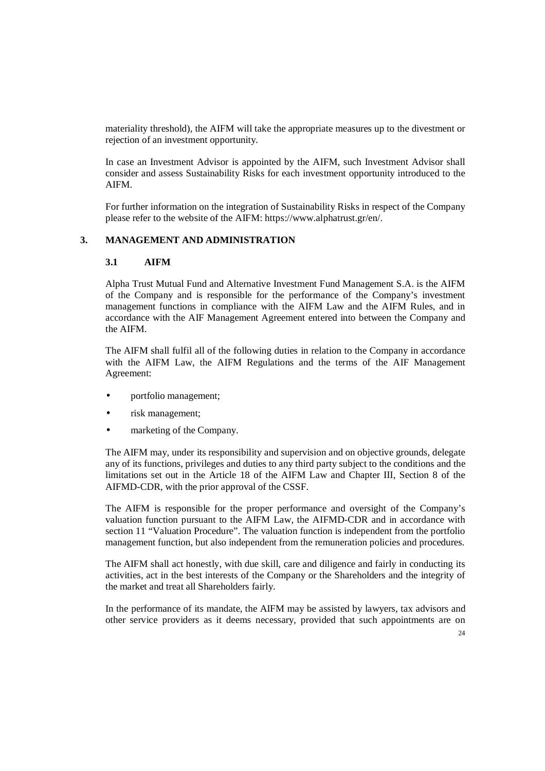materiality threshold), the AIFM will take the appropriate measures up to the divestment or rejection of an investment opportunity.

In case an Investment Advisor is appointed by the AIFM, such Investment Advisor shall consider and assess Sustainability Risks for each investment opportunity introduced to the AIFM.

For further information on the integration of Sustainability Risks in respect of the Company please refer to the website of the AIFM: https://www.alphatrust.gr/en/.

#### **3. MANAGEMENT AND ADMINISTRATION**

#### **3.1 AIFM**

Alpha Trust Mutual Fund and Alternative Investment Fund Management S.A. is the AIFM of the Company and is responsible for the performance of the Company's investment management functions in compliance with the AIFM Law and the AIFM Rules, and in accordance with the AIF Management Agreement entered into between the Company and the AIFM.

The AIFM shall fulfil all of the following duties in relation to the Company in accordance with the AIFM Law, the AIFM Regulations and the terms of the AIF Management Agreement:

- portfolio management;
- risk management;
- marketing of the Company.

The AIFM may, under its responsibility and supervision and on objective grounds, delegate any of its functions, privileges and duties to any third party subject to the conditions and the limitations set out in the Article 18 of the AIFM Law and Chapter III, Section 8 of the AIFMD-CDR, with the prior approval of the CSSF.

The AIFM is responsible for the proper performance and oversight of the Company's valuation function pursuant to the AIFM Law, the AIFMD-CDR and in accordance with section 11 "Valuation Procedure". The valuation function is independent from the portfolio management function, but also independent from the remuneration policies and procedures.

The AIFM shall act honestly, with due skill, care and diligence and fairly in conducting its activities, act in the best interests of the Company or the Shareholders and the integrity of the market and treat all Shareholders fairly.

In the performance of its mandate, the AIFM may be assisted by lawyers, tax advisors and other service providers as it deems necessary, provided that such appointments are on

24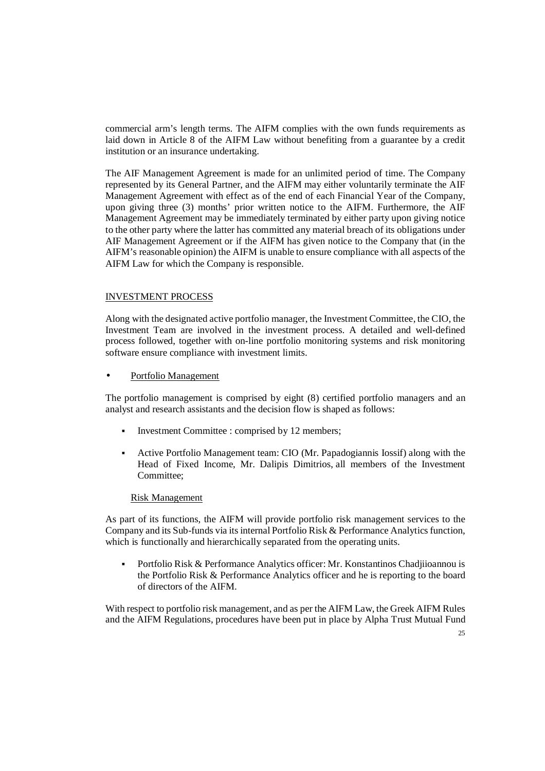commercial arm's length terms. The AIFM complies with the own funds requirements as laid down in Article 8 of the AIFM Law without benefiting from a guarantee by a credit institution or an insurance undertaking.

The AIF Management Agreement is made for an unlimited period of time. The Company represented by its General Partner, and the AIFM may either voluntarily terminate the AIF Management Agreement with effect as of the end of each Financial Year of the Company, upon giving three (3) months' prior written notice to the AIFM. Furthermore, the AIF Management Agreement may be immediately terminated by either party upon giving notice to the other party where the latter has committed any material breach of its obligations under AIF Management Agreement or if the AIFM has given notice to the Company that (in the AIFM's reasonable opinion) the AIFM is unable to ensure compliance with all aspects of the AIFM Law for which the Company is responsible.

#### INVESTMENT PROCESS

Along with the designated active portfolio manager, the Investment Committee, the CIO, the Investment Team are involved in the investment process. A detailed and well-defined process followed, together with on-line portfolio monitoring systems and risk monitoring software ensure compliance with investment limits.

• Portfolio Management

The portfolio management is comprised by eight (8) certified portfolio managers and an analyst and research assistants and the decision flow is shaped as follows:

- Investment Committee : comprised by 12 members;
- Active Portfolio Management team: CIO (Mr. Papadogiannis Iossif) along with the Head of Fixed Income, Mr. Dalipis Dimitrios, all members of the Investment Committee;

#### Risk Management

As part of its functions, the AIFM will provide portfolio risk management services to the Company and its Sub-funds via its internal Portfolio Risk & Performance Analytics function, which is functionally and hierarchically separated from the operating units.

 Portfolio Risk & Performance Analytics officer: Mr. Konstantinos Chadjiioannou is the Portfolio Risk & Performance Analytics officer and he is reporting to the board of directors of the AIFM.

With respect to portfolio risk management, and as per the AIFM Law, the Greek AIFM Rules and the AIFM Regulations, procedures have been put in place by Alpha Trust Mutual Fund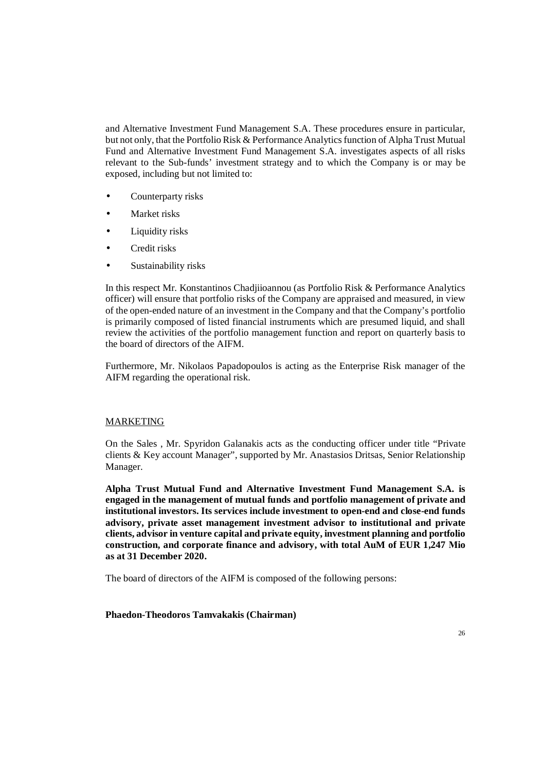and Alternative Investment Fund Management S.A. These procedures ensure in particular, but not only, that the Portfolio Risk & Performance Analytics function of Alpha Trust Mutual Fund and Alternative Investment Fund Management S.A. investigates aspects of all risks relevant to the Sub-funds' investment strategy and to which the Company is or may be exposed, including but not limited to:

- Counterparty risks
- Market risks
- Liquidity risks
- Credit risks
- Sustainability risks

In this respect Mr. Konstantinos Chadjiioannou (as Portfolio Risk & Performance Analytics officer) will ensure that portfolio risks of the Company are appraised and measured, in view of the open-ended nature of an investment in the Company and that the Company's portfolio is primarily composed of listed financial instruments which are presumed liquid, and shall review the activities of the portfolio management function and report on quarterly basis to the board of directors of the AIFM.

Furthermore, Mr. Nikolaos Papadopoulos is acting as the Enterprise Risk manager of the AIFM regarding the operational risk.

#### MARKETING

On the Sales , Mr. Spyridon Galanakis acts as the conducting officer under title "Private clients & Key account Manager", supported by Mr. Anastasios Dritsas, Senior Relationship Manager.

**Alpha Trust Mutual Fund and Alternative Investment Fund Management S.A. is engaged in the management of mutual funds and portfolio management of private and institutional investors. Its services include investment to open-end and close-end funds advisory, private asset management investment advisor to institutional and private clients, advisor in venture capital and private equity, investment planning and portfolio construction, and corporate finance and advisory, with total AuM of EUR 1,247 Μio as at 31 December 2020.**

The board of directors of the AIFM is composed of the following persons:

### **Phaedon-Theodoros Tamvakakis (Chairman)**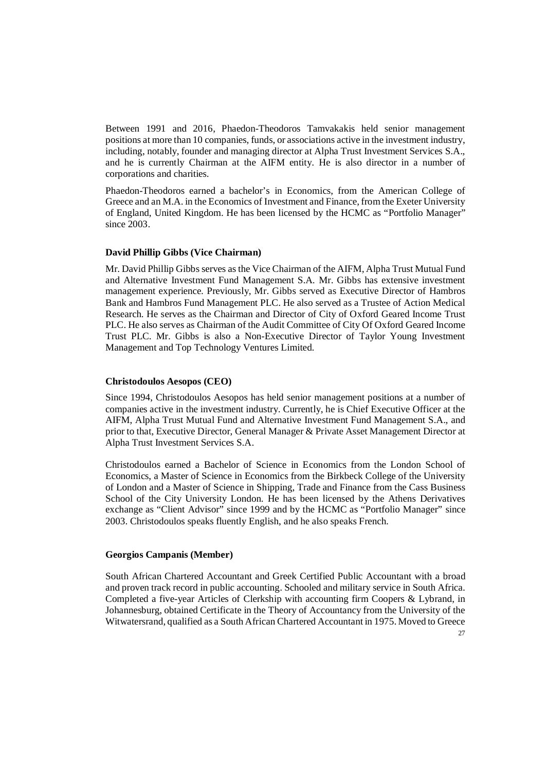Between 1991 and 2016, Phaedon-Theodoros Tamvakakis held senior management positions at more than 10 companies, funds, or associations active in the investment industry, including, notably, founder and managing director at Alpha Trust Investment Services S.A., and he is currently Chairman at the AIFM entity. He is also director in a number of corporations and charities.

Phaedon-Theodoros earned a bachelor's in Economics, from the American College of Greece and an M.A. in the Economics of Investment and Finance, from the Exeter University of England, United Kingdom. He has been licensed by the HCMC as "Portfolio Manager" since 2003.

#### **David Phillip Gibbs (Vice Chairman)**

Mr. David Phillip Gibbs serves as the Vice Chairman of the AIFM, Alpha Trust Mutual Fund and Alternative Investment Fund Management S.A. Mr. Gibbs has extensive investment management experience. Previously, Mr. Gibbs served as Executive Director of Hambros Bank and Hambros Fund Management PLC. He also served as a Trustee of Action Medical Research. He serves as the Chairman and Director of City of Oxford Geared Income Trust PLC. He also serves as Chairman of the Audit Committee of City Of Oxford Geared Income Trust PLC. Mr. Gibbs is also a Non-Executive Director of Taylor Young Investment Management and Top Technology Ventures Limited.

#### **Christodoulos Aesopos (CEO)**

Since 1994, Christodoulos Aesopos has held senior management positions at a number of companies active in the investment industry. Currently, he is Chief Executive Officer at the AIFM, Alpha Trust Mutual Fund and Alternative Investment Fund Management S.A., and prior to that, Executive Director, General Manager & Private Asset Management Director at Alpha Trust Investment Services S.A.

Christodoulos earned a Bachelor of Science in Economics from the London School of Economics, a Master of Science in Economics from the Birkbeck College of the University of London and a Master of Science in Shipping, Trade and Finance from the Cass Business School of the City University London. He has been licensed by the Athens Derivatives exchange as "Client Advisor" since 1999 and by the HCMC as "Portfolio Manager" since 2003. Christodoulos speaks fluently English, and he also speaks French.

#### **Georgios Campanis (Member)**

South African Chartered Accountant and Greek Certified Public Accountant with a broad and proven track record in public accounting. Schooled and military service in South Africa. Completed a five-year Articles of Clerkship with accounting firm Coopers & Lybrand, in Johannesburg, obtained Certificate in the Theory of Accountancy from the University of the Witwatersrand, qualified as a South African Chartered Accountant in 1975. Moved to Greece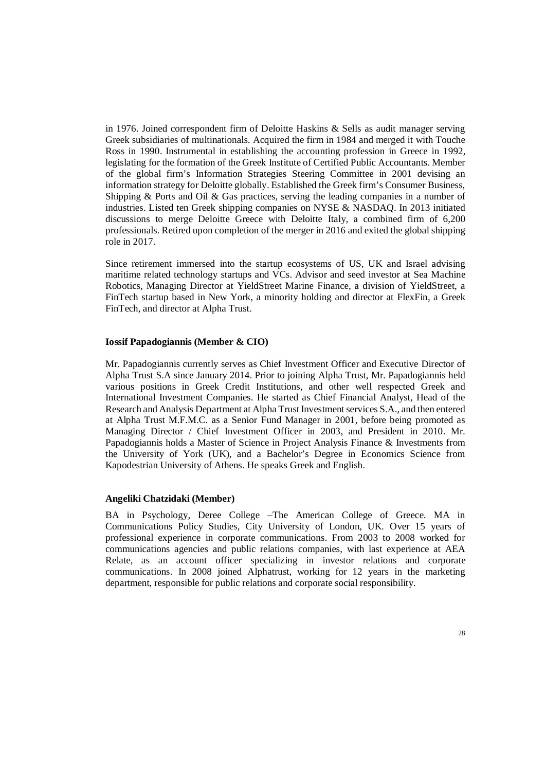in 1976. Joined correspondent firm of Deloitte Haskins & Sells as audit manager serving Greek subsidiaries of multinationals. Acquired the firm in 1984 and merged it with Touche Ross in 1990. Instrumental in establishing the accounting profession in Greece in 1992, legislating for the formation of the Greek Institute of Certified Public Accountants. Member of the global firm's Information Strategies Steering Committee in 2001 devising an information strategy for Deloitte globally. Established the Greek firm's Consumer Business, Shipping & Ports and Oil & Gas practices, serving the leading companies in a number of industries. Listed ten Greek shipping companies on NYSE & NASDAQ. In 2013 initiated discussions to merge Deloitte Greece with Deloitte Italy, a combined firm of 6,200 professionals. Retired upon completion of the merger in 2016 and exited the global shipping role in 2017.

Since retirement immersed into the startup ecosystems of US, UK and Israel advising maritime related technology startups and VCs. Advisor and seed investor at Sea Machine Robotics, Managing Director at YieldStreet Marine Finance, a division of YieldStreet, a FinTech startup based in New York, a minority holding and director at FlexFin, a Greek FinTech, and director at Alpha Trust.

#### **Iossif Papadogiannis (Member & CIO)**

Mr. Papadogiannis currently serves as Chief Investment Officer and Executive Director of Alpha Trust S.A since January 2014. Prior to joining Alpha Trust, Mr. Papadogiannis held various positions in Greek Credit Institutions, and other well respected Greek and International Investment Companies. He started as Chief Financial Analyst, Head of the Research and Analysis Department at Alpha Trust Investment services S.A., and then entered at Alpha Trust M.F.M.C. as a Senior Fund Manager in 2001, before being promoted as Managing Director / Chief Investment Officer in 2003, and President in 2010. Mr. Papadogiannis holds a Master of Science in Project Analysis Finance & Investments from the University of York (UK), and a Bachelor's Degree in Economics Science from Kapodestrian University of Athens. He speaks Greek and English.

#### **Angeliki Chatzidaki (Member)**

BA in Psychology, Deree College –The American College of Greece. MA in Communications Policy Studies, City University of London, UK. Over 15 years of professional experience in corporate communications. From 2003 to 2008 worked for communications agencies and public relations companies, with last experience at AEA Relate, as an account officer specializing in investor relations and corporate communications. In 2008 joined Alphatrust, working for 12 years in the marketing department, responsible for public relations and corporate social responsibility.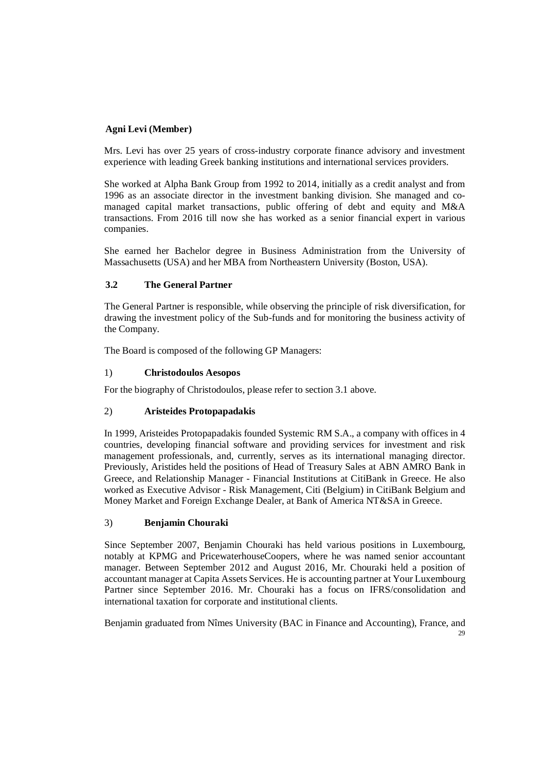# **Agni Levi (Member)**

Mrs. Levi has over 25 years of cross-industry corporate finance advisory and investment experience with leading Greek banking institutions and international services providers.

She worked at Alpha Bank Group from 1992 to 2014, initially as a credit analyst and from 1996 as an associate director in the investment banking division. She managed and comanaged capital market transactions, public offering of debt and equity and M&A transactions. From 2016 till now she has worked as a senior financial expert in various companies.

She earned her Bachelor degree in Business Administration from the University of Massachusetts (USA) and her MBA from Northeastern University (Boston, USA).

# **3.2 The General Partner**

The General Partner is responsible, while observing the principle of risk diversification, for drawing the investment policy of the Sub-funds and for monitoring the business activity of the Company.

The Board is composed of the following GP Managers:

# 1) **Christodoulos Aesopos**

For the biography of Christodoulos, please refer to section 3.1 above.

# 2) **Aristeides Protopapadakis**

In 1999, Aristeides Protopapadakis founded Systemic RM S.A., a company with offices in 4 countries, developing financial software and providing services for investment and risk management professionals, and, currently, serves as its international managing director. Previously, Aristides held the positions of Head of Treasury Sales at ABN AMRO Bank in Greece, and Relationship Manager - Financial Institutions at CitiBank in Greece. He also worked as Executive Advisor - Risk Management, Citi (Belgium) in CitiBank Belgium and Money Market and Foreign Exchange Dealer, at Bank of America NT&SA in Greece.

# 3) **Benjamin Chouraki**

Since September 2007, Benjamin Chouraki has held various positions in Luxembourg, notably at KPMG and PricewaterhouseCoopers, where he was named senior accountant manager. Between September 2012 and August 2016, Mr. Chouraki held a position of accountant manager at Capita Assets Services. He is accounting partner at Your Luxembourg Partner since September 2016. Mr. Chouraki has a focus on IFRS/consolidation and international taxation for corporate and institutional clients.

 $29$ Benjamin graduated from Nîmes University (BAC in Finance and Accounting), France, and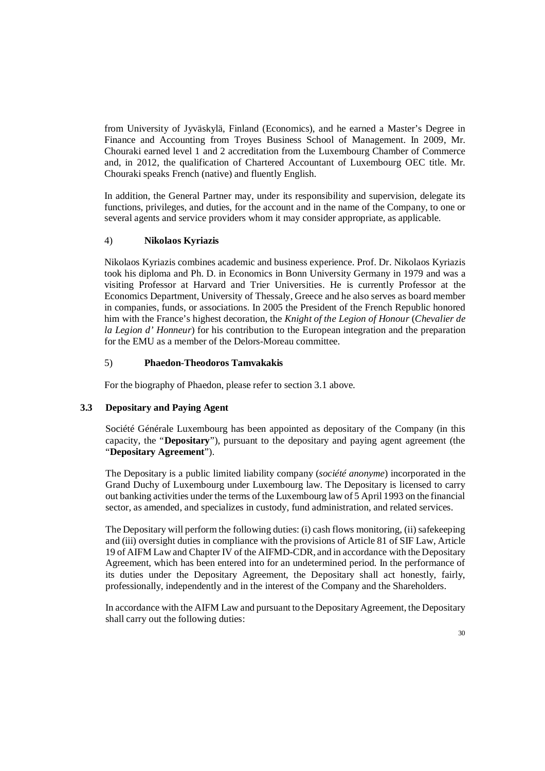from University of Jyväskylä, Finland (Economics), and he earned a Master's Degree in Finance and Accounting from Troyes Business School of Management. In 2009, Mr. Chouraki earned level 1 and 2 accreditation from the Luxembourg Chamber of Commerce and, in 2012, the qualification of Chartered Accountant of Luxembourg OEC title. Mr. Chouraki speaks French (native) and fluently English.

In addition, the General Partner may, under its responsibility and supervision, delegate its functions, privileges, and duties, for the account and in the name of the Company, to one or several agents and service providers whom it may consider appropriate, as applicable.

#### 4) **Nikolaos Kyriazis**

Nikolaos Kyriazis combines academic and business experience. Prof. Dr. Nikolaos Kyriazis took his diploma and Ph. D. in Economics in Bonn University Germany in 1979 and was a visiting Professor at Harvard and Trier Universities. He is currently Professor at the Economics Department, University of Thessaly, Greece and he also serves as board member in companies, funds, or associations. In 2005 the President of the French Republic honored him with the France's highest decoration, the *Knight of the Legion of Honour* (*Chevalier de la Legion d' Honneur*) for his contribution to the European integration and the preparation for the EMU as a member of the Delors-Moreau committee.

#### 5) **Phaedon-Theodoros Tamvakakis**

For the biography of Phaedon, please refer to section 3.1 above.

# **3.3 Depositary and Paying Agent**

Société Générale Luxembourg has been appointed as depositary of the Company (in this capacity, the "**Depositary**"), pursuant to the depositary and paying agent agreement (the "**Depositary Agreement**").

The Depositary is a public limited liability company (*société anonyme*) incorporated in the Grand Duchy of Luxembourg under Luxembourg law. The Depositary is licensed to carry out banking activities under the terms of the Luxembourg law of 5 April 1993 on the financial sector, as amended, and specializes in custody, fund administration, and related services.

The Depositary will perform the following duties: (i) cash flows monitoring, (ii) safekeeping and (iii) oversight duties in compliance with the provisions of Article 81 of SIF Law, Article 19 of AIFM Law and Chapter IV of the AIFMD-CDR, and in accordance with the Depositary Agreement, which has been entered into for an undetermined period. In the performance of its duties under the Depositary Agreement, the Depositary shall act honestly, fairly, professionally, independently and in the interest of the Company and the Shareholders.

In accordance with the AIFM Law and pursuant to the Depositary Agreement, the Depositary shall carry out the following duties: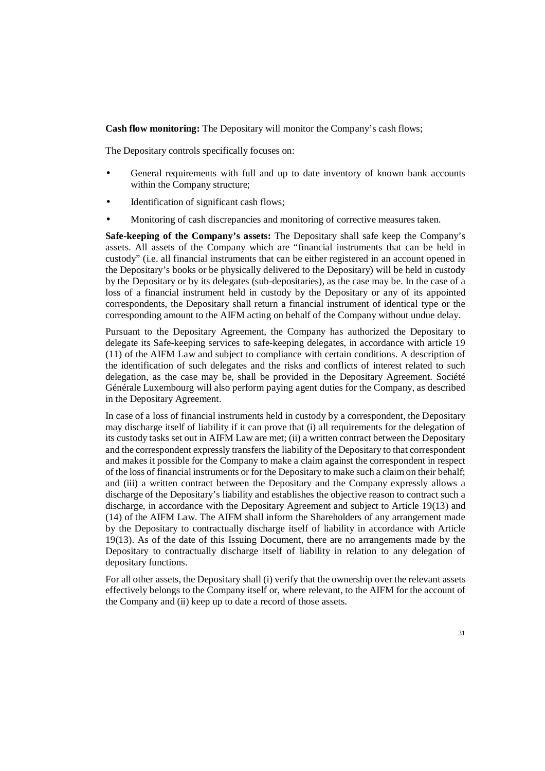**Cash flow monitoring:** The Depositary will monitor the Company's cash flows;

The Depositary controls specifically focuses on:

- General requirements with full and up to date inventory of known bank accounts within the Company structure;
- Identification of significant cash flows;
- Monitoring of cash discrepancies and monitoring of corrective measures taken.

**Safe-keeping of the Company's assets:** The Depositary shall safe keep the Company's assets. All assets of the Company which are "financial instruments that can be held in custody" (i.e. all financial instruments that can be either registered in an account opened in the Depositary's books or be physically delivered to the Depositary) will be held in custody by the Depositary or by its delegates (sub-depositaries), as the case may be. In the case of a loss of a financial instrument held in custody by the Depositary or any of its appointed correspondents, the Depositary shall return a financial instrument of identical type or the corresponding amount to the AIFM acting on behalf of the Company without undue delay.

Pursuant to the Depositary Agreement, the Company has authorized the Depositary to delegate its Safe-keeping services to safe-keeping delegates, in accordance with article 19 (11) of the AIFM Law and subject to compliance with certain conditions. A description of the identification of such delegates and the risks and conflicts of interest related to such delegation, as the case may be, shall be provided in the Depositary Agreement. Société Générale Luxembourg will also perform paying agent duties for the Company, as described in the Depositary Agreement.

In case of a loss of financial instruments held in custody by a correspondent, the Depositary may discharge itself of liability if it can prove that (i) all requirements for the delegation of its custody tasks set out in AIFM Law are met; (ii) a written contract between the Depositary and the correspondent expressly transfers the liability of the Depositary to that correspondent and makes it possible for the Company to make a claim against the correspondent in respect of the loss of financial instruments or for the Depositary to make such a claim on their behalf; and (iii) a written contract between the Depositary and the Company expressly allows a discharge of the Depositary's liability and establishes the objective reason to contract such a discharge, in accordance with the Depositary Agreement and subject to Article 19(13) and (14) of the AIFM Law. The AIFM shall inform the Shareholders of any arrangement made by the Depositary to contractually discharge itself of liability in accordance with Article 19(13). As of the date of this Issuing Document, there are no arrangements made by the Depositary to contractually discharge itself of liability in relation to any delegation of depositary functions.

For all other assets, the Depositary shall (i) verify that the ownership over the relevant assets effectively belongs to the Company itself or, where relevant, to the AIFM for the account of the Company and (ii) keep up to date a record of those assets.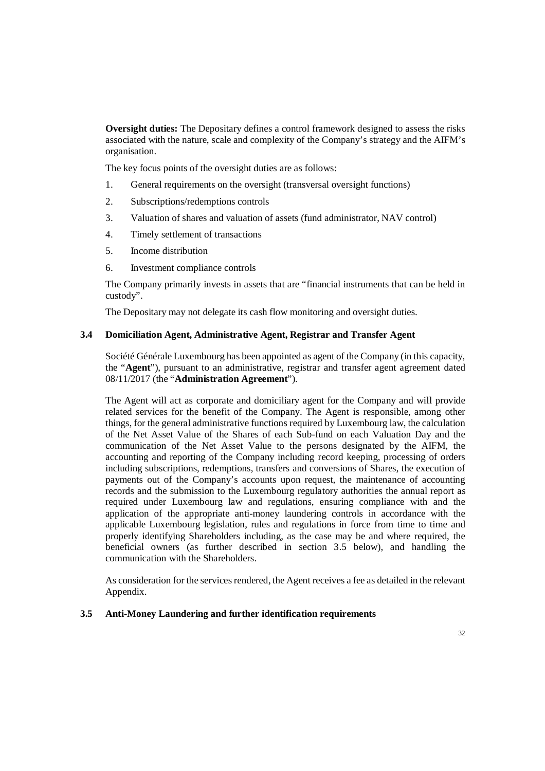**Oversight duties:** The Depositary defines a control framework designed to assess the risks associated with the nature, scale and complexity of the Company's strategy and the AIFM's organisation.

The key focus points of the oversight duties are as follows:

- 1. General requirements on the oversight (transversal oversight functions)
- 2. Subscriptions/redemptions controls
- 3. Valuation of shares and valuation of assets (fund administrator, NAV control)
- 4. Timely settlement of transactions
- 5. Income distribution
- 6. Investment compliance controls

The Company primarily invests in assets that are "financial instruments that can be held in custody".

The Depositary may not delegate its cash flow monitoring and oversight duties.

#### **3.4 Domiciliation Agent, Administrative Agent, Registrar and Transfer Agent**

Société Générale Luxembourg has been appointed as agent of the Company (in this capacity, the "**Agent**"), pursuant to an administrative, registrar and transfer agent agreement dated 08/11/2017 (the "**Administration Agreement**").

The Agent will act as corporate and domiciliary agent for the Company and will provide related services for the benefit of the Company. The Agent is responsible, among other things, for the general administrative functions required by Luxembourg law, the calculation of the Net Asset Value of the Shares of each Sub-fund on each Valuation Day and the communication of the Net Asset Value to the persons designated by the AIFM, the accounting and reporting of the Company including record keeping, processing of orders including subscriptions, redemptions, transfers and conversions of Shares, the execution of payments out of the Company's accounts upon request, the maintenance of accounting records and the submission to the Luxembourg regulatory authorities the annual report as required under Luxembourg law and regulations, ensuring compliance with and the application of the appropriate anti-money laundering controls in accordance with the applicable Luxembourg legislation, rules and regulations in force from time to time and properly identifying Shareholders including, as the case may be and where required, the beneficial owners (as further described in section 3.5 below), and handling the communication with the Shareholders.

As consideration for the services rendered, the Agent receives a fee as detailed in the relevant Appendix.

#### **3.5 Anti-Money Laundering and further identification requirements**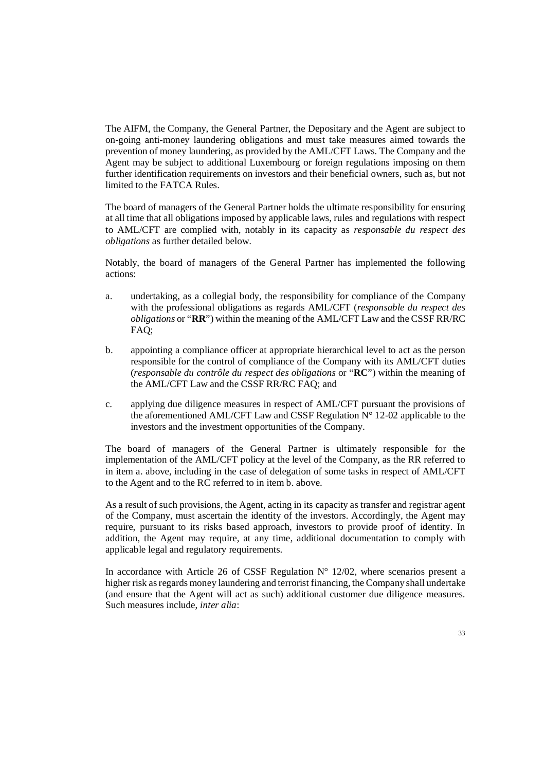The AIFM, the Company, the General Partner, the Depositary and the Agent are subject to on-going anti-money laundering obligations and must take measures aimed towards the prevention of money laundering, as provided by the AML/CFT Laws. The Company and the Agent may be subject to additional Luxembourg or foreign regulations imposing on them further identification requirements on investors and their beneficial owners, such as, but not limited to the FATCA Rules.

The board of managers of the General Partner holds the ultimate responsibility for ensuring at all time that all obligations imposed by applicable laws, rules and regulations with respect to AML/CFT are complied with, notably in its capacity as *responsable du respect des obligations* as further detailed below.

Notably, the board of managers of the General Partner has implemented the following actions:

- a. undertaking, as a collegial body, the responsibility for compliance of the Company with the professional obligations as regards AML/CFT (*responsable du respect des obligations* or "**RR**") within the meaning of the AML/CFT Law and the CSSF RR/RC FAQ;
- b. appointing a compliance officer at appropriate hierarchical level to act as the person responsible for the control of compliance of the Company with its AML/CFT duties (*responsable du contrôle du respect des obligations* or "**RC**") within the meaning of the AML/CFT Law and the CSSF RR/RC FAQ; and
- c. applying due diligence measures in respect of AML/CFT pursuant the provisions of the aforementioned AML/CFT Law and CSSF Regulation  $N^{\circ}$  12-02 applicable to the investors and the investment opportunities of the Company.

The board of managers of the General Partner is ultimately responsible for the implementation of the AML/CFT policy at the level of the Company, as the RR referred to in item a. above, including in the case of delegation of some tasks in respect of AML/CFT to the Agent and to the RC referred to in item b. above.

As a result of such provisions, the Agent, acting in its capacity as transfer and registrar agent of the Company, must ascertain the identity of the investors. Accordingly, the Agent may require, pursuant to its risks based approach, investors to provide proof of identity. In addition, the Agent may require, at any time, additional documentation to comply with applicable legal and regulatory requirements.

In accordance with Article 26 of CSSF Regulation  $N^{\circ}$  12/02, where scenarios present a higher risk as regards money laundering and terrorist financing, the Company shall undertake (and ensure that the Agent will act as such) additional customer due diligence measures. Such measures include, *inter alia*: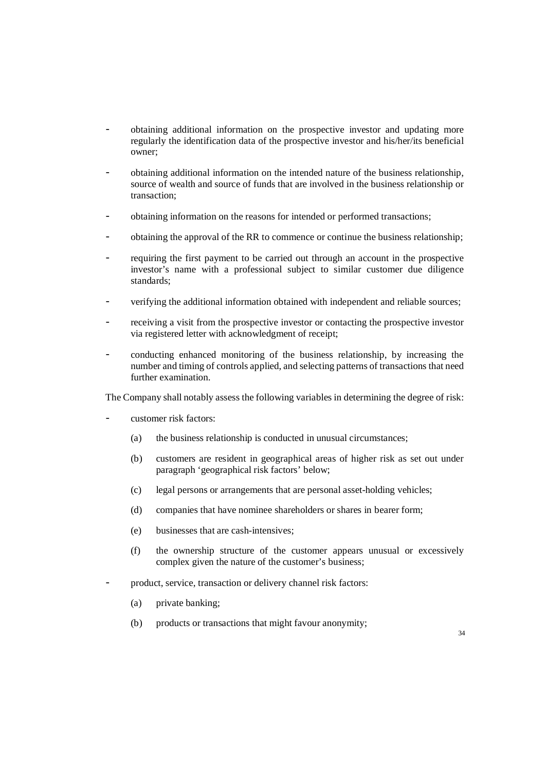- obtaining additional information on the prospective investor and updating more regularly the identification data of the prospective investor and his/her/its beneficial owner;
- obtaining additional information on the intended nature of the business relationship, source of wealth and source of funds that are involved in the business relationship or transaction;
- obtaining information on the reasons for intended or performed transactions;
- obtaining the approval of the RR to commence or continue the business relationship;
- requiring the first payment to be carried out through an account in the prospective investor's name with a professional subject to similar customer due diligence standards;
- verifying the additional information obtained with independent and reliable sources;
- receiving a visit from the prospective investor or contacting the prospective investor via registered letter with acknowledgment of receipt;
- conducting enhanced monitoring of the business relationship, by increasing the number and timing of controls applied, and selecting patterns of transactions that need further examination.

The Company shall notably assess the following variables in determining the degree of risk:

- customer risk factors:
	- (a) the business relationship is conducted in unusual circumstances;
	- (b) customers are resident in geographical areas of higher risk as set out under paragraph 'geographical risk factors' below;
	- (c) legal persons or arrangements that are personal asset-holding vehicles;
	- (d) companies that have nominee shareholders or shares in bearer form;
	- (e) businesses that are cash-intensives;
	- (f) the ownership structure of the customer appears unusual or excessively complex given the nature of the customer's business;
- product, service, transaction or delivery channel risk factors:
	- (a) private banking;
	- (b) products or transactions that might favour anonymity;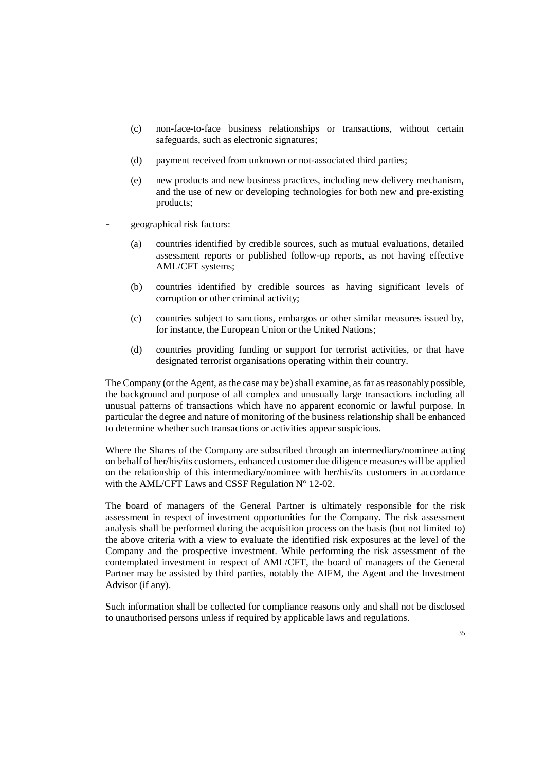- (c) non-face-to-face business relationships or transactions, without certain safeguards, such as electronic signatures;
- (d) payment received from unknown or not-associated third parties;
- (e) new products and new business practices, including new delivery mechanism, and the use of new or developing technologies for both new and pre-existing products;
- geographical risk factors:
	- (a) countries identified by credible sources, such as mutual evaluations, detailed assessment reports or published follow-up reports, as not having effective AML/CFT systems;
	- (b) countries identified by credible sources as having significant levels of corruption or other criminal activity;
	- (c) countries subject to sanctions, embargos or other similar measures issued by, for instance, the European Union or the United Nations;
	- (d) countries providing funding or support for terrorist activities, or that have designated terrorist organisations operating within their country.

The Company (or the Agent, as the case may be) shall examine, as far as reasonably possible, the background and purpose of all complex and unusually large transactions including all unusual patterns of transactions which have no apparent economic or lawful purpose. In particular the degree and nature of monitoring of the business relationship shall be enhanced to determine whether such transactions or activities appear suspicious.

Where the Shares of the Company are subscribed through an intermediary/nominee acting on behalf of her/his/its customers, enhanced customer due diligence measures will be applied on the relationship of this intermediary/nominee with her/his/its customers in accordance with the AML/CFT Laws and CSSF Regulation N° 12-02.

The board of managers of the General Partner is ultimately responsible for the risk assessment in respect of investment opportunities for the Company. The risk assessment analysis shall be performed during the acquisition process on the basis (but not limited to) the above criteria with a view to evaluate the identified risk exposures at the level of the Company and the prospective investment. While performing the risk assessment of the contemplated investment in respect of AML/CFT, the board of managers of the General Partner may be assisted by third parties, notably the AIFM, the Agent and the Investment Advisor (if any).

Such information shall be collected for compliance reasons only and shall not be disclosed to unauthorised persons unless if required by applicable laws and regulations.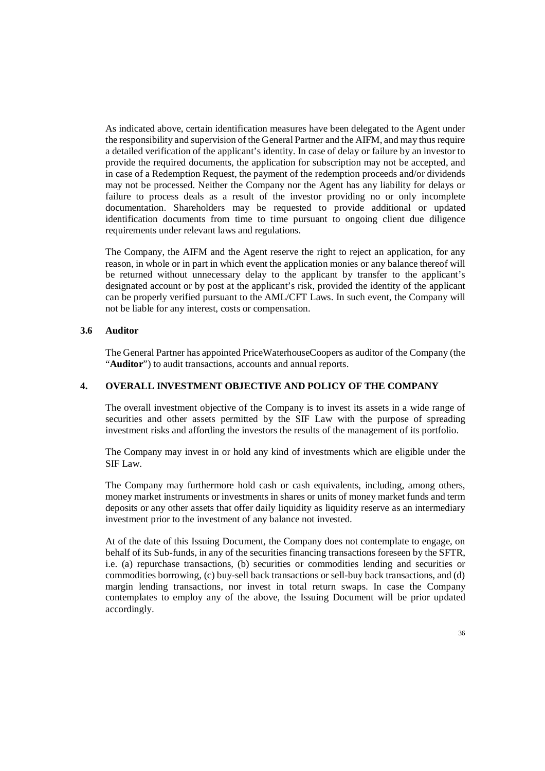As indicated above, certain identification measures have been delegated to the Agent under the responsibility and supervision of the General Partner and the AIFM, and may thus require a detailed verification of the applicant's identity. In case of delay or failure by an investor to provide the required documents, the application for subscription may not be accepted, and in case of a Redemption Request, the payment of the redemption proceeds and/or dividends may not be processed. Neither the Company nor the Agent has any liability for delays or failure to process deals as a result of the investor providing no or only incomplete documentation. Shareholders may be requested to provide additional or updated identification documents from time to time pursuant to ongoing client due diligence requirements under relevant laws and regulations.

The Company, the AIFM and the Agent reserve the right to reject an application, for any reason, in whole or in part in which event the application monies or any balance thereof will be returned without unnecessary delay to the applicant by transfer to the applicant's designated account or by post at the applicant's risk, provided the identity of the applicant can be properly verified pursuant to the AML/CFT Laws. In such event, the Company will not be liable for any interest, costs or compensation.

#### **3.6 Auditor**

The General Partner has appointed PriceWaterhouseCoopers as auditor of the Company (the "Auditor") to audit transactions, accounts and annual reports.

#### **4. OVERALL INVESTMENT OBJECTIVE AND POLICY OF THE COMPANY**

The overall investment objective of the Company is to invest its assets in a wide range of securities and other assets permitted by the SIF Law with the purpose of spreading investment risks and affording the investors the results of the management of its portfolio.

The Company may invest in or hold any kind of investments which are eligible under the SIF Law.

The Company may furthermore hold cash or cash equivalents, including, among others, money market instruments or investments in shares or units of money market funds and term deposits or any other assets that offer daily liquidity as liquidity reserve as an intermediary investment prior to the investment of any balance not invested.

At of the date of this Issuing Document, the Company does not contemplate to engage, on behalf of its Sub-funds, in any of the securities financing transactions foreseen by the SFTR, i.e. (a) repurchase transactions, (b) securities or commodities lending and securities or commodities borrowing, (c) buy-sell back transactions or sell-buy back transactions, and (d) margin lending transactions, nor invest in total return swaps. In case the Company contemplates to employ any of the above, the Issuing Document will be prior updated accordingly.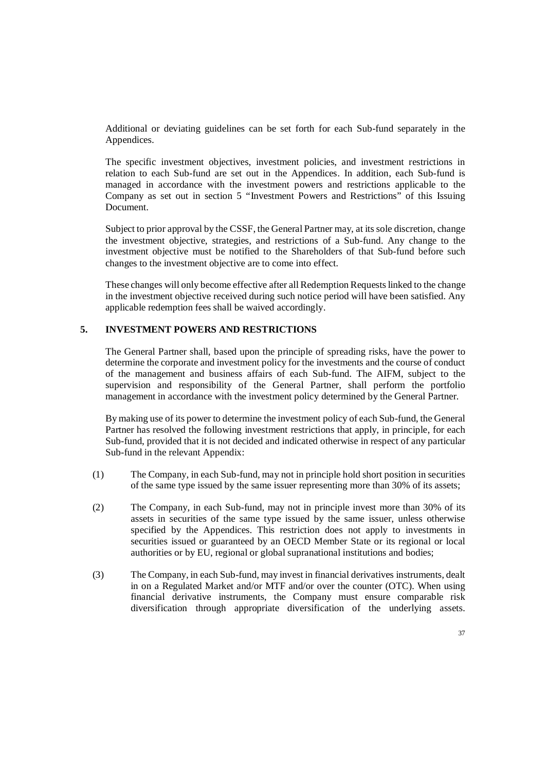Additional or deviating guidelines can be set forth for each Sub-fund separately in the Appendices.

The specific investment objectives, investment policies, and investment restrictions in relation to each Sub-fund are set out in the Appendices. In addition, each Sub-fund is managed in accordance with the investment powers and restrictions applicable to the Company as set out in section 5 "Investment Powers and Restrictions" of this Issuing Document.

Subject to prior approval by the CSSF, the General Partner may, at its sole discretion, change the investment objective, strategies, and restrictions of a Sub-fund. Any change to the investment objective must be notified to the Shareholders of that Sub-fund before such changes to the investment objective are to come into effect.

These changes will only become effective after all Redemption Requests linked to the change in the investment objective received during such notice period will have been satisfied. Any applicable redemption fees shall be waived accordingly.

# **5. INVESTMENT POWERS AND RESTRICTIONS**

The General Partner shall, based upon the principle of spreading risks, have the power to determine the corporate and investment policy for the investments and the course of conduct of the management and business affairs of each Sub-fund. The AIFM, subject to the supervision and responsibility of the General Partner, shall perform the portfolio management in accordance with the investment policy determined by the General Partner.

By making use of its power to determine the investment policy of each Sub-fund, the General Partner has resolved the following investment restrictions that apply, in principle, for each Sub-fund, provided that it is not decided and indicated otherwise in respect of any particular Sub-fund in the relevant Appendix:

- (1) The Company, in each Sub-fund, may not in principle hold short position in securities of the same type issued by the same issuer representing more than 30% of its assets;
- (2) The Company, in each Sub-fund, may not in principle invest more than 30% of its assets in securities of the same type issued by the same issuer, unless otherwise specified by the Appendices. This restriction does not apply to investments in securities issued or guaranteed by an OECD Member State or its regional or local authorities or by EU, regional or global supranational institutions and bodies;
- (3) The Company, in each Sub-fund, may invest in financial derivatives instruments, dealt in on a Regulated Market and/or MTF and/or over the counter (OTC). When using financial derivative instruments, the Company must ensure comparable risk diversification through appropriate diversification of the underlying assets.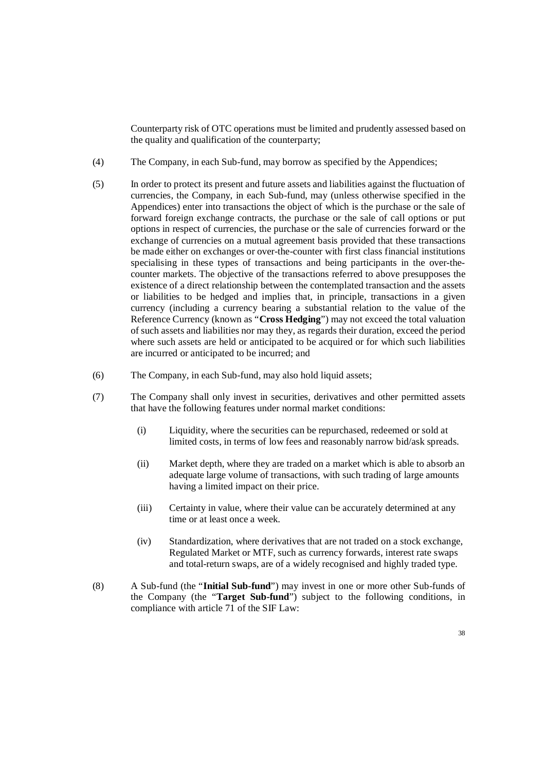Counterparty risk of OTC operations must be limited and prudently assessed based on the quality and qualification of the counterparty;

- (4) The Company, in each Sub-fund, may borrow as specified by the Appendices;
- (5) In order to protect its present and future assets and liabilities against the fluctuation of currencies, the Company, in each Sub-fund, may (unless otherwise specified in the Appendices) enter into transactions the object of which is the purchase or the sale of forward foreign exchange contracts, the purchase or the sale of call options or put options in respect of currencies, the purchase or the sale of currencies forward or the exchange of currencies on a mutual agreement basis provided that these transactions be made either on exchanges or over-the-counter with first class financial institutions specialising in these types of transactions and being participants in the over-thecounter markets. The objective of the transactions referred to above presupposes the existence of a direct relationship between the contemplated transaction and the assets or liabilities to be hedged and implies that, in principle, transactions in a given currency (including a currency bearing a substantial relation to the value of the Reference Currency (known as "**Cross Hedging**") may not exceed the total valuation of such assets and liabilities nor may they, as regards their duration, exceed the period where such assets are held or anticipated to be acquired or for which such liabilities are incurred or anticipated to be incurred; and
- (6) The Company, in each Sub-fund, may also hold liquid assets;
- (7) The Company shall only invest in securities, derivatives and other permitted assets that have the following features under normal market conditions:
	- (i) Liquidity, where the securities can be repurchased, redeemed or sold at limited costs, in terms of low fees and reasonably narrow bid/ask spreads.
	- (ii) Market depth, where they are traded on a market which is able to absorb an adequate large volume of transactions, with such trading of large amounts having a limited impact on their price.
	- (iii) Certainty in value, where their value can be accurately determined at any time or at least once a week.
	- (iv) Standardization, where derivatives that are not traded on a stock exchange, Regulated Market or MTF, such as currency forwards, interest rate swaps and total-return swaps, are of a widely recognised and highly traded type.
- (8) A Sub-fund (the "**Initial Sub-fund**") may invest in one or more other Sub-funds of the Company (the "**Target Sub-fund**") subject to the following conditions, in compliance with article 71 of the SIF Law: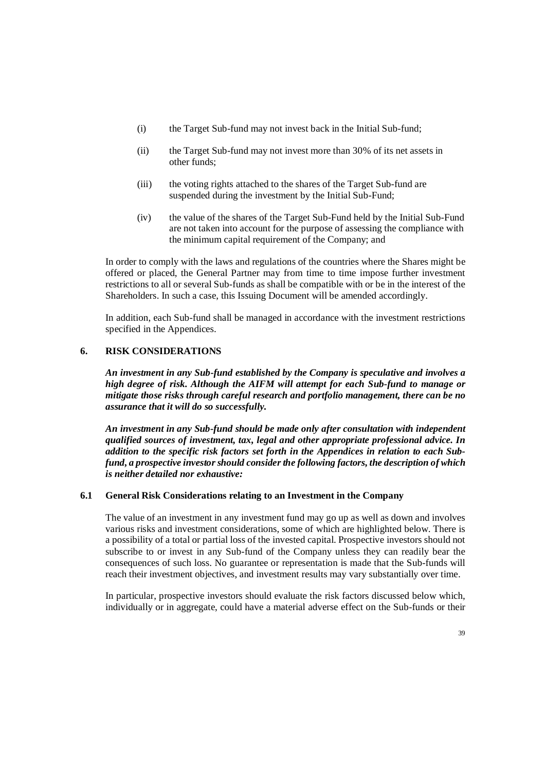- (i) the Target Sub-fund may not invest back in the Initial Sub-fund;
- (ii) the Target Sub-fund may not invest more than 30% of its net assets in other funds;
- (iii) the voting rights attached to the shares of the Target Sub-fund are suspended during the investment by the Initial Sub-Fund;
- (iv) the value of the shares of the Target Sub-Fund held by the Initial Sub-Fund are not taken into account for the purpose of assessing the compliance with the minimum capital requirement of the Company; and

In order to comply with the laws and regulations of the countries where the Shares might be offered or placed, the General Partner may from time to time impose further investment restrictions to all or several Sub-funds as shall be compatible with or be in the interest of the Shareholders. In such a case, this Issuing Document will be amended accordingly.

In addition, each Sub-fund shall be managed in accordance with the investment restrictions specified in the Appendices.

# **6. RISK CONSIDERATIONS**

*An investment in any Sub-fund established by the Company is speculative and involves a high degree of risk. Although the AIFM will attempt for each Sub-fund to manage or mitigate those risks through careful research and portfolio management, there can be no assurance that it will do so successfully.* 

*An investment in any Sub-fund should be made only after consultation with independent qualified sources of investment, tax, legal and other appropriate professional advice. In addition to the specific risk factors set forth in the Appendices in relation to each Subfund, a prospective investor should consider the following factors, the description of which is neither detailed nor exhaustive:* 

### **6.1 General Risk Considerations relating to an Investment in the Company**

The value of an investment in any investment fund may go up as well as down and involves various risks and investment considerations, some of which are highlighted below. There is a possibility of a total or partial loss of the invested capital. Prospective investors should not subscribe to or invest in any Sub-fund of the Company unless they can readily bear the consequences of such loss. No guarantee or representation is made that the Sub-funds will reach their investment objectives, and investment results may vary substantially over time.

In particular, prospective investors should evaluate the risk factors discussed below which, individually or in aggregate, could have a material adverse effect on the Sub-funds or their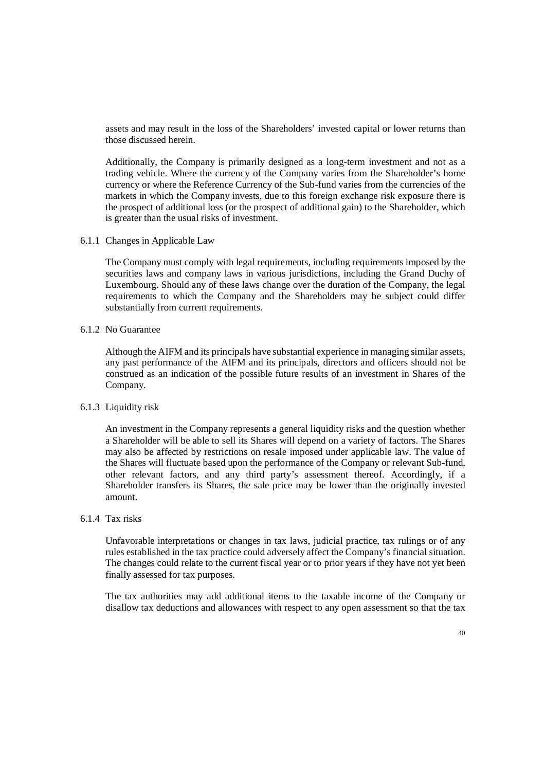assets and may result in the loss of the Shareholders' invested capital or lower returns than those discussed herein.

Additionally, the Company is primarily designed as a long-term investment and not as a trading vehicle. Where the currency of the Company varies from the Shareholder's home currency or where the Reference Currency of the Sub-fund varies from the currencies of the markets in which the Company invests, due to this foreign exchange risk exposure there is the prospect of additional loss (or the prospect of additional gain) to the Shareholder, which is greater than the usual risks of investment.

6.1.1 Changes in Applicable Law

The Company must comply with legal requirements, including requirements imposed by the securities laws and company laws in various jurisdictions, including the Grand Duchy of Luxembourg. Should any of these laws change over the duration of the Company, the legal requirements to which the Company and the Shareholders may be subject could differ substantially from current requirements.

6.1.2 No Guarantee

Although the AIFM and its principals have substantial experience in managing similar assets, any past performance of the AIFM and its principals, directors and officers should not be construed as an indication of the possible future results of an investment in Shares of the Company.

# 6.1.3 Liquidity risk

An investment in the Company represents a general liquidity risks and the question whether a Shareholder will be able to sell its Shares will depend on a variety of factors. The Shares may also be affected by restrictions on resale imposed under applicable law. The value of the Shares will fluctuate based upon the performance of the Company or relevant Sub-fund, other relevant factors, and any third party's assessment thereof. Accordingly, if a Shareholder transfers its Shares, the sale price may be lower than the originally invested amount.

# 6.1.4 Tax risks

Unfavorable interpretations or changes in tax laws, judicial practice, tax rulings or of any rules established in the tax practice could adversely affect the Company's financial situation. The changes could relate to the current fiscal year or to prior years if they have not yet been finally assessed for tax purposes.

The tax authorities may add additional items to the taxable income of the Company or disallow tax deductions and allowances with respect to any open assessment so that the tax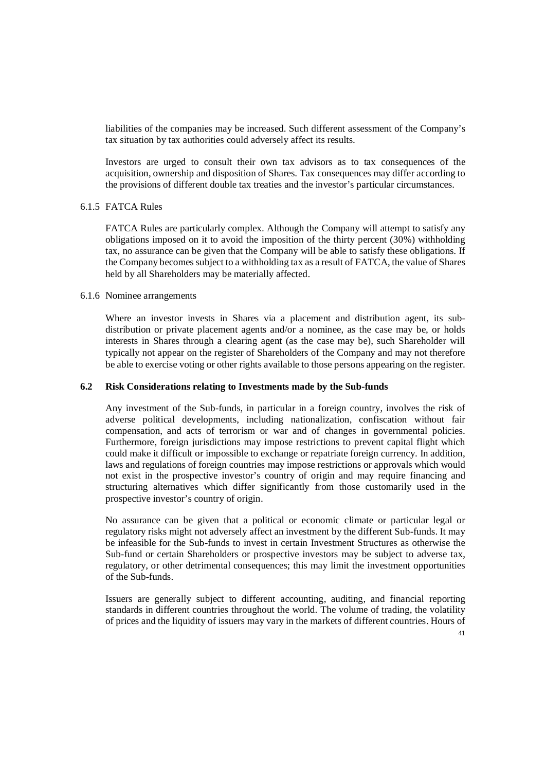liabilities of the companies may be increased. Such different assessment of the Company's tax situation by tax authorities could adversely affect its results.

Investors are urged to consult their own tax advisors as to tax consequences of the acquisition, ownership and disposition of Shares. Tax consequences may differ according to the provisions of different double tax treaties and the investor's particular circumstances.

# 6.1.5 FATCA Rules

FATCA Rules are particularly complex. Although the Company will attempt to satisfy any obligations imposed on it to avoid the imposition of the thirty percent (30%) withholding tax, no assurance can be given that the Company will be able to satisfy these obligations. If the Company becomes subject to a withholding tax as a result of FATCA, the value of Shares held by all Shareholders may be materially affected.

### 6.1.6 Nominee arrangements

Where an investor invests in Shares via a placement and distribution agent, its subdistribution or private placement agents and/or a nominee, as the case may be, or holds interests in Shares through a clearing agent (as the case may be), such Shareholder will typically not appear on the register of Shareholders of the Company and may not therefore be able to exercise voting or other rights available to those persons appearing on the register.

### **6.2 Risk Considerations relating to Investments made by the Sub-funds**

Any investment of the Sub-funds, in particular in a foreign country, involves the risk of adverse political developments, including nationalization, confiscation without fair compensation, and acts of terrorism or war and of changes in governmental policies. Furthermore, foreign jurisdictions may impose restrictions to prevent capital flight which could make it difficult or impossible to exchange or repatriate foreign currency. In addition, laws and regulations of foreign countries may impose restrictions or approvals which would not exist in the prospective investor's country of origin and may require financing and structuring alternatives which differ significantly from those customarily used in the prospective investor's country of origin.

No assurance can be given that a political or economic climate or particular legal or regulatory risks might not adversely affect an investment by the different Sub-funds. It may be infeasible for the Sub-funds to invest in certain Investment Structures as otherwise the Sub-fund or certain Shareholders or prospective investors may be subject to adverse tax, regulatory, or other detrimental consequences; this may limit the investment opportunities of the Sub-funds.

Issuers are generally subject to different accounting, auditing, and financial reporting standards in different countries throughout the world. The volume of trading, the volatility of prices and the liquidity of issuers may vary in the markets of different countries. Hours of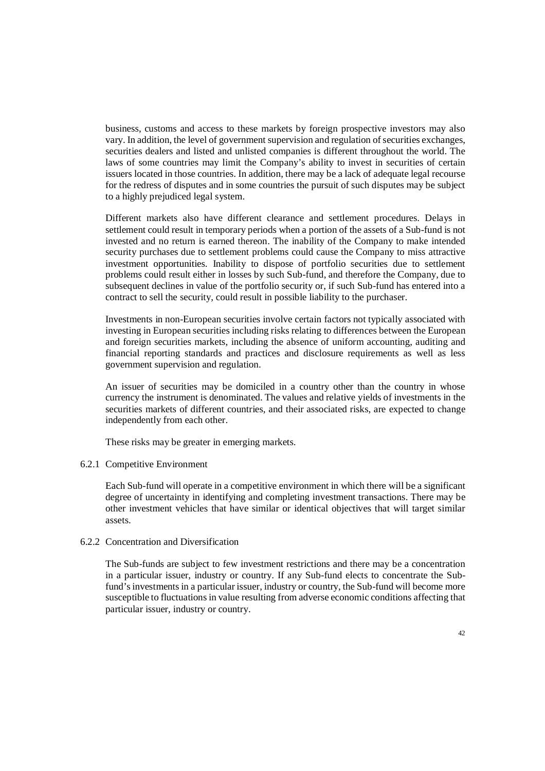business, customs and access to these markets by foreign prospective investors may also vary. In addition, the level of government supervision and regulation of securities exchanges, securities dealers and listed and unlisted companies is different throughout the world. The laws of some countries may limit the Company's ability to invest in securities of certain issuers located in those countries. In addition, there may be a lack of adequate legal recourse for the redress of disputes and in some countries the pursuit of such disputes may be subject to a highly prejudiced legal system.

Different markets also have different clearance and settlement procedures. Delays in settlement could result in temporary periods when a portion of the assets of a Sub-fund is not invested and no return is earned thereon. The inability of the Company to make intended security purchases due to settlement problems could cause the Company to miss attractive investment opportunities. Inability to dispose of portfolio securities due to settlement problems could result either in losses by such Sub-fund, and therefore the Company, due to subsequent declines in value of the portfolio security or, if such Sub-fund has entered into a contract to sell the security, could result in possible liability to the purchaser.

Investments in non-European securities involve certain factors not typically associated with investing in European securities including risks relating to differences between the European and foreign securities markets, including the absence of uniform accounting, auditing and financial reporting standards and practices and disclosure requirements as well as less government supervision and regulation.

An issuer of securities may be domiciled in a country other than the country in whose currency the instrument is denominated. The values and relative yields of investments in the securities markets of different countries, and their associated risks, are expected to change independently from each other.

These risks may be greater in emerging markets.

#### 6.2.1 Competitive Environment

Each Sub-fund will operate in a competitive environment in which there will be a significant degree of uncertainty in identifying and completing investment transactions. There may be other investment vehicles that have similar or identical objectives that will target similar assets.

#### 6.2.2 Concentration and Diversification

The Sub-funds are subject to few investment restrictions and there may be a concentration in a particular issuer, industry or country. If any Sub-fund elects to concentrate the Subfund's investments in a particular issuer, industry or country, the Sub-fund will become more susceptible to fluctuations in value resulting from adverse economic conditions affecting that particular issuer, industry or country.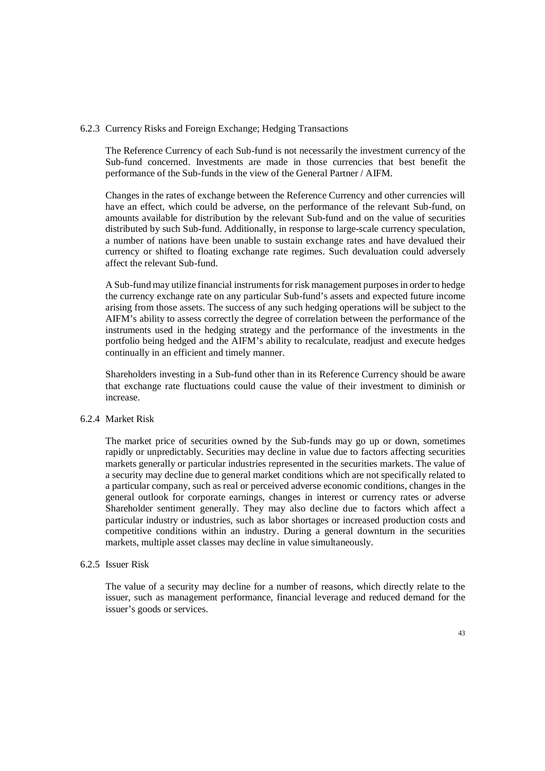#### 6.2.3 Currency Risks and Foreign Exchange; Hedging Transactions

The Reference Currency of each Sub-fund is not necessarily the investment currency of the Sub-fund concerned. Investments are made in those currencies that best benefit the performance of the Sub-funds in the view of the General Partner / AIFM.

Changes in the rates of exchange between the Reference Currency and other currencies will have an effect, which could be adverse, on the performance of the relevant Sub-fund, on amounts available for distribution by the relevant Sub-fund and on the value of securities distributed by such Sub-fund. Additionally, in response to large-scale currency speculation, a number of nations have been unable to sustain exchange rates and have devalued their currency or shifted to floating exchange rate regimes. Such devaluation could adversely affect the relevant Sub-fund.

A Sub-fund may utilize financial instruments for risk management purposes in order to hedge the currency exchange rate on any particular Sub-fund's assets and expected future income arising from those assets. The success of any such hedging operations will be subject to the AIFM's ability to assess correctly the degree of correlation between the performance of the instruments used in the hedging strategy and the performance of the investments in the portfolio being hedged and the AIFM's ability to recalculate, readjust and execute hedges continually in an efficient and timely manner.

Shareholders investing in a Sub-fund other than in its Reference Currency should be aware that exchange rate fluctuations could cause the value of their investment to diminish or increase.

### 6.2.4 Market Risk

The market price of securities owned by the Sub-funds may go up or down, sometimes rapidly or unpredictably. Securities may decline in value due to factors affecting securities markets generally or particular industries represented in the securities markets. The value of a security may decline due to general market conditions which are not specifically related to a particular company, such as real or perceived adverse economic conditions, changes in the general outlook for corporate earnings, changes in interest or currency rates or adverse Shareholder sentiment generally. They may also decline due to factors which affect a particular industry or industries, such as labor shortages or increased production costs and competitive conditions within an industry. During a general downturn in the securities markets, multiple asset classes may decline in value simultaneously.

#### 6.2.5 Issuer Risk

The value of a security may decline for a number of reasons, which directly relate to the issuer, such as management performance, financial leverage and reduced demand for the issuer's goods or services.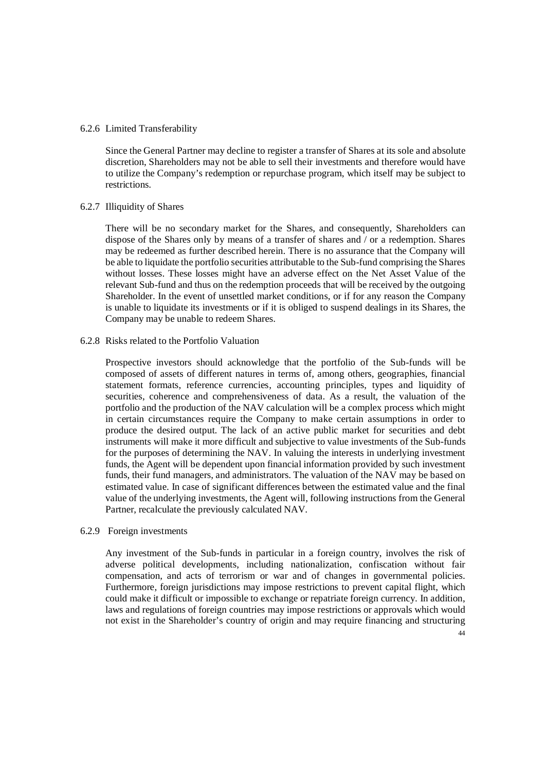#### 6.2.6 Limited Transferability

Since the General Partner may decline to register a transfer of Shares at its sole and absolute discretion, Shareholders may not be able to sell their investments and therefore would have to utilize the Company's redemption or repurchase program, which itself may be subject to restrictions.

### 6.2.7 Illiquidity of Shares

There will be no secondary market for the Shares, and consequently, Shareholders can dispose of the Shares only by means of a transfer of shares and / or a redemption. Shares may be redeemed as further described herein. There is no assurance that the Company will be able to liquidate the portfolio securities attributable to the Sub-fund comprising the Shares without losses. These losses might have an adverse effect on the Net Asset Value of the relevant Sub-fund and thus on the redemption proceeds that will be received by the outgoing Shareholder. In the event of unsettled market conditions, or if for any reason the Company is unable to liquidate its investments or if it is obliged to suspend dealings in its Shares, the Company may be unable to redeem Shares.

# 6.2.8 Risks related to the Portfolio Valuation

Prospective investors should acknowledge that the portfolio of the Sub-funds will be composed of assets of different natures in terms of, among others, geographies, financial statement formats, reference currencies, accounting principles, types and liquidity of securities, coherence and comprehensiveness of data. As a result, the valuation of the portfolio and the production of the NAV calculation will be a complex process which might in certain circumstances require the Company to make certain assumptions in order to produce the desired output. The lack of an active public market for securities and debt instruments will make it more difficult and subjective to value investments of the Sub-funds for the purposes of determining the NAV. In valuing the interests in underlying investment funds, the Agent will be dependent upon financial information provided by such investment funds, their fund managers, and administrators. The valuation of the NAV may be based on estimated value. In case of significant differences between the estimated value and the final value of the underlying investments, the Agent will, following instructions from the General Partner, recalculate the previously calculated NAV.

#### 6.2.9 Foreign investments

Any investment of the Sub-funds in particular in a foreign country, involves the risk of adverse political developments, including nationalization, confiscation without fair compensation, and acts of terrorism or war and of changes in governmental policies. Furthermore, foreign jurisdictions may impose restrictions to prevent capital flight, which could make it difficult or impossible to exchange or repatriate foreign currency. In addition, laws and regulations of foreign countries may impose restrictions or approvals which would not exist in the Shareholder's country of origin and may require financing and structuring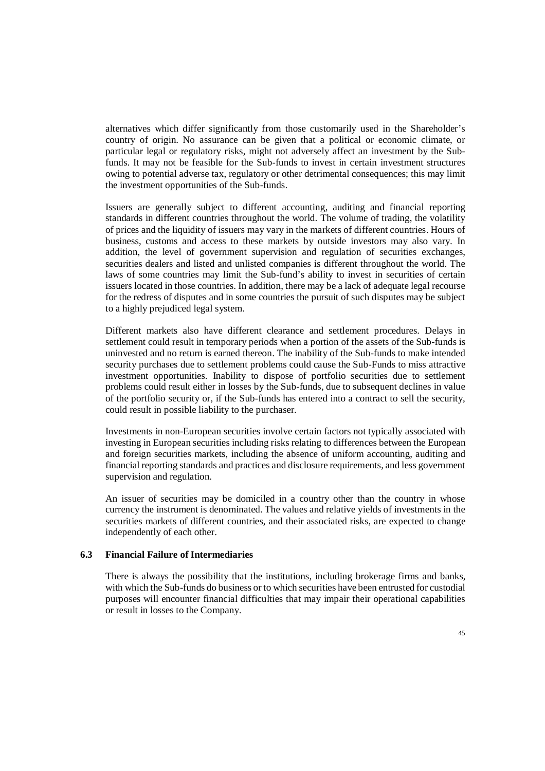alternatives which differ significantly from those customarily used in the Shareholder's country of origin. No assurance can be given that a political or economic climate, or particular legal or regulatory risks, might not adversely affect an investment by the Subfunds. It may not be feasible for the Sub-funds to invest in certain investment structures owing to potential adverse tax, regulatory or other detrimental consequences; this may limit the investment opportunities of the Sub-funds.

Issuers are generally subject to different accounting, auditing and financial reporting standards in different countries throughout the world. The volume of trading, the volatility of prices and the liquidity of issuers may vary in the markets of different countries. Hours of business, customs and access to these markets by outside investors may also vary. In addition, the level of government supervision and regulation of securities exchanges, securities dealers and listed and unlisted companies is different throughout the world. The laws of some countries may limit the Sub-fund's ability to invest in securities of certain issuers located in those countries. In addition, there may be a lack of adequate legal recourse for the redress of disputes and in some countries the pursuit of such disputes may be subject to a highly prejudiced legal system.

Different markets also have different clearance and settlement procedures. Delays in settlement could result in temporary periods when a portion of the assets of the Sub-funds is uninvested and no return is earned thereon. The inability of the Sub-funds to make intended security purchases due to settlement problems could cause the Sub-Funds to miss attractive investment opportunities. Inability to dispose of portfolio securities due to settlement problems could result either in losses by the Sub-funds, due to subsequent declines in value of the portfolio security or, if the Sub-funds has entered into a contract to sell the security, could result in possible liability to the purchaser.

Investments in non-European securities involve certain factors not typically associated with investing in European securities including risks relating to differences between the European and foreign securities markets, including the absence of uniform accounting, auditing and financial reporting standards and practices and disclosure requirements, and less government supervision and regulation.

An issuer of securities may be domiciled in a country other than the country in whose currency the instrument is denominated. The values and relative yields of investments in the securities markets of different countries, and their associated risks, are expected to change independently of each other.

### **6.3 Financial Failure of Intermediaries**

There is always the possibility that the institutions, including brokerage firms and banks, with which the Sub-funds do business or to which securities have been entrusted for custodial purposes will encounter financial difficulties that may impair their operational capabilities or result in losses to the Company.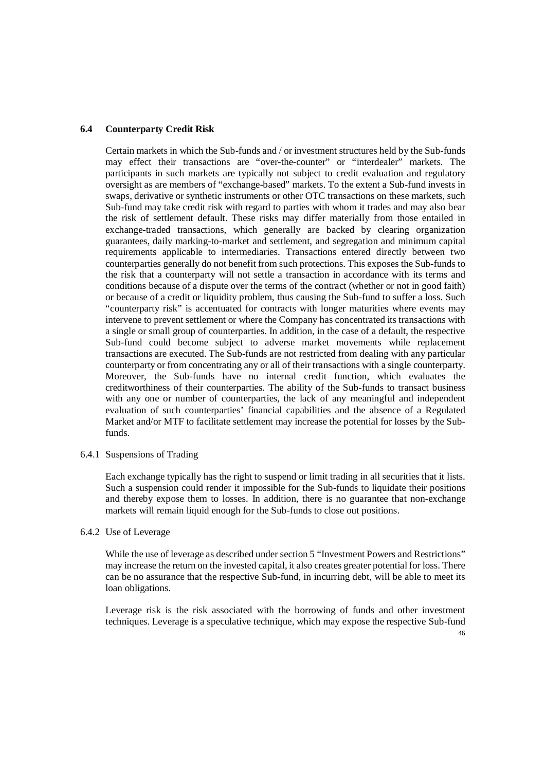# **6.4 Counterparty Credit Risk**

Certain markets in which the Sub-funds and / or investment structures held by the Sub-funds may effect their transactions are "over-the-counter" or "interdealer" markets. The participants in such markets are typically not subject to credit evaluation and regulatory oversight as are members of "exchange-based" markets. To the extent a Sub-fund invests in swaps, derivative or synthetic instruments or other OTC transactions on these markets, such Sub-fund may take credit risk with regard to parties with whom it trades and may also bear the risk of settlement default. These risks may differ materially from those entailed in exchange-traded transactions, which generally are backed by clearing organization guarantees, daily marking-to-market and settlement, and segregation and minimum capital requirements applicable to intermediaries. Transactions entered directly between two counterparties generally do not benefit from such protections. This exposes the Sub-funds to the risk that a counterparty will not settle a transaction in accordance with its terms and conditions because of a dispute over the terms of the contract (whether or not in good faith) or because of a credit or liquidity problem, thus causing the Sub-fund to suffer a loss. Such "counterparty risk" is accentuated for contracts with longer maturities where events may intervene to prevent settlement or where the Company has concentrated its transactions with a single or small group of counterparties. In addition, in the case of a default, the respective Sub-fund could become subject to adverse market movements while replacement transactions are executed. The Sub-funds are not restricted from dealing with any particular counterparty or from concentrating any or all of their transactions with a single counterparty. Moreover, the Sub-funds have no internal credit function, which evaluates the creditworthiness of their counterparties. The ability of the Sub-funds to transact business with any one or number of counterparties, the lack of any meaningful and independent evaluation of such counterparties' financial capabilities and the absence of a Regulated Market and/or MTF to facilitate settlement may increase the potential for losses by the Subfunds.

6.4.1 Suspensions of Trading

Each exchange typically has the right to suspend or limit trading in all securities that it lists. Such a suspension could render it impossible for the Sub-funds to liquidate their positions and thereby expose them to losses. In addition, there is no guarantee that non-exchange markets will remain liquid enough for the Sub-funds to close out positions.

6.4.2 Use of Leverage

While the use of leverage as described under section 5 "Investment Powers and Restrictions" may increase the return on the invested capital, it also creates greater potential for loss. There can be no assurance that the respective Sub-fund, in incurring debt, will be able to meet its loan obligations.

Leverage risk is the risk associated with the borrowing of funds and other investment techniques. Leverage is a speculative technique, which may expose the respective Sub-fund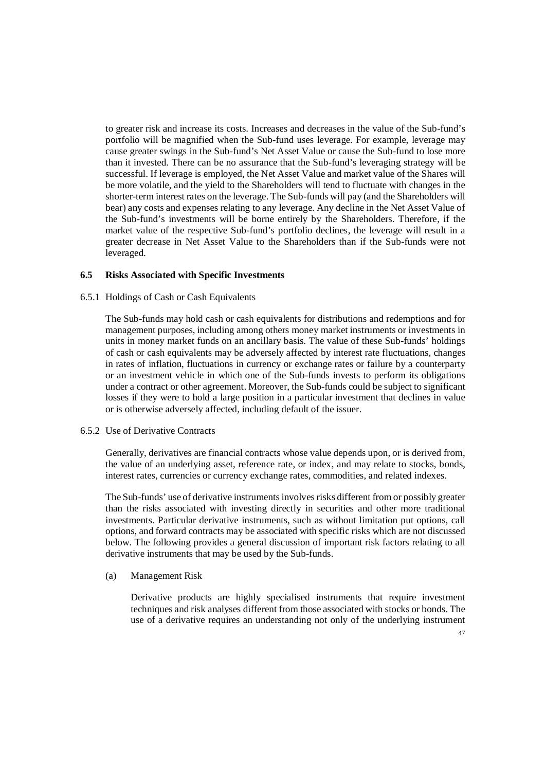to greater risk and increase its costs. Increases and decreases in the value of the Sub-fund's portfolio will be magnified when the Sub-fund uses leverage. For example, leverage may cause greater swings in the Sub-fund's Net Asset Value or cause the Sub-fund to lose more than it invested. There can be no assurance that the Sub-fund's leveraging strategy will be successful. If leverage is employed, the Net Asset Value and market value of the Shares will be more volatile, and the yield to the Shareholders will tend to fluctuate with changes in the shorter-term interest rates on the leverage. The Sub-funds will pay (and the Shareholders will bear) any costs and expenses relating to any leverage. Any decline in the Net Asset Value of the Sub-fund's investments will be borne entirely by the Shareholders. Therefore, if the market value of the respective Sub-fund's portfolio declines, the leverage will result in a greater decrease in Net Asset Value to the Shareholders than if the Sub-funds were not leveraged.

## **6.5 Risks Associated with Specific Investments**

# 6.5.1 Holdings of Cash or Cash Equivalents

The Sub-funds may hold cash or cash equivalents for distributions and redemptions and for management purposes, including among others money market instruments or investments in units in money market funds on an ancillary basis. The value of these Sub-funds' holdings of cash or cash equivalents may be adversely affected by interest rate fluctuations, changes in rates of inflation, fluctuations in currency or exchange rates or failure by a counterparty or an investment vehicle in which one of the Sub-funds invests to perform its obligations under a contract or other agreement. Moreover, the Sub-funds could be subject to significant losses if they were to hold a large position in a particular investment that declines in value or is otherwise adversely affected, including default of the issuer.

### 6.5.2 Use of Derivative Contracts

Generally, derivatives are financial contracts whose value depends upon, or is derived from, the value of an underlying asset, reference rate, or index, and may relate to stocks, bonds, interest rates, currencies or currency exchange rates, commodities, and related indexes.

The Sub-funds' use of derivative instruments involves risks different from or possibly greater than the risks associated with investing directly in securities and other more traditional investments. Particular derivative instruments, such as without limitation put options, call options, and forward contracts may be associated with specific risks which are not discussed below. The following provides a general discussion of important risk factors relating to all derivative instruments that may be used by the Sub-funds.

### (a) Management Risk

Derivative products are highly specialised instruments that require investment techniques and risk analyses different from those associated with stocks or bonds. The use of a derivative requires an understanding not only of the underlying instrument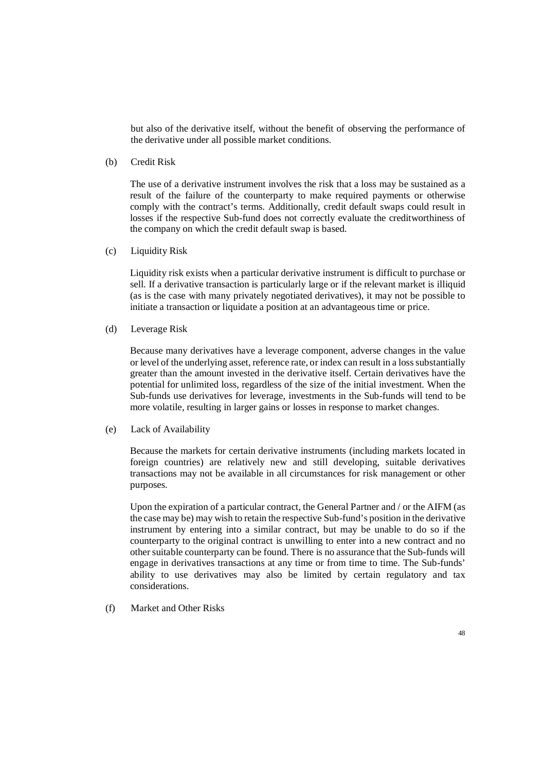but also of the derivative itself, without the benefit of observing the performance of the derivative under all possible market conditions.

(b) Credit Risk

 The use of a derivative instrument involves the risk that a loss may be sustained as a result of the failure of the counterparty to make required payments or otherwise comply with the contract's terms. Additionally, credit default swaps could result in losses if the respective Sub-fund does not correctly evaluate the creditworthiness of the company on which the credit default swap is based.

(c) Liquidity Risk

 Liquidity risk exists when a particular derivative instrument is difficult to purchase or sell. If a derivative transaction is particularly large or if the relevant market is illiquid (as is the case with many privately negotiated derivatives), it may not be possible to initiate a transaction or liquidate a position at an advantageous time or price.

(d) Leverage Risk

 Because many derivatives have a leverage component, adverse changes in the value or level of the underlying asset, reference rate, or index can result in a loss substantially greater than the amount invested in the derivative itself. Certain derivatives have the potential for unlimited loss, regardless of the size of the initial investment. When the Sub-funds use derivatives for leverage, investments in the Sub-funds will tend to be more volatile, resulting in larger gains or losses in response to market changes.

(e) Lack of Availability

 Because the markets for certain derivative instruments (including markets located in foreign countries) are relatively new and still developing, suitable derivatives transactions may not be available in all circumstances for risk management or other purposes.

 Upon the expiration of a particular contract, the General Partner and / or the AIFM (as the case may be) may wish to retain the respective Sub-fund's position in the derivative instrument by entering into a similar contract, but may be unable to do so if the counterparty to the original contract is unwilling to enter into a new contract and no other suitable counterparty can be found. There is no assurance that the Sub-funds will engage in derivatives transactions at any time or from time to time. The Sub-funds' ability to use derivatives may also be limited by certain regulatory and tax considerations.

(f) Market and Other Risks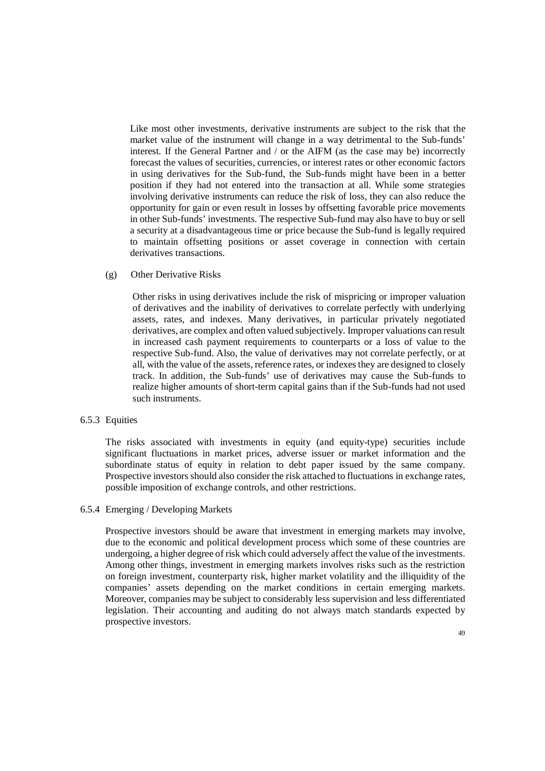Like most other investments, derivative instruments are subject to the risk that the market value of the instrument will change in a way detrimental to the Sub-funds' interest. If the General Partner and / or the AIFM (as the case may be) incorrectly forecast the values of securities, currencies, or interest rates or other economic factors in using derivatives for the Sub-fund, the Sub-funds might have been in a better position if they had not entered into the transaction at all. While some strategies involving derivative instruments can reduce the risk of loss, they can also reduce the opportunity for gain or even result in losses by offsetting favorable price movements in other Sub-funds' investments. The respective Sub-fund may also have to buy or sell a security at a disadvantageous time or price because the Sub-fund is legally required to maintain offsetting positions or asset coverage in connection with certain derivatives transactions.

(g) Other Derivative Risks

 Other risks in using derivatives include the risk of mispricing or improper valuation of derivatives and the inability of derivatives to correlate perfectly with underlying assets, rates, and indexes. Many derivatives, in particular privately negotiated derivatives, are complex and often valued subjectively. Improper valuations can result in increased cash payment requirements to counterparts or a loss of value to the respective Sub-fund. Also, the value of derivatives may not correlate perfectly, or at all, with the value of the assets, reference rates, or indexes they are designed to closely track. In addition, the Sub-funds' use of derivatives may cause the Sub-funds to realize higher amounts of short-term capital gains than if the Sub-funds had not used such instruments.

#### 6.5.3 Equities

The risks associated with investments in equity (and equity-type) securities include significant fluctuations in market prices, adverse issuer or market information and the subordinate status of equity in relation to debt paper issued by the same company. Prospective investors should also consider the risk attached to fluctuations in exchange rates, possible imposition of exchange controls, and other restrictions.

#### 6.5.4 Emerging / Developing Markets

Prospective investors should be aware that investment in emerging markets may involve, due to the economic and political development process which some of these countries are undergoing, a higher degree of risk which could adversely affect the value of the investments. Among other things, investment in emerging markets involves risks such as the restriction on foreign investment, counterparty risk, higher market volatility and the illiquidity of the companies' assets depending on the market conditions in certain emerging markets. Moreover, companies may be subject to considerably less supervision and less differentiated legislation. Their accounting and auditing do not always match standards expected by prospective investors.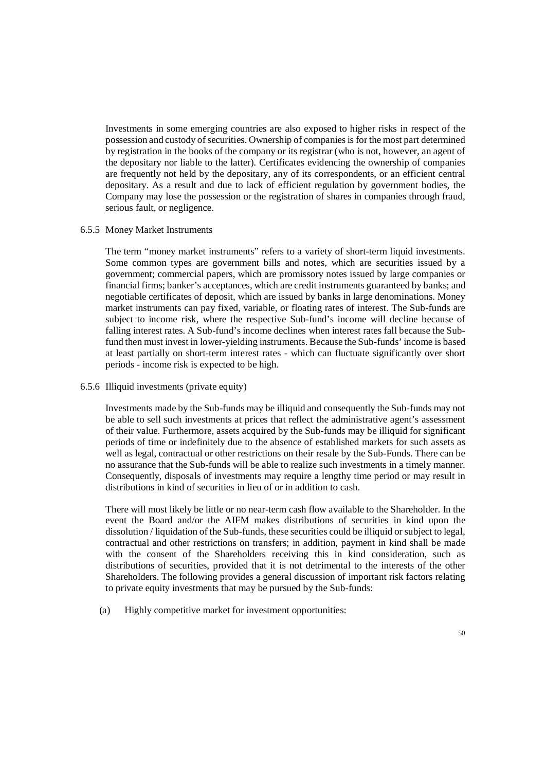Investments in some emerging countries are also exposed to higher risks in respect of the possession and custody of securities. Ownership of companies is for the most part determined by registration in the books of the company or its registrar (who is not, however, an agent of the depositary nor liable to the latter). Certificates evidencing the ownership of companies are frequently not held by the depositary, any of its correspondents, or an efficient central depositary. As a result and due to lack of efficient regulation by government bodies, the Company may lose the possession or the registration of shares in companies through fraud, serious fault, or negligence.

# 6.5.5 Money Market Instruments

The term "money market instruments" refers to a variety of short-term liquid investments. Some common types are government bills and notes, which are securities issued by a government; commercial papers, which are promissory notes issued by large companies or financial firms; banker's acceptances, which are credit instruments guaranteed by banks; and negotiable certificates of deposit, which are issued by banks in large denominations. Money market instruments can pay fixed, variable, or floating rates of interest. The Sub-funds are subject to income risk, where the respective Sub-fund's income will decline because of falling interest rates. A Sub-fund's income declines when interest rates fall because the Subfund then must invest in lower-yielding instruments. Because the Sub-funds' income is based at least partially on short-term interest rates - which can fluctuate significantly over short periods - income risk is expected to be high.

# 6.5.6 Illiquid investments (private equity)

Investments made by the Sub-funds may be illiquid and consequently the Sub-funds may not be able to sell such investments at prices that reflect the administrative agent's assessment of their value. Furthermore, assets acquired by the Sub-funds may be illiquid for significant periods of time or indefinitely due to the absence of established markets for such assets as well as legal, contractual or other restrictions on their resale by the Sub-Funds. There can be no assurance that the Sub-funds will be able to realize such investments in a timely manner. Consequently, disposals of investments may require a lengthy time period or may result in distributions in kind of securities in lieu of or in addition to cash.

There will most likely be little or no near-term cash flow available to the Shareholder. In the event the Board and/or the AIFM makes distributions of securities in kind upon the dissolution / liquidation of the Sub-funds, these securities could be illiquid or subject to legal, contractual and other restrictions on transfers; in addition, payment in kind shall be made with the consent of the Shareholders receiving this in kind consideration, such as distributions of securities, provided that it is not detrimental to the interests of the other Shareholders. The following provides a general discussion of important risk factors relating to private equity investments that may be pursued by the Sub-funds:

(a) Highly competitive market for investment opportunities: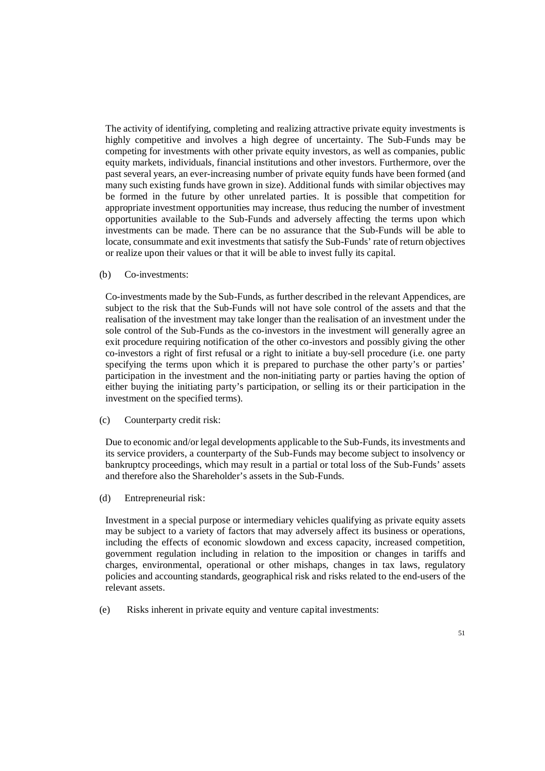The activity of identifying, completing and realizing attractive private equity investments is highly competitive and involves a high degree of uncertainty. The Sub-Funds may be competing for investments with other private equity investors, as well as companies, public equity markets, individuals, financial institutions and other investors. Furthermore, over the past several years, an ever-increasing number of private equity funds have been formed (and many such existing funds have grown in size). Additional funds with similar objectives may be formed in the future by other unrelated parties. It is possible that competition for appropriate investment opportunities may increase, thus reducing the number of investment opportunities available to the Sub-Funds and adversely affecting the terms upon which investments can be made. There can be no assurance that the Sub-Funds will be able to locate, consummate and exit investments that satisfy the Sub-Funds' rate of return objectives or realize upon their values or that it will be able to invest fully its capital.

(b) Co-investments:

Co-investments made by the Sub-Funds, as further described in the relevant Appendices, are subject to the risk that the Sub-Funds will not have sole control of the assets and that the realisation of the investment may take longer than the realisation of an investment under the sole control of the Sub-Funds as the co-investors in the investment will generally agree an exit procedure requiring notification of the other co-investors and possibly giving the other co-investors a right of first refusal or a right to initiate a buy-sell procedure (i.e. one party specifying the terms upon which it is prepared to purchase the other party's or parties' participation in the investment and the non-initiating party or parties having the option of either buying the initiating party's participation, or selling its or their participation in the investment on the specified terms).

(c) Counterparty credit risk:

Due to economic and/or legal developments applicable to the Sub-Funds, its investments and its service providers, a counterparty of the Sub-Funds may become subject to insolvency or bankruptcy proceedings, which may result in a partial or total loss of the Sub-Funds' assets and therefore also the Shareholder's assets in the Sub-Funds.

(d) Entrepreneurial risk:

Investment in a special purpose or intermediary vehicles qualifying as private equity assets may be subject to a variety of factors that may adversely affect its business or operations, including the effects of economic slowdown and excess capacity, increased competition, government regulation including in relation to the imposition or changes in tariffs and charges, environmental, operational or other mishaps, changes in tax laws, regulatory policies and accounting standards, geographical risk and risks related to the end-users of the relevant assets.

(e) Risks inherent in private equity and venture capital investments: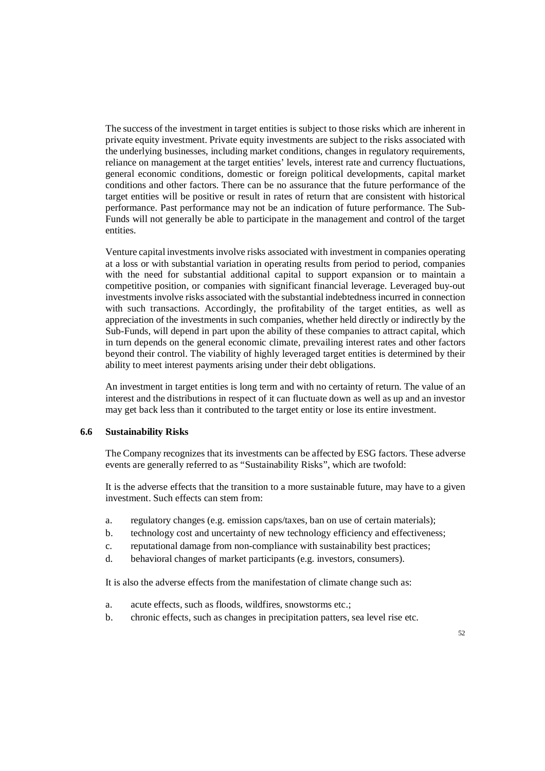The success of the investment in target entities is subject to those risks which are inherent in private equity investment. Private equity investments are subject to the risks associated with the underlying businesses, including market conditions, changes in regulatory requirements, reliance on management at the target entities' levels, interest rate and currency fluctuations, general economic conditions, domestic or foreign political developments, capital market conditions and other factors. There can be no assurance that the future performance of the target entities will be positive or result in rates of return that are consistent with historical performance. Past performance may not be an indication of future performance. The Sub-Funds will not generally be able to participate in the management and control of the target entities.

Venture capital investments involve risks associated with investment in companies operating at a loss or with substantial variation in operating results from period to period, companies with the need for substantial additional capital to support expansion or to maintain a competitive position, or companies with significant financial leverage. Leveraged buy-out investments involve risks associated with the substantial indebtedness incurred in connection with such transactions. Accordingly, the profitability of the target entities, as well as appreciation of the investments in such companies, whether held directly or indirectly by the Sub-Funds, will depend in part upon the ability of these companies to attract capital, which in turn depends on the general economic climate, prevailing interest rates and other factors beyond their control. The viability of highly leveraged target entities is determined by their ability to meet interest payments arising under their debt obligations.

An investment in target entities is long term and with no certainty of return. The value of an interest and the distributions in respect of it can fluctuate down as well as up and an investor may get back less than it contributed to the target entity or lose its entire investment.

### **6.6 Sustainability Risks**

The Company recognizes that its investments can be affected by ESG factors. These adverse events are generally referred to as "Sustainability Risks", which are twofold:

It is the adverse effects that the transition to a more sustainable future, may have to a given investment. Such effects can stem from:

- a. regulatory changes (e.g. emission caps/taxes, ban on use of certain materials);
- b. technology cost and uncertainty of new technology efficiency and effectiveness;
- c. reputational damage from non-compliance with sustainability best practices;
- d. behavioral changes of market participants (e.g. investors, consumers).

It is also the adverse effects from the manifestation of climate change such as:

- a. acute effects, such as floods, wildfires, snowstorms etc.;
- b. chronic effects, such as changes in precipitation patters, sea level rise etc.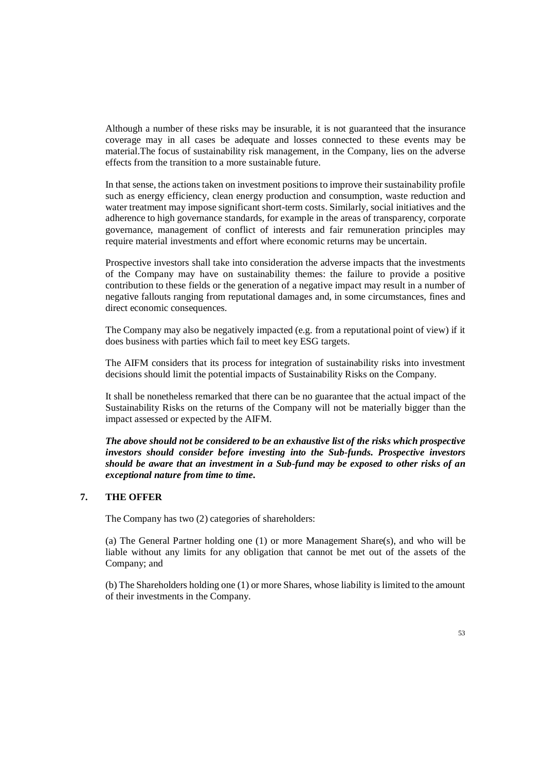Although a number of these risks may be insurable, it is not guaranteed that the insurance coverage may in all cases be adequate and losses connected to these events may be material.The focus of sustainability risk management, in the Company, lies on the adverse effects from the transition to a more sustainable future.

In that sense, the actions taken on investment positions to improve their sustainability profile such as energy efficiency, clean energy production and consumption, waste reduction and water treatment may impose significant short-term costs. Similarly, social initiatives and the adherence to high governance standards, for example in the areas of transparency, corporate governance, management of conflict of interests and fair remuneration principles may require material investments and effort where economic returns may be uncertain.

Prospective investors shall take into consideration the adverse impacts that the investments of the Company may have on sustainability themes: the failure to provide a positive contribution to these fields or the generation of a negative impact may result in a number of negative fallouts ranging from reputational damages and, in some circumstances, fines and direct economic consequences.

The Company may also be negatively impacted (e.g. from a reputational point of view) if it does business with parties which fail to meet key ESG targets.

The AIFM considers that its process for integration of sustainability risks into investment decisions should limit the potential impacts of Sustainability Risks on the Company.

It shall be nonetheless remarked that there can be no guarantee that the actual impact of the Sustainability Risks on the returns of the Company will not be materially bigger than the impact assessed or expected by the AIFM.

*The above should not be considered to be an exhaustive list of the risks which prospective investors should consider before investing into the Sub-funds. Prospective investors should be aware that an investment in a Sub-fund may be exposed to other risks of an exceptional nature from time to time.* 

# **7. THE OFFER**

The Company has two (2) categories of shareholders:

(a) The General Partner holding one (1) or more Management Share(s), and who will be liable without any limits for any obligation that cannot be met out of the assets of the Company; and

(b) The Shareholders holding one (1) or more Shares, whose liability is limited to the amount of their investments in the Company.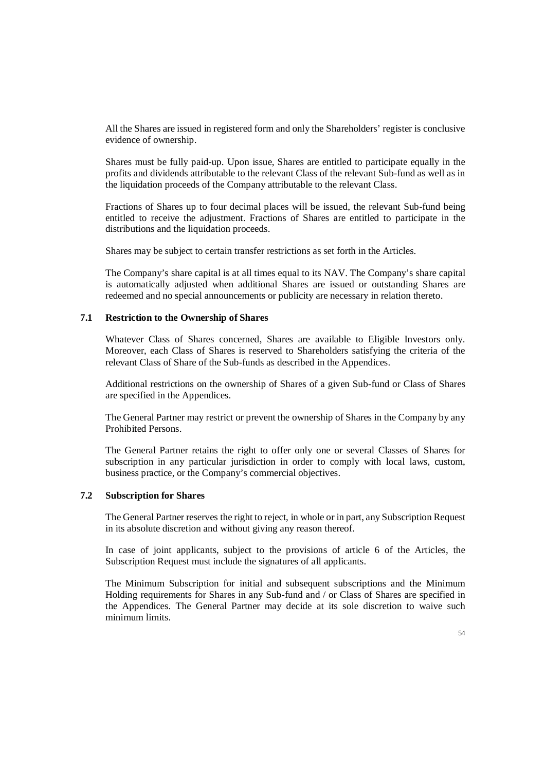All the Shares are issued in registered form and only the Shareholders' register is conclusive evidence of ownership.

Shares must be fully paid-up. Upon issue, Shares are entitled to participate equally in the profits and dividends attributable to the relevant Class of the relevant Sub-fund as well as in the liquidation proceeds of the Company attributable to the relevant Class.

Fractions of Shares up to four decimal places will be issued, the relevant Sub-fund being entitled to receive the adjustment. Fractions of Shares are entitled to participate in the distributions and the liquidation proceeds.

Shares may be subject to certain transfer restrictions as set forth in the Articles.

The Company's share capital is at all times equal to its NAV. The Company's share capital is automatically adjusted when additional Shares are issued or outstanding Shares are redeemed and no special announcements or publicity are necessary in relation thereto.

# **7.1 Restriction to the Ownership of Shares**

Whatever Class of Shares concerned, Shares are available to Eligible Investors only. Moreover, each Class of Shares is reserved to Shareholders satisfying the criteria of the relevant Class of Share of the Sub-funds as described in the Appendices.

Additional restrictions on the ownership of Shares of a given Sub-fund or Class of Shares are specified in the Appendices.

The General Partner may restrict or prevent the ownership of Shares in the Company by any Prohibited Persons.

The General Partner retains the right to offer only one or several Classes of Shares for subscription in any particular jurisdiction in order to comply with local laws, custom, business practice, or the Company's commercial objectives.

# **7.2 Subscription for Shares**

The General Partner reserves the right to reject, in whole or in part, any Subscription Request in its absolute discretion and without giving any reason thereof.

In case of joint applicants, subject to the provisions of article 6 of the Articles, the Subscription Request must include the signatures of all applicants.

The Minimum Subscription for initial and subsequent subscriptions and the Minimum Holding requirements for Shares in any Sub-fund and / or Class of Shares are specified in the Appendices. The General Partner may decide at its sole discretion to waive such minimum limits.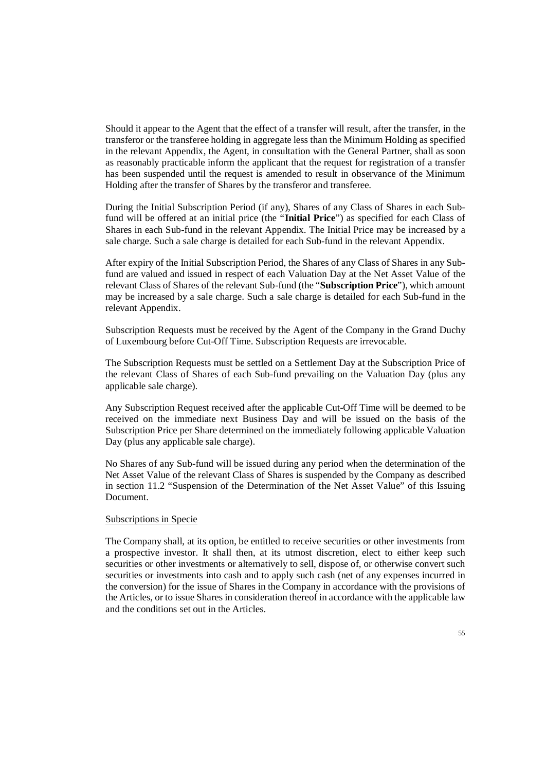Should it appear to the Agent that the effect of a transfer will result, after the transfer, in the transferor or the transferee holding in aggregate less than the Minimum Holding as specified in the relevant Appendix, the Agent, in consultation with the General Partner, shall as soon as reasonably practicable inform the applicant that the request for registration of a transfer has been suspended until the request is amended to result in observance of the Minimum Holding after the transfer of Shares by the transferor and transferee.

During the Initial Subscription Period (if any), Shares of any Class of Shares in each Subfund will be offered at an initial price (the "**Initial Price**") as specified for each Class of Shares in each Sub-fund in the relevant Appendix. The Initial Price may be increased by a sale charge. Such a sale charge is detailed for each Sub-fund in the relevant Appendix.

After expiry of the Initial Subscription Period, the Shares of any Class of Shares in any Subfund are valued and issued in respect of each Valuation Day at the Net Asset Value of the relevant Class of Shares of the relevant Sub-fund (the "**Subscription Price**"), which amount may be increased by a sale charge. Such a sale charge is detailed for each Sub-fund in the relevant Appendix.

Subscription Requests must be received by the Agent of the Company in the Grand Duchy of Luxembourg before Cut-Off Time. Subscription Requests are irrevocable.

The Subscription Requests must be settled on a Settlement Day at the Subscription Price of the relevant Class of Shares of each Sub-fund prevailing on the Valuation Day (plus any applicable sale charge).

Any Subscription Request received after the applicable Cut-Off Time will be deemed to be received on the immediate next Business Day and will be issued on the basis of the Subscription Price per Share determined on the immediately following applicable Valuation Day (plus any applicable sale charge).

No Shares of any Sub-fund will be issued during any period when the determination of the Net Asset Value of the relevant Class of Shares is suspended by the Company as described in section 11.2 "Suspension of the Determination of the Net Asset Value" of this Issuing Document.

#### Subscriptions in Specie

The Company shall, at its option, be entitled to receive securities or other investments from a prospective investor. It shall then, at its utmost discretion, elect to either keep such securities or other investments or alternatively to sell, dispose of, or otherwise convert such securities or investments into cash and to apply such cash (net of any expenses incurred in the conversion) for the issue of Shares in the Company in accordance with the provisions of the Articles, or to issue Shares in consideration thereof in accordance with the applicable law and the conditions set out in the Articles.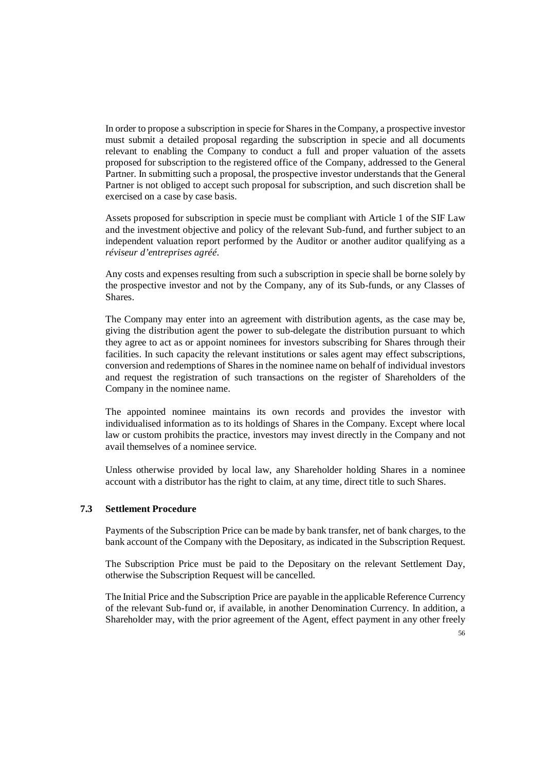In order to propose a subscription in specie for Shares in the Company, a prospective investor must submit a detailed proposal regarding the subscription in specie and all documents relevant to enabling the Company to conduct a full and proper valuation of the assets proposed for subscription to the registered office of the Company, addressed to the General Partner. In submitting such a proposal, the prospective investor understands that the General Partner is not obliged to accept such proposal for subscription, and such discretion shall be exercised on a case by case basis.

Assets proposed for subscription in specie must be compliant with Article 1 of the SIF Law and the investment objective and policy of the relevant Sub-fund, and further subject to an independent valuation report performed by the Auditor or another auditor qualifying as a *réviseur d'entreprises agréé*.

Any costs and expenses resulting from such a subscription in specie shall be borne solely by the prospective investor and not by the Company, any of its Sub-funds, or any Classes of Shares.

The Company may enter into an agreement with distribution agents, as the case may be, giving the distribution agent the power to sub-delegate the distribution pursuant to which they agree to act as or appoint nominees for investors subscribing for Shares through their facilities. In such capacity the relevant institutions or sales agent may effect subscriptions, conversion and redemptions of Shares in the nominee name on behalf of individual investors and request the registration of such transactions on the register of Shareholders of the Company in the nominee name.

The appointed nominee maintains its own records and provides the investor with individualised information as to its holdings of Shares in the Company. Except where local law or custom prohibits the practice, investors may invest directly in the Company and not avail themselves of a nominee service.

Unless otherwise provided by local law, any Shareholder holding Shares in a nominee account with a distributor has the right to claim, at any time, direct title to such Shares.

### **7.3 Settlement Procedure**

Payments of the Subscription Price can be made by bank transfer, net of bank charges, to the bank account of the Company with the Depositary, as indicated in the Subscription Request.

The Subscription Price must be paid to the Depositary on the relevant Settlement Day, otherwise the Subscription Request will be cancelled.

The Initial Price and the Subscription Price are payable in the applicable Reference Currency of the relevant Sub-fund or, if available, in another Denomination Currency. In addition, a Shareholder may, with the prior agreement of the Agent, effect payment in any other freely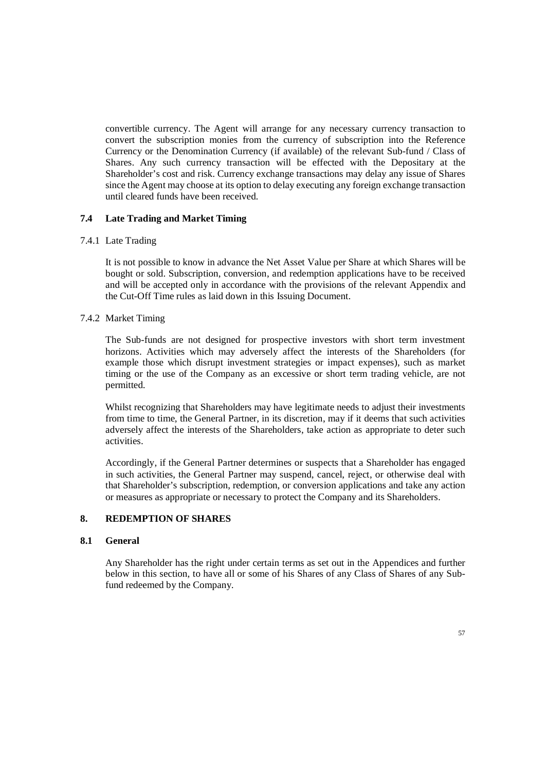convertible currency. The Agent will arrange for any necessary currency transaction to convert the subscription monies from the currency of subscription into the Reference Currency or the Denomination Currency (if available) of the relevant Sub-fund / Class of Shares. Any such currency transaction will be effected with the Depositary at the Shareholder's cost and risk. Currency exchange transactions may delay any issue of Shares since the Agent may choose at its option to delay executing any foreign exchange transaction until cleared funds have been received.

# **7.4 Late Trading and Market Timing**

### 7.4.1 Late Trading

It is not possible to know in advance the Net Asset Value per Share at which Shares will be bought or sold. Subscription, conversion, and redemption applications have to be received and will be accepted only in accordance with the provisions of the relevant Appendix and the Cut-Off Time rules as laid down in this Issuing Document.

### 7.4.2 Market Timing

The Sub-funds are not designed for prospective investors with short term investment horizons. Activities which may adversely affect the interests of the Shareholders (for example those which disrupt investment strategies or impact expenses), such as market timing or the use of the Company as an excessive or short term trading vehicle, are not permitted.

Whilst recognizing that Shareholders may have legitimate needs to adjust their investments from time to time, the General Partner, in its discretion, may if it deems that such activities adversely affect the interests of the Shareholders, take action as appropriate to deter such activities.

Accordingly, if the General Partner determines or suspects that a Shareholder has engaged in such activities, the General Partner may suspend, cancel, reject, or otherwise deal with that Shareholder's subscription, redemption, or conversion applications and take any action or measures as appropriate or necessary to protect the Company and its Shareholders.

# **8. REDEMPTION OF SHARES**

### **8.1 General**

Any Shareholder has the right under certain terms as set out in the Appendices and further below in this section, to have all or some of his Shares of any Class of Shares of any Subfund redeemed by the Company.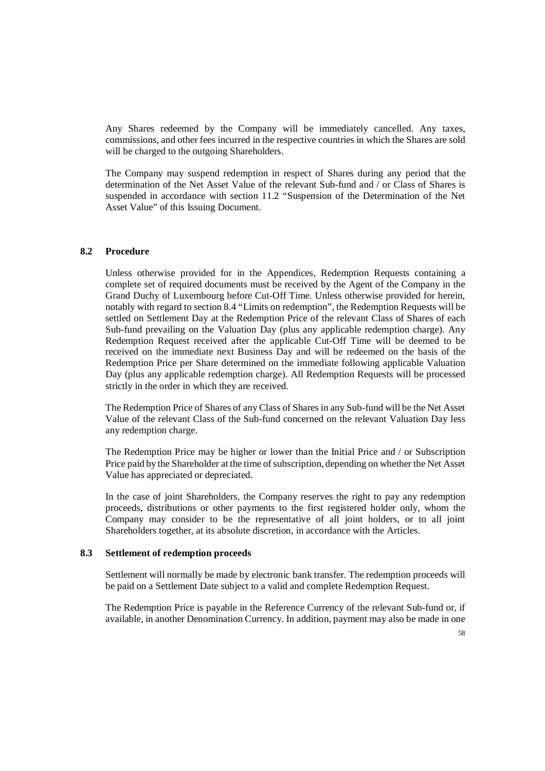Any Shares redeemed by the Company will be immediately cancelled. Any taxes, commissions, and other fees incurred in the respective countries in which the Shares are sold will be charged to the outgoing Shareholders.

The Company may suspend redemption in respect of Shares during any period that the determination of the Net Asset Value of the relevant Sub-fund and / or Class of Shares is suspended in accordance with section 11.2 "Suspension of the Determination of the Net Asset Value" of this Issuing Document.

# **8.2 Procedure**

Unless otherwise provided for in the Appendices, Redemption Requests containing a complete set of required documents must be received by the Agent of the Company in the Grand Duchy of Luxembourg before Cut-Off Time. Unless otherwise provided for herein, notably with regard to section 8.4 "Limits on redemption", the Redemption Requests will be settled on Settlement Day at the Redemption Price of the relevant Class of Shares of each Sub-fund prevailing on the Valuation Day (plus any applicable redemption charge). Any Redemption Request received after the applicable Cut-Off Time will be deemed to be received on the immediate next Business Day and will be redeemed on the basis of the Redemption Price per Share determined on the immediate following applicable Valuation Day (plus any applicable redemption charge). All Redemption Requests will be processed strictly in the order in which they are received.

The Redemption Price of Shares of any Class of Shares in any Sub-fund will be the Net Asset Value of the relevant Class of the Sub-fund concerned on the relevant Valuation Day less any redemption charge.

The Redemption Price may be higher or lower than the Initial Price and / or Subscription Price paid by the Shareholder at the time of subscription, depending on whether the Net Asset Value has appreciated or depreciated.

In the case of joint Shareholders, the Company reserves the right to pay any redemption proceeds, distributions or other payments to the first registered holder only, whom the Company may consider to be the representative of all joint holders, or to all joint Shareholders together, at its absolute discretion, in accordance with the Articles.

### **8.3 Settlement of redemption proceeds**

Settlement will normally be made by electronic bank transfer. The redemption proceeds will be paid on a Settlement Date subject to a valid and complete Redemption Request.

The Redemption Price is payable in the Reference Currency of the relevant Sub-fund or, if available, in another Denomination Currency. In addition, payment may also be made in one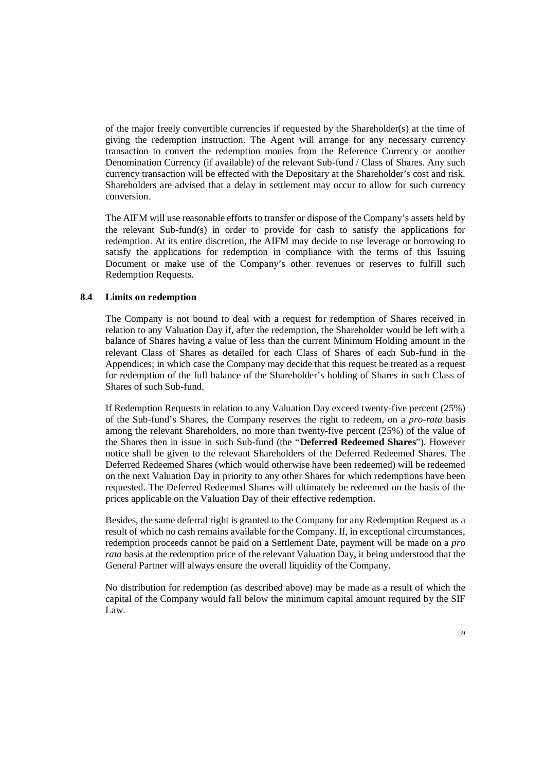of the major freely convertible currencies if requested by the Shareholder(s) at the time of giving the redemption instruction. The Agent will arrange for any necessary currency transaction to convert the redemption monies from the Reference Currency or another Denomination Currency (if available) of the relevant Sub-fund / Class of Shares. Any such currency transaction will be effected with the Depositary at the Shareholder's cost and risk. Shareholders are advised that a delay in settlement may occur to allow for such currency conversion.

The AIFM will use reasonable efforts to transfer or dispose of the Company's assets held by the relevant Sub-fund(s) in order to provide for cash to satisfy the applications for redemption. At its entire discretion, the AIFM may decide to use leverage or borrowing to satisfy the applications for redemption in compliance with the terms of this Issuing Document or make use of the Company's other revenues or reserves to fulfill such Redemption Requests.

### **8.4 Limits on redemption**

The Company is not bound to deal with a request for redemption of Shares received in relation to any Valuation Day if, after the redemption, the Shareholder would be left with a balance of Shares having a value of less than the current Minimum Holding amount in the relevant Class of Shares as detailed for each Class of Shares of each Sub-fund in the Appendices; in which case the Company may decide that this request be treated as a request for redemption of the full balance of the Shareholder's holding of Shares in such Class of Shares of such Sub-fund.

If Redemption Requests in relation to any Valuation Day exceed twenty-five percent (25%) of the Sub-fund's Shares, the Company reserves the right to redeem, on a *pro-rata* basis among the relevant Shareholders, no more than twenty-five percent (25%) of the value of the Shares then in issue in such Sub-fund (the "**Deferred Redeemed Shares**"). However notice shall be given to the relevant Shareholders of the Deferred Redeemed Shares. The Deferred Redeemed Shares (which would otherwise have been redeemed) will be redeemed on the next Valuation Day in priority to any other Shares for which redemptions have been requested. The Deferred Redeemed Shares will ultimately be redeemed on the basis of the prices applicable on the Valuation Day of their effective redemption.

Besides, the same deferral right is granted to the Company for any Redemption Request as a result of which no cash remains available for the Company. If, in exceptional circumstances, redemption proceeds cannot be paid on a Settlement Date, payment will be made on a *pro rata* basis at the redemption price of the relevant Valuation Day, it being understood that the General Partner will always ensure the overall liquidity of the Company.

No distribution for redemption (as described above) may be made as a result of which the capital of the Company would fall below the minimum capital amount required by the SIF Law.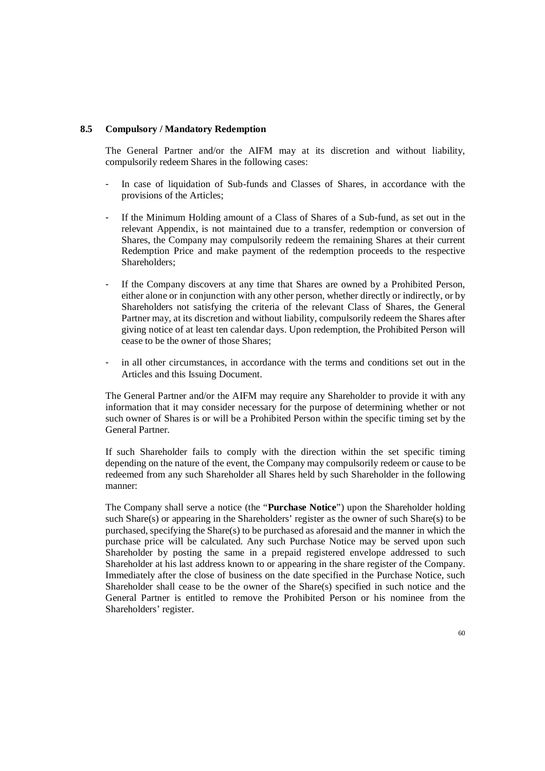### **8.5 Compulsory / Mandatory Redemption**

The General Partner and/or the AIFM may at its discretion and without liability, compulsorily redeem Shares in the following cases:

- In case of liquidation of Sub-funds and Classes of Shares, in accordance with the provisions of the Articles;
- If the Minimum Holding amount of a Class of Shares of a Sub-fund, as set out in the relevant Appendix, is not maintained due to a transfer, redemption or conversion of Shares, the Company may compulsorily redeem the remaining Shares at their current Redemption Price and make payment of the redemption proceeds to the respective Shareholders;
- If the Company discovers at any time that Shares are owned by a Prohibited Person, either alone or in conjunction with any other person, whether directly or indirectly, or by Shareholders not satisfying the criteria of the relevant Class of Shares, the General Partner may, at its discretion and without liability, compulsorily redeem the Shares after giving notice of at least ten calendar days. Upon redemption, the Prohibited Person will cease to be the owner of those Shares;
- in all other circumstances, in accordance with the terms and conditions set out in the Articles and this Issuing Document.

The General Partner and/or the AIFM may require any Shareholder to provide it with any information that it may consider necessary for the purpose of determining whether or not such owner of Shares is or will be a Prohibited Person within the specific timing set by the General Partner.

If such Shareholder fails to comply with the direction within the set specific timing depending on the nature of the event, the Company may compulsorily redeem or cause to be redeemed from any such Shareholder all Shares held by such Shareholder in the following manner:

The Company shall serve a notice (the "**Purchase Notice**") upon the Shareholder holding such Share(s) or appearing in the Shareholders' register as the owner of such Share(s) to be purchased, specifying the Share(s) to be purchased as aforesaid and the manner in which the purchase price will be calculated. Any such Purchase Notice may be served upon such Shareholder by posting the same in a prepaid registered envelope addressed to such Shareholder at his last address known to or appearing in the share register of the Company. Immediately after the close of business on the date specified in the Purchase Notice, such Shareholder shall cease to be the owner of the Share(s) specified in such notice and the General Partner is entitled to remove the Prohibited Person or his nominee from the Shareholders' register.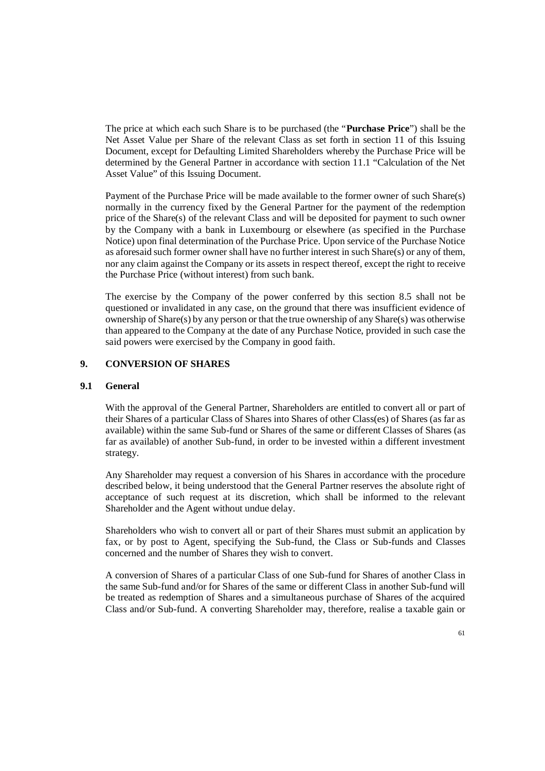The price at which each such Share is to be purchased (the "**Purchase Price**") shall be the Net Asset Value per Share of the relevant Class as set forth in section 11 of this Issuing Document, except for Defaulting Limited Shareholders whereby the Purchase Price will be determined by the General Partner in accordance with section 11.1 "Calculation of the Net Asset Value" of this Issuing Document.

Payment of the Purchase Price will be made available to the former owner of such Share(s) normally in the currency fixed by the General Partner for the payment of the redemption price of the Share(s) of the relevant Class and will be deposited for payment to such owner by the Company with a bank in Luxembourg or elsewhere (as specified in the Purchase Notice) upon final determination of the Purchase Price. Upon service of the Purchase Notice as aforesaid such former owner shall have no further interest in such Share(s) or any of them, nor any claim against the Company or its assets in respect thereof, except the right to receive the Purchase Price (without interest) from such bank.

The exercise by the Company of the power conferred by this section 8.5 shall not be questioned or invalidated in any case, on the ground that there was insufficient evidence of ownership of Share(s) by any person or that the true ownership of any Share(s) was otherwise than appeared to the Company at the date of any Purchase Notice, provided in such case the said powers were exercised by the Company in good faith.

# **9. CONVERSION OF SHARES**

## **9.1 General**

With the approval of the General Partner, Shareholders are entitled to convert all or part of their Shares of a particular Class of Shares into Shares of other Class(es) of Shares (as far as available) within the same Sub-fund or Shares of the same or different Classes of Shares (as far as available) of another Sub-fund, in order to be invested within a different investment strategy.

Any Shareholder may request a conversion of his Shares in accordance with the procedure described below, it being understood that the General Partner reserves the absolute right of acceptance of such request at its discretion, which shall be informed to the relevant Shareholder and the Agent without undue delay.

Shareholders who wish to convert all or part of their Shares must submit an application by fax, or by post to Agent, specifying the Sub-fund, the Class or Sub-funds and Classes concerned and the number of Shares they wish to convert.

A conversion of Shares of a particular Class of one Sub-fund for Shares of another Class in the same Sub-fund and/or for Shares of the same or different Class in another Sub-fund will be treated as redemption of Shares and a simultaneous purchase of Shares of the acquired Class and/or Sub-fund. A converting Shareholder may, therefore, realise a taxable gain or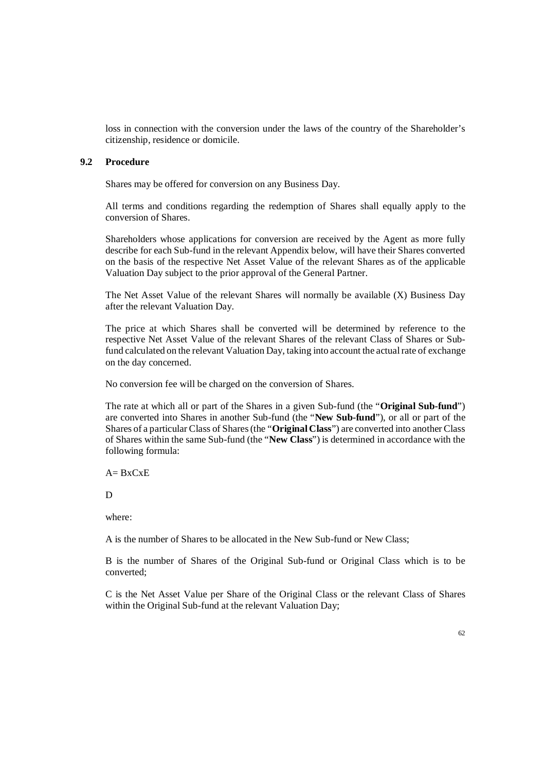loss in connection with the conversion under the laws of the country of the Shareholder's citizenship, residence or domicile.

## **9.2 Procedure**

Shares may be offered for conversion on any Business Day.

All terms and conditions regarding the redemption of Shares shall equally apply to the conversion of Shares.

Shareholders whose applications for conversion are received by the Agent as more fully describe for each Sub-fund in the relevant Appendix below, will have their Shares converted on the basis of the respective Net Asset Value of the relevant Shares as of the applicable Valuation Day subject to the prior approval of the General Partner.

The Net Asset Value of the relevant Shares will normally be available (X) Business Day after the relevant Valuation Day.

The price at which Shares shall be converted will be determined by reference to the respective Net Asset Value of the relevant Shares of the relevant Class of Shares or Subfund calculated on the relevant Valuation Day, taking into account the actual rate of exchange on the day concerned.

No conversion fee will be charged on the conversion of Shares.

The rate at which all or part of the Shares in a given Sub-fund (the "**Original Sub-fund**") are converted into Shares in another Sub-fund (the "**New Sub-fund**"), or all or part of the Shares of a particular Class of Shares (the "**Original Class**") are converted into another Class of Shares within the same Sub-fund (the "**New Class**") is determined in accordance with the following formula:

 $A= BxCxE$ 

D

where:

A is the number of Shares to be allocated in the New Sub-fund or New Class;

B is the number of Shares of the Original Sub-fund or Original Class which is to be converted;

C is the Net Asset Value per Share of the Original Class or the relevant Class of Shares within the Original Sub-fund at the relevant Valuation Day;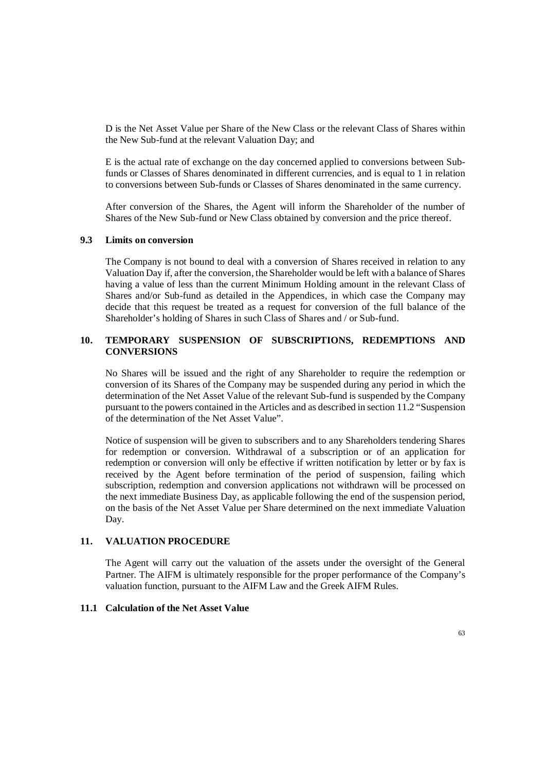D is the Net Asset Value per Share of the New Class or the relevant Class of Shares within the New Sub-fund at the relevant Valuation Day; and

E is the actual rate of exchange on the day concerned applied to conversions between Subfunds or Classes of Shares denominated in different currencies, and is equal to 1 in relation to conversions between Sub-funds or Classes of Shares denominated in the same currency.

After conversion of the Shares, the Agent will inform the Shareholder of the number of Shares of the New Sub-fund or New Class obtained by conversion and the price thereof.

### **9.3 Limits on conversion**

The Company is not bound to deal with a conversion of Shares received in relation to any Valuation Day if, after the conversion, the Shareholder would be left with a balance of Shares having a value of less than the current Minimum Holding amount in the relevant Class of Shares and/or Sub-fund as detailed in the Appendices, in which case the Company may decide that this request be treated as a request for conversion of the full balance of the Shareholder's holding of Shares in such Class of Shares and / or Sub-fund.

# **10. TEMPORARY SUSPENSION OF SUBSCRIPTIONS, REDEMPTIONS AND CONVERSIONS**

No Shares will be issued and the right of any Shareholder to require the redemption or conversion of its Shares of the Company may be suspended during any period in which the determination of the Net Asset Value of the relevant Sub-fund is suspended by the Company pursuant to the powers contained in the Articles and as described in section 11.2 "Suspension of the determination of the Net Asset Value".

Notice of suspension will be given to subscribers and to any Shareholders tendering Shares for redemption or conversion. Withdrawal of a subscription or of an application for redemption or conversion will only be effective if written notification by letter or by fax is received by the Agent before termination of the period of suspension, failing which subscription, redemption and conversion applications not withdrawn will be processed on the next immediate Business Day, as applicable following the end of the suspension period, on the basis of the Net Asset Value per Share determined on the next immediate Valuation Day.

### **11. VALUATION PROCEDURE**

The Agent will carry out the valuation of the assets under the oversight of the General Partner. The AIFM is ultimately responsible for the proper performance of the Company's valuation function, pursuant to the AIFM Law and the Greek AIFM Rules.

### **11.1 Calculation of the Net Asset Value**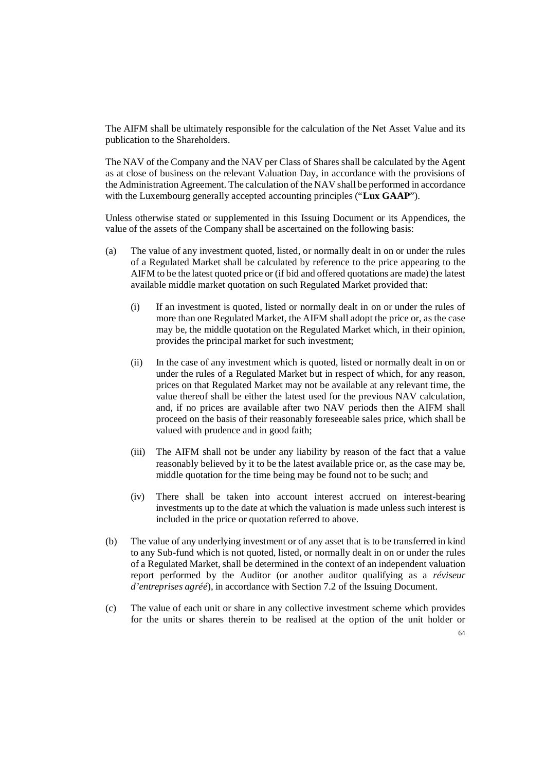The AIFM shall be ultimately responsible for the calculation of the Net Asset Value and its publication to the Shareholders.

The NAV of the Company and the NAV per Class of Shares shall be calculated by the Agent as at close of business on the relevant Valuation Day, in accordance with the provisions of the Administration Agreement. The calculation of the NAV shall be performed in accordance with the Luxembourg generally accepted accounting principles ("**Lux GAAP**").

Unless otherwise stated or supplemented in this Issuing Document or its Appendices, the value of the assets of the Company shall be ascertained on the following basis:

- (a) The value of any investment quoted, listed, or normally dealt in on or under the rules of a Regulated Market shall be calculated by reference to the price appearing to the AIFM to be the latest quoted price or (if bid and offered quotations are made) the latest available middle market quotation on such Regulated Market provided that:
	- (i) If an investment is quoted, listed or normally dealt in on or under the rules of more than one Regulated Market, the AIFM shall adopt the price or, as the case may be, the middle quotation on the Regulated Market which, in their opinion, provides the principal market for such investment;
	- (ii) In the case of any investment which is quoted, listed or normally dealt in on or under the rules of a Regulated Market but in respect of which, for any reason, prices on that Regulated Market may not be available at any relevant time, the value thereof shall be either the latest used for the previous NAV calculation, and, if no prices are available after two NAV periods then the AIFM shall proceed on the basis of their reasonably foreseeable sales price, which shall be valued with prudence and in good faith;
	- (iii) The AIFM shall not be under any liability by reason of the fact that a value reasonably believed by it to be the latest available price or, as the case may be, middle quotation for the time being may be found not to be such; and
	- (iv) There shall be taken into account interest accrued on interest-bearing investments up to the date at which the valuation is made unless such interest is included in the price or quotation referred to above.
- (b) The value of any underlying investment or of any asset that is to be transferred in kind to any Sub-fund which is not quoted, listed, or normally dealt in on or under the rules of a Regulated Market, shall be determined in the context of an independent valuation report performed by the Auditor (or another auditor qualifying as a *réviseur d'entreprises agréé*), in accordance with Section 7.2 of the Issuing Document.
- (c) The value of each unit or share in any collective investment scheme which provides for the units or shares therein to be realised at the option of the unit holder or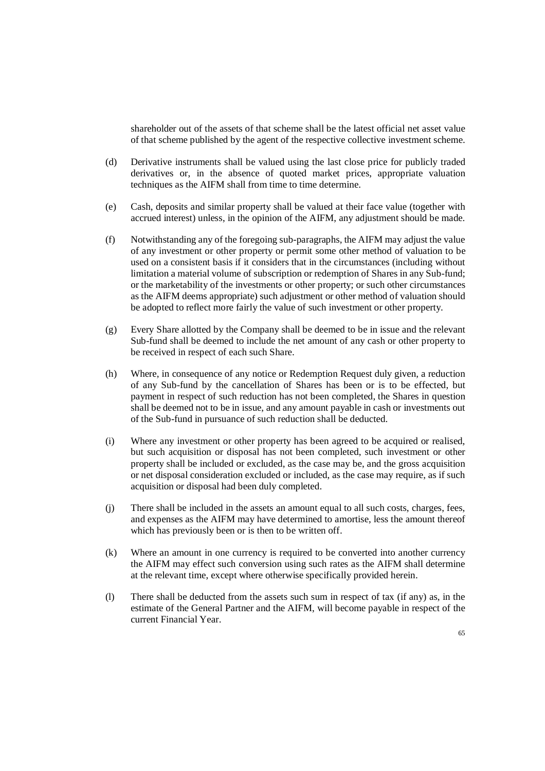shareholder out of the assets of that scheme shall be the latest official net asset value of that scheme published by the agent of the respective collective investment scheme.

- (d) Derivative instruments shall be valued using the last close price for publicly traded derivatives or, in the absence of quoted market prices, appropriate valuation techniques as the AIFM shall from time to time determine.
- (e) Cash, deposits and similar property shall be valued at their face value (together with accrued interest) unless, in the opinion of the AIFM, any adjustment should be made.
- (f) Notwithstanding any of the foregoing sub-paragraphs, the AIFM may adjust the value of any investment or other property or permit some other method of valuation to be used on a consistent basis if it considers that in the circumstances (including without limitation a material volume of subscription or redemption of Shares in any Sub-fund; or the marketability of the investments or other property; or such other circumstances as the AIFM deems appropriate) such adjustment or other method of valuation should be adopted to reflect more fairly the value of such investment or other property.
- (g) Every Share allotted by the Company shall be deemed to be in issue and the relevant Sub-fund shall be deemed to include the net amount of any cash or other property to be received in respect of each such Share.
- (h) Where, in consequence of any notice or Redemption Request duly given, a reduction of any Sub-fund by the cancellation of Shares has been or is to be effected, but payment in respect of such reduction has not been completed, the Shares in question shall be deemed not to be in issue, and any amount payable in cash or investments out of the Sub-fund in pursuance of such reduction shall be deducted.
- (i) Where any investment or other property has been agreed to be acquired or realised, but such acquisition or disposal has not been completed, such investment or other property shall be included or excluded, as the case may be, and the gross acquisition or net disposal consideration excluded or included, as the case may require, as if such acquisition or disposal had been duly completed.
- (j) There shall be included in the assets an amount equal to all such costs, charges, fees, and expenses as the AIFM may have determined to amortise, less the amount thereof which has previously been or is then to be written off.
- (k) Where an amount in one currency is required to be converted into another currency the AIFM may effect such conversion using such rates as the AIFM shall determine at the relevant time, except where otherwise specifically provided herein.
- (l) There shall be deducted from the assets such sum in respect of tax (if any) as, in the estimate of the General Partner and the AIFM, will become payable in respect of the current Financial Year.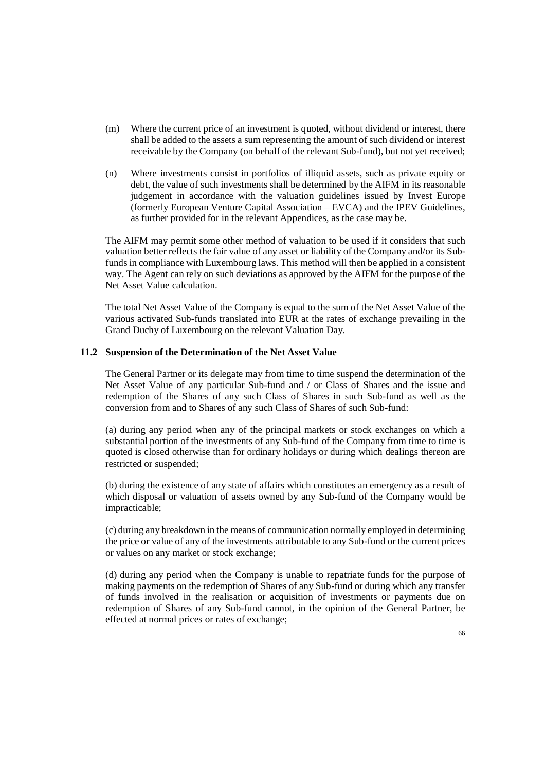- (m) Where the current price of an investment is quoted, without dividend or interest, there shall be added to the assets a sum representing the amount of such dividend or interest receivable by the Company (on behalf of the relevant Sub-fund), but not yet received;
- (n) Where investments consist in portfolios of illiquid assets, such as private equity or debt, the value of such investments shall be determined by the AIFM in its reasonable judgement in accordance with the valuation guidelines issued by Invest Europe (formerly European Venture Capital Association – EVCA) and the IPEV Guidelines, as further provided for in the relevant Appendices, as the case may be.

The AIFM may permit some other method of valuation to be used if it considers that such valuation better reflects the fair value of any asset or liability of the Company and/or its Subfunds in compliance with Luxembourg laws. This method will then be applied in a consistent way. The Agent can rely on such deviations as approved by the AIFM for the purpose of the Net Asset Value calculation.

The total Net Asset Value of the Company is equal to the sum of the Net Asset Value of the various activated Sub-funds translated into EUR at the rates of exchange prevailing in the Grand Duchy of Luxembourg on the relevant Valuation Day.

### **11.2 Suspension of the Determination of the Net Asset Value**

The General Partner or its delegate may from time to time suspend the determination of the Net Asset Value of any particular Sub-fund and / or Class of Shares and the issue and redemption of the Shares of any such Class of Shares in such Sub-fund as well as the conversion from and to Shares of any such Class of Shares of such Sub-fund:

(a) during any period when any of the principal markets or stock exchanges on which a substantial portion of the investments of any Sub-fund of the Company from time to time is quoted is closed otherwise than for ordinary holidays or during which dealings thereon are restricted or suspended;

(b) during the existence of any state of affairs which constitutes an emergency as a result of which disposal or valuation of assets owned by any Sub-fund of the Company would be impracticable;

(c) during any breakdown in the means of communication normally employed in determining the price or value of any of the investments attributable to any Sub-fund or the current prices or values on any market or stock exchange;

(d) during any period when the Company is unable to repatriate funds for the purpose of making payments on the redemption of Shares of any Sub-fund or during which any transfer of funds involved in the realisation or acquisition of investments or payments due on redemption of Shares of any Sub-fund cannot, in the opinion of the General Partner, be effected at normal prices or rates of exchange;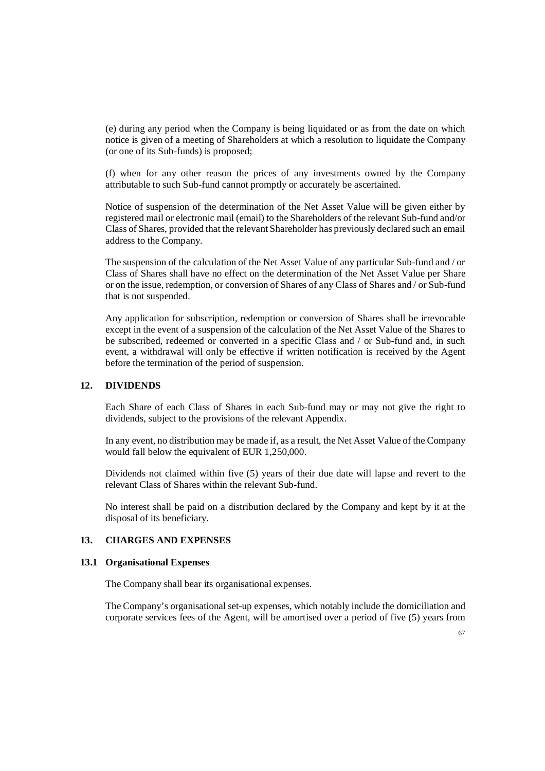(e) during any period when the Company is being liquidated or as from the date on which notice is given of a meeting of Shareholders at which a resolution to liquidate the Company (or one of its Sub-funds) is proposed;

(f) when for any other reason the prices of any investments owned by the Company attributable to such Sub-fund cannot promptly or accurately be ascertained.

Notice of suspension of the determination of the Net Asset Value will be given either by registered mail or electronic mail (email) to the Shareholders of the relevant Sub-fund and/or Class of Shares, provided that the relevant Shareholder has previously declared such an email address to the Company.

The suspension of the calculation of the Net Asset Value of any particular Sub-fund and / or Class of Shares shall have no effect on the determination of the Net Asset Value per Share or on the issue, redemption, or conversion of Shares of any Class of Shares and / or Sub-fund that is not suspended.

Any application for subscription, redemption or conversion of Shares shall be irrevocable except in the event of a suspension of the calculation of the Net Asset Value of the Shares to be subscribed, redeemed or converted in a specific Class and / or Sub-fund and, in such event, a withdrawal will only be effective if written notification is received by the Agent before the termination of the period of suspension.

## **12. DIVIDENDS**

Each Share of each Class of Shares in each Sub-fund may or may not give the right to dividends, subject to the provisions of the relevant Appendix.

In any event, no distribution may be made if, as a result, the Net Asset Value of the Company would fall below the equivalent of EUR 1,250,000.

Dividends not claimed within five (5) years of their due date will lapse and revert to the relevant Class of Shares within the relevant Sub-fund.

No interest shall be paid on a distribution declared by the Company and kept by it at the disposal of its beneficiary.

# **13. CHARGES AND EXPENSES**

#### **13.1 Organisational Expenses**

The Company shall bear its organisational expenses.

The Company's organisational set-up expenses, which notably include the domiciliation and corporate services fees of the Agent, will be amortised over a period of five (5) years from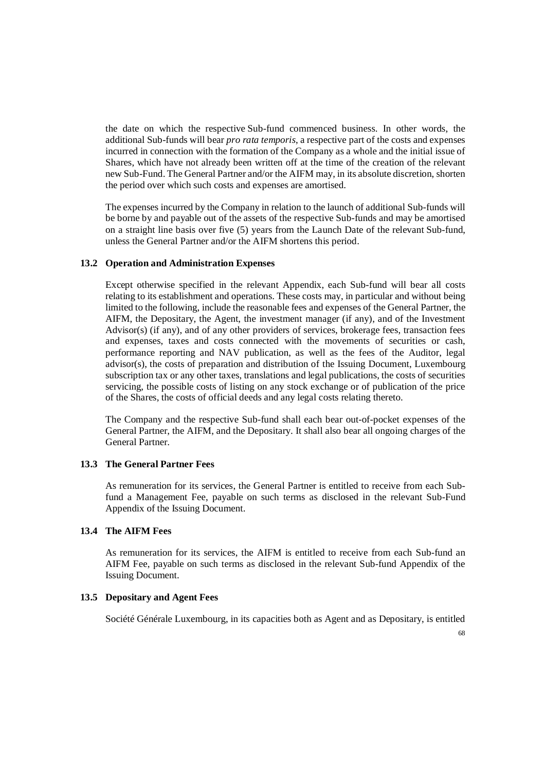the date on which the respective Sub-fund commenced business. In other words, the additional Sub-funds will bear *pro rata temporis*, a respective part of the costs and expenses incurred in connection with the formation of the Company as a whole and the initial issue of Shares, which have not already been written off at the time of the creation of the relevant new Sub-Fund. The General Partner and/or the AIFM may, in its absolute discretion, shorten the period over which such costs and expenses are amortised.

The expenses incurred by the Company in relation to the launch of additional Sub-funds will be borne by and payable out of the assets of the respective Sub-funds and may be amortised on a straight line basis over five (5) years from the Launch Date of the relevant Sub-fund, unless the General Partner and/or the AIFM shortens this period.

### **13.2 Operation and Administration Expenses**

Except otherwise specified in the relevant Appendix, each Sub-fund will bear all costs relating to its establishment and operations. These costs may, in particular and without being limited to the following, include the reasonable fees and expenses of the General Partner, the AIFM, the Depositary, the Agent, the investment manager (if any), and of the Investment Advisor(s) (if any), and of any other providers of services, brokerage fees, transaction fees and expenses, taxes and costs connected with the movements of securities or cash, performance reporting and NAV publication, as well as the fees of the Auditor, legal advisor(s), the costs of preparation and distribution of the Issuing Document, Luxembourg subscription tax or any other taxes, translations and legal publications, the costs of securities servicing, the possible costs of listing on any stock exchange or of publication of the price of the Shares, the costs of official deeds and any legal costs relating thereto.

The Company and the respective Sub-fund shall each bear out-of-pocket expenses of the General Partner, the AIFM, and the Depositary. It shall also bear all ongoing charges of the General Partner.

### **13.3 The General Partner Fees**

As remuneration for its services, the General Partner is entitled to receive from each Subfund a Management Fee, payable on such terms as disclosed in the relevant Sub-Fund Appendix of the Issuing Document.

# **13.4 The AIFM Fees**

As remuneration for its services, the AIFM is entitled to receive from each Sub-fund an AIFM Fee, payable on such terms as disclosed in the relevant Sub-fund Appendix of the Issuing Document.

### **13.5 Depositary and Agent Fees**

Société Générale Luxembourg, in its capacities both as Agent and as Depositary, is entitled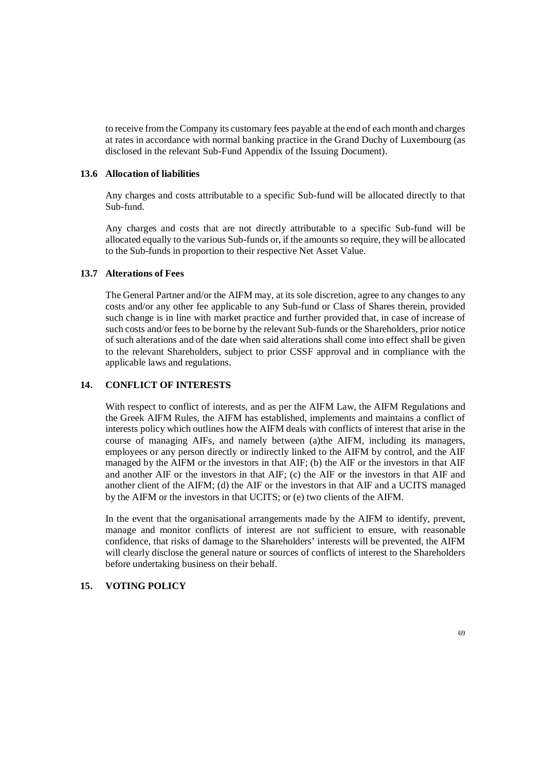to receive from the Company its customary fees payable at the end of each month and charges at rates in accordance with normal banking practice in the Grand Duchy of Luxembourg (as disclosed in the relevant Sub-Fund Appendix of the Issuing Document).

# **13.6 Allocation of liabilities**

Any charges and costs attributable to a specific Sub-fund will be allocated directly to that Sub-fund.

Any charges and costs that are not directly attributable to a specific Sub-fund will be allocated equally to the various Sub-funds or, if the amounts so require, they will be allocated to the Sub-funds in proportion to their respective Net Asset Value.

# **13.7 Alterations of Fees**

The General Partner and/or the AIFM may, at its sole discretion, agree to any changes to any costs and/or any other fee applicable to any Sub-fund or Class of Shares therein, provided such change is in line with market practice and further provided that, in case of increase of such costs and/or fees to be borne by the relevant Sub-funds or the Shareholders, prior notice of such alterations and of the date when said alterations shall come into effect shall be given to the relevant Shareholders, subject to prior CSSF approval and in compliance with the applicable laws and regulations.

# **14. CONFLICT OF INTERESTS**

With respect to conflict of interests, and as per the AIFM Law, the AIFM Regulations and the Greek AIFM Rules, the AIFM has established, implements and maintains a conflict of interests policy which outlines how the AIFM deals with conflicts of interest that arise in the course of managing AIFs, and namely between (a)the AIFM, including its managers, employees or any person directly or indirectly linked to the AIFM by control, and the AIF managed by the AIFM or the investors in that AIF; (b) the AIF or the investors in that AIF and another AIF or the investors in that AIF; (c) the AIF or the investors in that AIF and another client of the AIFM; (d) the AIF or the investors in that AIF and a UCITS managed by the AIFM or the investors in that UCITS; or (e) two clients of the AIFM.

In the event that the organisational arrangements made by the AIFM to identify, prevent, manage and monitor conflicts of interest are not sufficient to ensure, with reasonable confidence, that risks of damage to the Shareholders' interests will be prevented, the AIFM will clearly disclose the general nature or sources of conflicts of interest to the Shareholders before undertaking business on their behalf.

# **15. VOTING POLICY**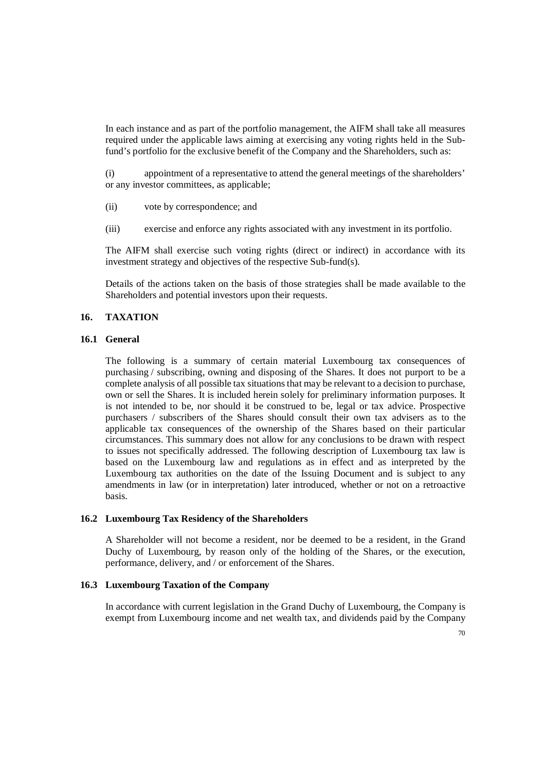In each instance and as part of the portfolio management, the AIFM shall take all measures required under the applicable laws aiming at exercising any voting rights held in the Subfund's portfolio for the exclusive benefit of the Company and the Shareholders, such as:

(i) appointment of a representative to attend the general meetings of the shareholders' or any investor committees, as applicable;

- (ii) vote by correspondence; and
- (iii) exercise and enforce any rights associated with any investment in its portfolio.

The AIFM shall exercise such voting rights (direct or indirect) in accordance with its investment strategy and objectives of the respective Sub-fund(s).

Details of the actions taken on the basis of those strategies shall be made available to the Shareholders and potential investors upon their requests.

# **16. TAXATION**

## **16.1 General**

The following is a summary of certain material Luxembourg tax consequences of purchasing / subscribing, owning and disposing of the Shares. It does not purport to be a complete analysis of all possible tax situations that may be relevant to a decision to purchase, own or sell the Shares. It is included herein solely for preliminary information purposes. It is not intended to be, nor should it be construed to be, legal or tax advice. Prospective purchasers / subscribers of the Shares should consult their own tax advisers as to the applicable tax consequences of the ownership of the Shares based on their particular circumstances. This summary does not allow for any conclusions to be drawn with respect to issues not specifically addressed. The following description of Luxembourg tax law is based on the Luxembourg law and regulations as in effect and as interpreted by the Luxembourg tax authorities on the date of the Issuing Document and is subject to any amendments in law (or in interpretation) later introduced, whether or not on a retroactive basis.

#### **16.2 Luxembourg Tax Residency of the Shareholders**

A Shareholder will not become a resident, nor be deemed to be a resident, in the Grand Duchy of Luxembourg, by reason only of the holding of the Shares, or the execution, performance, delivery, and / or enforcement of the Shares.

# **16.3 Luxembourg Taxation of the Company**

In accordance with current legislation in the Grand Duchy of Luxembourg, the Company is exempt from Luxembourg income and net wealth tax, and dividends paid by the Company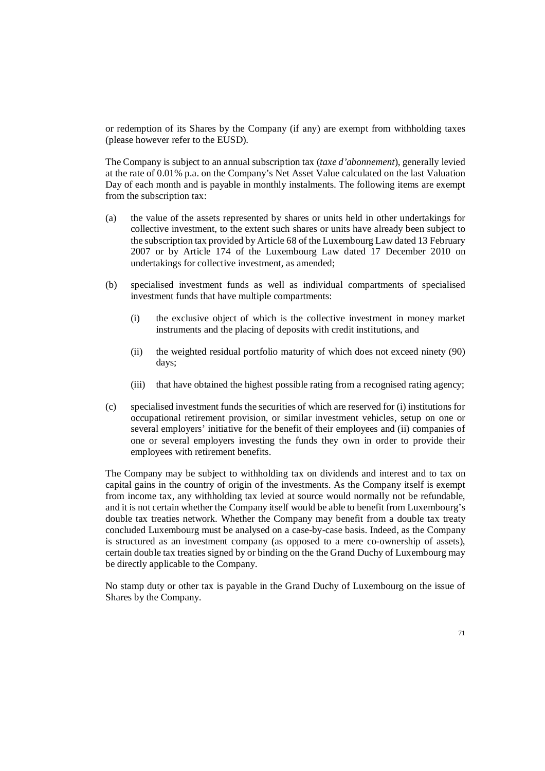or redemption of its Shares by the Company (if any) are exempt from withholding taxes (please however refer to the EUSD).

The Company is subject to an annual subscription tax (*taxe d'abonnement*), generally levied at the rate of 0.01% p.a. on the Company's Net Asset Value calculated on the last Valuation Day of each month and is payable in monthly instalments. The following items are exempt from the subscription tax:

- (a) the value of the assets represented by shares or units held in other undertakings for collective investment, to the extent such shares or units have already been subject to the subscription tax provided by Article 68 of the Luxembourg Law dated 13 February 2007 or by Article 174 of the Luxembourg Law dated 17 December 2010 on undertakings for collective investment, as amended;
- (b) specialised investment funds as well as individual compartments of specialised investment funds that have multiple compartments:
	- (i) the exclusive object of which is the collective investment in money market instruments and the placing of deposits with credit institutions, and
	- (ii) the weighted residual portfolio maturity of which does not exceed ninety (90) days;
	- (iii) that have obtained the highest possible rating from a recognised rating agency;
- (c) specialised investment funds the securities of which are reserved for (i) institutions for occupational retirement provision, or similar investment vehicles, setup on one or several employers' initiative for the benefit of their employees and (ii) companies of one or several employers investing the funds they own in order to provide their employees with retirement benefits.

The Company may be subject to withholding tax on dividends and interest and to tax on capital gains in the country of origin of the investments. As the Company itself is exempt from income tax, any withholding tax levied at source would normally not be refundable, and it is not certain whether the Company itself would be able to benefit from Luxembourg's double tax treaties network. Whether the Company may benefit from a double tax treaty concluded Luxembourg must be analysed on a case-by-case basis. Indeed, as the Company is structured as an investment company (as opposed to a mere co-ownership of assets), certain double tax treaties signed by or binding on the the Grand Duchy of Luxembourg may be directly applicable to the Company.

No stamp duty or other tax is payable in the Grand Duchy of Luxembourg on the issue of Shares by the Company.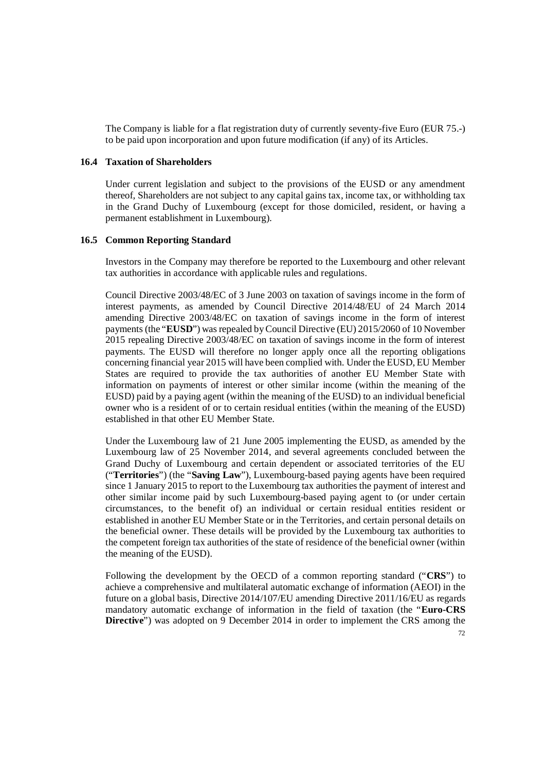The Company is liable for a flat registration duty of currently seventy-five Euro (EUR 75.-) to be paid upon incorporation and upon future modification (if any) of its Articles.

#### **16.4 Taxation of Shareholders**

Under current legislation and subject to the provisions of the EUSD or any amendment thereof, Shareholders are not subject to any capital gains tax, income tax, or withholding tax in the Grand Duchy of Luxembourg (except for those domiciled, resident, or having a permanent establishment in Luxembourg).

### **16.5 Common Reporting Standard**

Investors in the Company may therefore be reported to the Luxembourg and other relevant tax authorities in accordance with applicable rules and regulations.

Council Directive 2003/48/EC of 3 June 2003 on taxation of savings income in the form of interest payments, as amended by Council Directive 2014/48/EU of 24 March 2014 amending Directive 2003/48/EC on taxation of savings income in the form of interest payments (the "**EUSD**") was repealed by Council Directive (EU) 2015/2060 of 10 November 2015 repealing Directive 2003/48/EC on taxation of savings income in the form of interest payments. The EUSD will therefore no longer apply once all the reporting obligations concerning financial year 2015 will have been complied with. Under the EUSD, EU Member States are required to provide the tax authorities of another EU Member State with information on payments of interest or other similar income (within the meaning of the EUSD) paid by a paying agent (within the meaning of the EUSD) to an individual beneficial owner who is a resident of or to certain residual entities (within the meaning of the EUSD) established in that other EU Member State.

Under the Luxembourg law of 21 June 2005 implementing the EUSD, as amended by the Luxembourg law of 25 November 2014, and several agreements concluded between the Grand Duchy of Luxembourg and certain dependent or associated territories of the EU ("**Territories**") (the "**Saving Law**"), Luxembourg-based paying agents have been required since 1 January 2015 to report to the Luxembourg tax authorities the payment of interest and other similar income paid by such Luxembourg-based paying agent to (or under certain circumstances, to the benefit of) an individual or certain residual entities resident or established in another EU Member State or in the Territories, and certain personal details on the beneficial owner. These details will be provided by the Luxembourg tax authorities to the competent foreign tax authorities of the state of residence of the beneficial owner (within the meaning of the EUSD).

Following the development by the OECD of a common reporting standard ("**CRS**") to achieve a comprehensive and multilateral automatic exchange of information (AEOI) in the future on a global basis, Directive 2014/107/EU amending Directive 2011/16/EU as regards mandatory automatic exchange of information in the field of taxation (the "**Euro-CRS Directive**") was adopted on 9 December 2014 in order to implement the CRS among the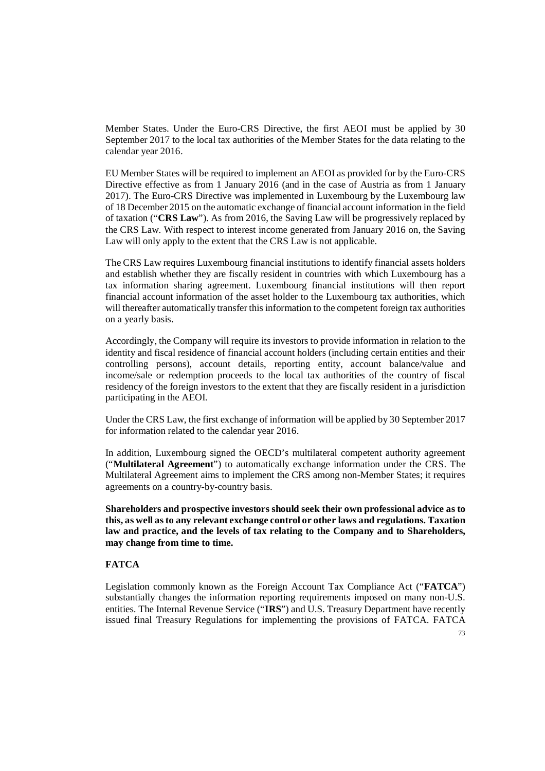Member States. Under the Euro-CRS Directive, the first AEOI must be applied by 30 September 2017 to the local tax authorities of the Member States for the data relating to the calendar year 2016.

EU Member States will be required to implement an AEOI as provided for by the Euro-CRS Directive effective as from 1 January 2016 (and in the case of Austria as from 1 January 2017). The Euro-CRS Directive was implemented in Luxembourg by the Luxembourg law of 18 December 2015 on the automatic exchange of financial account information in the field of taxation ("**CRS Law**"). As from 2016, the Saving Law will be progressively replaced by the CRS Law. With respect to interest income generated from January 2016 on, the Saving Law will only apply to the extent that the CRS Law is not applicable.

The CRS Law requires Luxembourg financial institutions to identify financial assets holders and establish whether they are fiscally resident in countries with which Luxembourg has a tax information sharing agreement. Luxembourg financial institutions will then report financial account information of the asset holder to the Luxembourg tax authorities, which will thereafter automatically transfer this information to the competent foreign tax authorities on a yearly basis.

Accordingly, the Company will require its investors to provide information in relation to the identity and fiscal residence of financial account holders (including certain entities and their controlling persons), account details, reporting entity, account balance/value and income/sale or redemption proceeds to the local tax authorities of the country of fiscal residency of the foreign investors to the extent that they are fiscally resident in a jurisdiction participating in the AEOI.

Under the CRS Law, the first exchange of information will be applied by 30 September 2017 for information related to the calendar year 2016.

In addition, Luxembourg signed the OECD's multilateral competent authority agreement ("**Multilateral Agreement**") to automatically exchange information under the CRS. The Multilateral Agreement aims to implement the CRS among non-Member States; it requires agreements on a country-by-country basis.

**Shareholders and prospective investors should seek their own professional advice as to this, as well as to any relevant exchange control or other laws and regulations. Taxation law and practice, and the levels of tax relating to the Company and to Shareholders, may change from time to time.** 

## **FATCA**

Legislation commonly known as the Foreign Account Tax Compliance Act ("**FATCA**") substantially changes the information reporting requirements imposed on many non-U.S. entities. The Internal Revenue Service ("**IRS**") and U.S. Treasury Department have recently issued final Treasury Regulations for implementing the provisions of FATCA. FATCA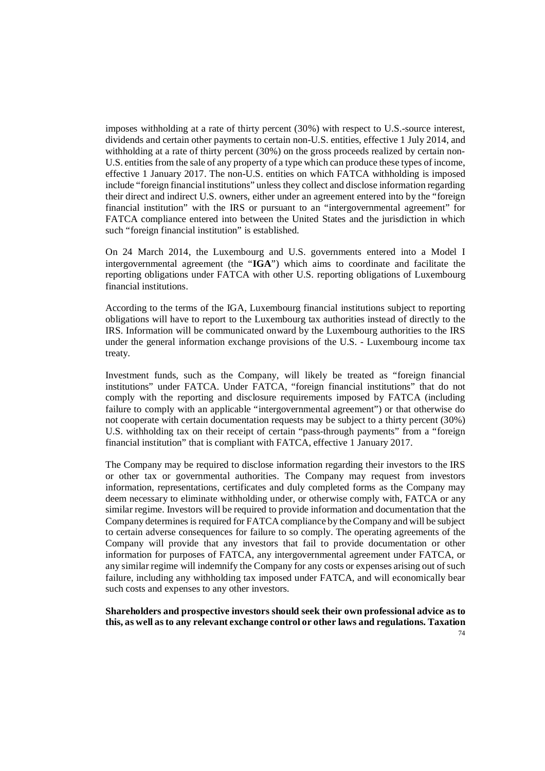imposes withholding at a rate of thirty percent (30%) with respect to U.S.-source interest, dividends and certain other payments to certain non-U.S. entities, effective 1 July 2014, and withholding at a rate of thirty percent (30%) on the gross proceeds realized by certain non-U.S. entities from the sale of any property of a type which can produce these types of income, effective 1 January 2017. The non-U.S. entities on which FATCA withholding is imposed include "foreign financial institutions" unless they collect and disclose information regarding their direct and indirect U.S. owners, either under an agreement entered into by the "foreign financial institution" with the IRS or pursuant to an "intergovernmental agreement" for FATCA compliance entered into between the United States and the jurisdiction in which such "foreign financial institution" is established.

On 24 March 2014, the Luxembourg and U.S. governments entered into a Model I intergovernmental agreement (the "**IGA**") which aims to coordinate and facilitate the reporting obligations under FATCA with other U.S. reporting obligations of Luxembourg financial institutions.

According to the terms of the IGA, Luxembourg financial institutions subject to reporting obligations will have to report to the Luxembourg tax authorities instead of directly to the IRS. Information will be communicated onward by the Luxembourg authorities to the IRS under the general information exchange provisions of the U.S. - Luxembourg income tax treaty.

Investment funds, such as the Company, will likely be treated as "foreign financial institutions" under FATCA. Under FATCA, "foreign financial institutions" that do not comply with the reporting and disclosure requirements imposed by FATCA (including failure to comply with an applicable "intergovernmental agreement") or that otherwise do not cooperate with certain documentation requests may be subject to a thirty percent (30%) U.S. withholding tax on their receipt of certain "pass-through payments" from a "foreign financial institution" that is compliant with FATCA, effective 1 January 2017.

The Company may be required to disclose information regarding their investors to the IRS or other tax or governmental authorities. The Company may request from investors information, representations, certificates and duly completed forms as the Company may deem necessary to eliminate withholding under, or otherwise comply with, FATCA or any similar regime. Investors will be required to provide information and documentation that the Company determines is required for FATCA compliance by the Company and will be subject to certain adverse consequences for failure to so comply. The operating agreements of the Company will provide that any investors that fail to provide documentation or other information for purposes of FATCA, any intergovernmental agreement under FATCA, or any similar regime will indemnify the Company for any costs or expenses arising out of such failure, including any withholding tax imposed under FATCA, and will economically bear such costs and expenses to any other investors.

74 **Shareholders and prospective investors should seek their own professional advice as to this, as well as to any relevant exchange control or other laws and regulations. Taxation**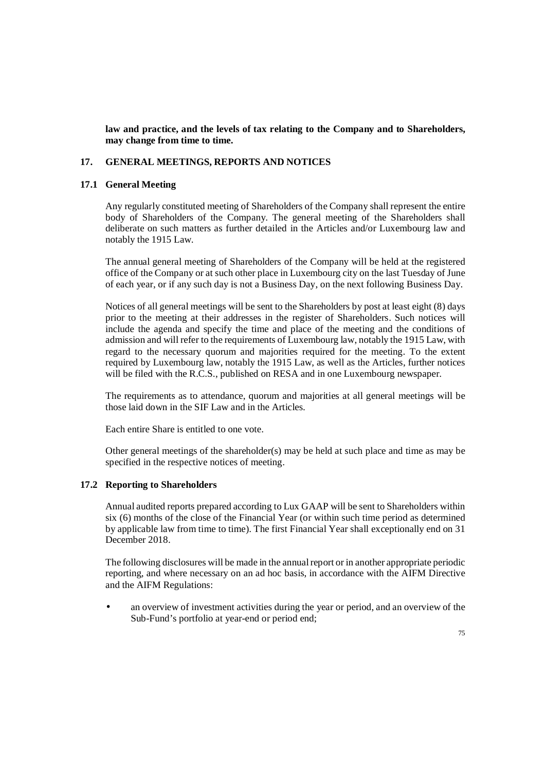**law and practice, and the levels of tax relating to the Company and to Shareholders, may change from time to time.** 

### **17. GENERAL MEETINGS, REPORTS AND NOTICES**

### **17.1 General Meeting**

Any regularly constituted meeting of Shareholders of the Company shall represent the entire body of Shareholders of the Company. The general meeting of the Shareholders shall deliberate on such matters as further detailed in the Articles and/or Luxembourg law and notably the 1915 Law.

The annual general meeting of Shareholders of the Company will be held at the registered office of the Company or at such other place in Luxembourg city on the last Tuesday of June of each year, or if any such day is not a Business Day, on the next following Business Day.

Notices of all general meetings will be sent to the Shareholders by post at least eight (8) days prior to the meeting at their addresses in the register of Shareholders. Such notices will include the agenda and specify the time and place of the meeting and the conditions of admission and will refer to the requirements of Luxembourg law, notably the 1915 Law, with regard to the necessary quorum and majorities required for the meeting. To the extent required by Luxembourg law, notably the 1915 Law, as well as the Articles, further notices will be filed with the R.C.S., published on RESA and in one Luxembourg newspaper.

The requirements as to attendance, quorum and majorities at all general meetings will be those laid down in the SIF Law and in the Articles.

Each entire Share is entitled to one vote.

Other general meetings of the shareholder(s) may be held at such place and time as may be specified in the respective notices of meeting.

### **17.2 Reporting to Shareholders**

Annual audited reports prepared according to Lux GAAP will be sent to Shareholders within six (6) months of the close of the Financial Year (or within such time period as determined by applicable law from time to time). The first Financial Year shall exceptionally end on 31 December 2018.

The following disclosures will be made in the annual report or in another appropriate periodic reporting, and where necessary on an ad hoc basis, in accordance with the AIFM Directive and the AIFM Regulations:

• an overview of investment activities during the year or period, and an overview of the Sub-Fund's portfolio at year-end or period end;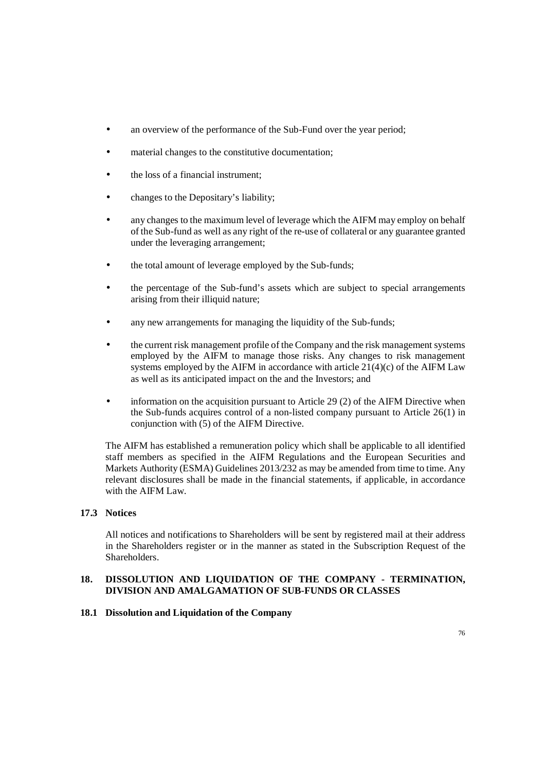- an overview of the performance of the Sub-Fund over the year period;
- material changes to the constitutive documentation:
- the loss of a financial instrument;
- changes to the Depositary's liability;
- any changes to the maximum level of leverage which the AIFM may employ on behalf of the Sub-fund as well as any right of the re-use of collateral or any guarantee granted under the leveraging arrangement;
- the total amount of leverage employed by the Sub-funds;
- the percentage of the Sub-fund's assets which are subject to special arrangements arising from their illiquid nature;
- any new arrangements for managing the liquidity of the Sub-funds;
- the current risk management profile of the Company and the risk management systems employed by the AIFM to manage those risks. Any changes to risk management systems employed by the AIFM in accordance with article 21(4)(c) of the AIFM Law as well as its anticipated impact on the and the Investors; and
- information on the acquisition pursuant to Article 29  $(2)$  of the AIFM Directive when the Sub-funds acquires control of a non-listed company pursuant to Article 26(1) in conjunction with (5) of the AIFM Directive.

The AIFM has established a remuneration policy which shall be applicable to all identified staff members as specified in the AIFM Regulations and the European Securities and Markets Authority (ESMA) Guidelines 2013/232 as may be amended from time to time. Any relevant disclosures shall be made in the financial statements, if applicable, in accordance with the AIFM Law.

## **17.3 Notices**

All notices and notifications to Shareholders will be sent by registered mail at their address in the Shareholders register or in the manner as stated in the Subscription Request of the Shareholders.

## **18. DISSOLUTION AND LIQUIDATION OF THE COMPANY - TERMINATION, DIVISION AND AMALGAMATION OF SUB-FUNDS OR CLASSES**

### **18.1 Dissolution and Liquidation of the Company**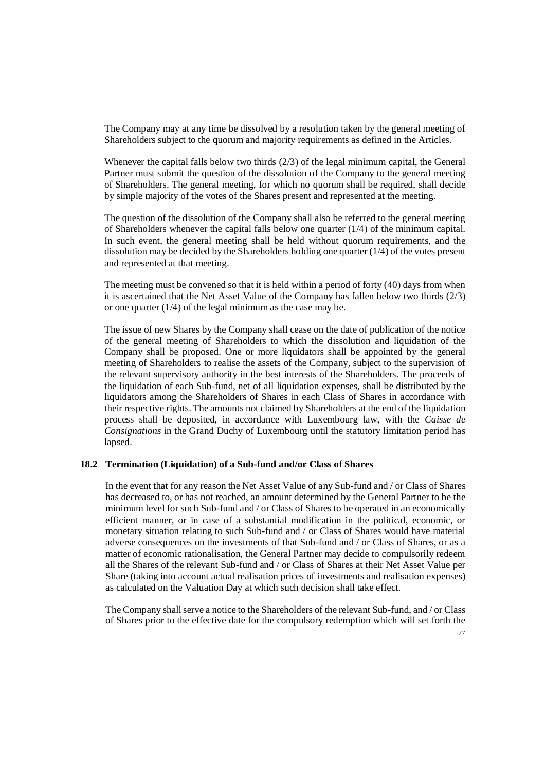The Company may at any time be dissolved by a resolution taken by the general meeting of Shareholders subject to the quorum and majority requirements as defined in the Articles.

Whenever the capital falls below two thirds (2/3) of the legal minimum capital, the General Partner must submit the question of the dissolution of the Company to the general meeting of Shareholders. The general meeting, for which no quorum shall be required, shall decide by simple majority of the votes of the Shares present and represented at the meeting.

The question of the dissolution of the Company shall also be referred to the general meeting of Shareholders whenever the capital falls below one quarter (1/4) of the minimum capital. In such event, the general meeting shall be held without quorum requirements, and the dissolution may be decided by the Shareholders holding one quarter (1/4) of the votes present and represented at that meeting.

The meeting must be convened so that it is held within a period of forty (40) days from when it is ascertained that the Net Asset Value of the Company has fallen below two thirds (2/3) or one quarter  $(1/4)$  of the legal minimum as the case may be.

The issue of new Shares by the Company shall cease on the date of publication of the notice of the general meeting of Shareholders to which the dissolution and liquidation of the Company shall be proposed. One or more liquidators shall be appointed by the general meeting of Shareholders to realise the assets of the Company, subject to the supervision of the relevant supervisory authority in the best interests of the Shareholders. The proceeds of the liquidation of each Sub-fund, net of all liquidation expenses, shall be distributed by the liquidators among the Shareholders of Shares in each Class of Shares in accordance with their respective rights. The amounts not claimed by Shareholders at the end of the liquidation process shall be deposited, in accordance with Luxembourg law, with the *Caisse de Consignations* in the Grand Duchy of Luxembourg until the statutory limitation period has lapsed.

### **18.2 Termination (Liquidation) of a Sub-fund and/or Class of Shares**

In the event that for any reason the Net Asset Value of any Sub-fund and / or Class of Shares has decreased to, or has not reached, an amount determined by the General Partner to be the minimum level for such Sub-fund and / or Class of Shares to be operated in an economically efficient manner, or in case of a substantial modification in the political, economic, or monetary situation relating to such Sub-fund and / or Class of Shares would have material adverse consequences on the investments of that Sub-fund and / or Class of Shares, or as a matter of economic rationalisation, the General Partner may decide to compulsorily redeem all the Shares of the relevant Sub-fund and / or Class of Shares at their Net Asset Value per Share (taking into account actual realisation prices of investments and realisation expenses) as calculated on the Valuation Day at which such decision shall take effect.

The Company shall serve a notice to the Shareholders of the relevant Sub-fund, and / or Class of Shares prior to the effective date for the compulsory redemption which will set forth the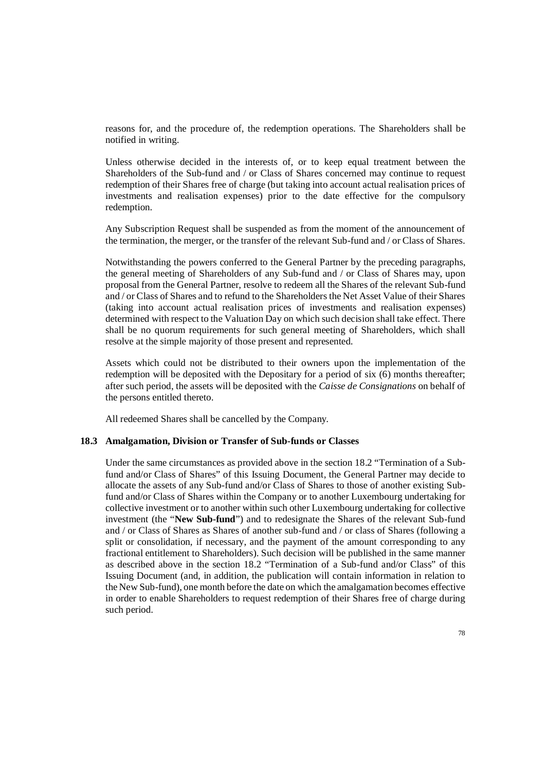reasons for, and the procedure of, the redemption operations. The Shareholders shall be notified in writing.

Unless otherwise decided in the interests of, or to keep equal treatment between the Shareholders of the Sub-fund and / or Class of Shares concerned may continue to request redemption of their Shares free of charge (but taking into account actual realisation prices of investments and realisation expenses) prior to the date effective for the compulsory redemption.

Any Subscription Request shall be suspended as from the moment of the announcement of the termination, the merger, or the transfer of the relevant Sub-fund and / or Class of Shares.

Notwithstanding the powers conferred to the General Partner by the preceding paragraphs, the general meeting of Shareholders of any Sub-fund and / or Class of Shares may, upon proposal from the General Partner, resolve to redeem all the Shares of the relevant Sub-fund and / or Class of Shares and to refund to the Shareholders the Net Asset Value of their Shares (taking into account actual realisation prices of investments and realisation expenses) determined with respect to the Valuation Day on which such decision shall take effect. There shall be no quorum requirements for such general meeting of Shareholders, which shall resolve at the simple majority of those present and represented.

Assets which could not be distributed to their owners upon the implementation of the redemption will be deposited with the Depositary for a period of six (6) months thereafter; after such period, the assets will be deposited with the *Caisse de Consignations* on behalf of the persons entitled thereto.

All redeemed Shares shall be cancelled by the Company.

#### **18.3 Amalgamation, Division or Transfer of Sub-funds or Classes**

Under the same circumstances as provided above in the section 18.2 "Termination of a Subfund and/or Class of Shares" of this Issuing Document, the General Partner may decide to allocate the assets of any Sub-fund and/or Class of Shares to those of another existing Subfund and/or Class of Shares within the Company or to another Luxembourg undertaking for collective investment or to another within such other Luxembourg undertaking for collective investment (the "**New Sub-fund**") and to redesignate the Shares of the relevant Sub-fund and / or Class of Shares as Shares of another sub-fund and / or class of Shares (following a split or consolidation, if necessary, and the payment of the amount corresponding to any fractional entitlement to Shareholders). Such decision will be published in the same manner as described above in the section 18.2 "Termination of a Sub-fund and/or Class" of this Issuing Document (and, in addition, the publication will contain information in relation to the New Sub-fund), one month before the date on which the amalgamation becomes effective in order to enable Shareholders to request redemption of their Shares free of charge during such period.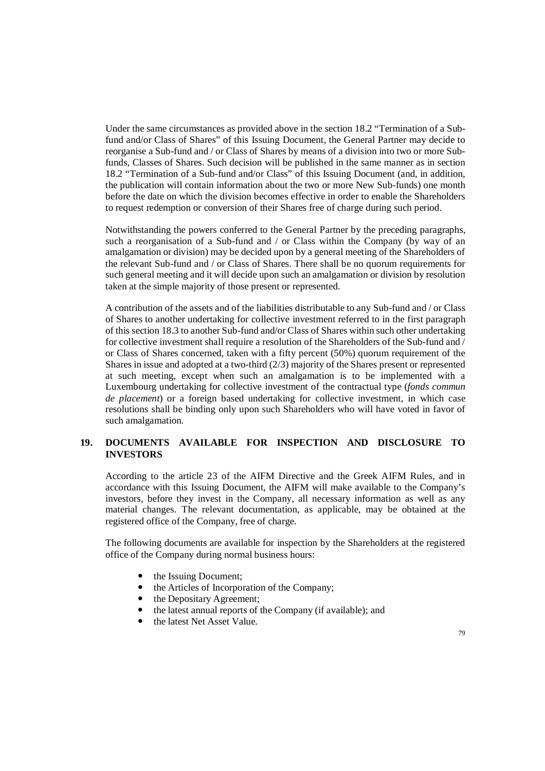Under the same circumstances as provided above in the section 18.2 "Termination of a Subfund and/or Class of Shares" of this Issuing Document, the General Partner may decide to reorganise a Sub-fund and / or Class of Shares by means of a division into two or more Subfunds, Classes of Shares. Such decision will be published in the same manner as in section 18.2 "Termination of a Sub-fund and/or Class" of this Issuing Document (and, in addition, the publication will contain information about the two or more New Sub-funds) one month before the date on which the division becomes effective in order to enable the Shareholders to request redemption or conversion of their Shares free of charge during such period.

Notwithstanding the powers conferred to the General Partner by the preceding paragraphs, such a reorganisation of a Sub-fund and / or Class within the Company (by way of an amalgamation or division) may be decided upon by a general meeting of the Shareholders of the relevant Sub-fund and / or Class of Shares. There shall be no quorum requirements for such general meeting and it will decide upon such an amalgamation or division by resolution taken at the simple majority of those present or represented.

A contribution of the assets and of the liabilities distributable to any Sub-fund and / or Class of Shares to another undertaking for collective investment referred to in the first paragraph of this section 18.3 to another Sub-fund and/or Class of Shares within such other undertaking for collective investment shall require a resolution of the Shareholders of the Sub-fund and / or Class of Shares concerned, taken with a fifty percent (50%) quorum requirement of the Shares in issue and adopted at a two-third (2/3) majority of the Shares present or represented at such meeting, except when such an amalgamation is to be implemented with a Luxembourg undertaking for collective investment of the contractual type (*fonds commun de placement*) or a foreign based undertaking for collective investment, in which case resolutions shall be binding only upon such Shareholders who will have voted in favor of such amalgamation.

# **19. DOCUMENTS AVAILABLE FOR INSPECTION AND DISCLOSURE TO INVESTORS**

According to the article 23 of the AIFM Directive and the Greek AIFM Rules, and in accordance with this Issuing Document, the AIFM will make available to the Company's investors, before they invest in the Company, all necessary information as well as any material changes. The relevant documentation, as applicable, may be obtained at the registered office of the Company, free of charge.

The following documents are available for inspection by the Shareholders at the registered office of the Company during normal business hours:

- the Issuing Document;
- the Articles of Incorporation of the Company;
- the Depositary Agreement;
- the latest annual reports of the Company (if available); and
- the latest Net Asset Value.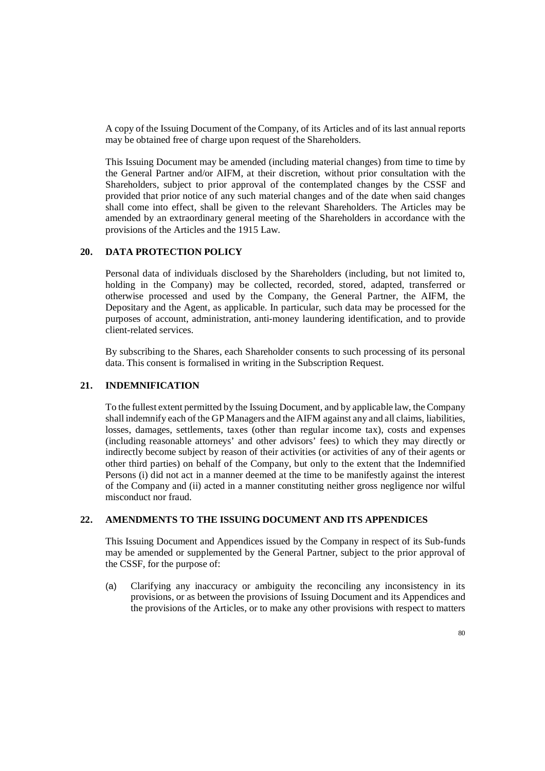A copy of the Issuing Document of the Company, of its Articles and of its last annual reports may be obtained free of charge upon request of the Shareholders.

This Issuing Document may be amended (including material changes) from time to time by the General Partner and/or AIFM, at their discretion, without prior consultation with the Shareholders, subject to prior approval of the contemplated changes by the CSSF and provided that prior notice of any such material changes and of the date when said changes shall come into effect, shall be given to the relevant Shareholders. The Articles may be amended by an extraordinary general meeting of the Shareholders in accordance with the provisions of the Articles and the 1915 Law.

## **20. DATA PROTECTION POLICY**

Personal data of individuals disclosed by the Shareholders (including, but not limited to, holding in the Company) may be collected, recorded, stored, adapted, transferred or otherwise processed and used by the Company, the General Partner, the AIFM, the Depositary and the Agent, as applicable. In particular, such data may be processed for the purposes of account, administration, anti-money laundering identification, and to provide client-related services.

By subscribing to the Shares, each Shareholder consents to such processing of its personal data. This consent is formalised in writing in the Subscription Request.

## **21. INDEMNIFICATION**

To the fullest extent permitted by the Issuing Document, and by applicable law, the Company shall indemnify each of the GP Managers and the AIFM against any and all claims, liabilities, losses, damages, settlements, taxes (other than regular income tax), costs and expenses (including reasonable attorneys' and other advisors' fees) to which they may directly or indirectly become subject by reason of their activities (or activities of any of their agents or other third parties) on behalf of the Company, but only to the extent that the Indemnified Persons (i) did not act in a manner deemed at the time to be manifestly against the interest of the Company and (ii) acted in a manner constituting neither gross negligence nor wilful misconduct nor fraud.

### **22. AMENDMENTS TO THE ISSUING DOCUMENT AND ITS APPENDICES**

This Issuing Document and Appendices issued by the Company in respect of its Sub-funds may be amended or supplemented by the General Partner, subject to the prior approval of the CSSF, for the purpose of:

(a) Clarifying any inaccuracy or ambiguity the reconciling any inconsistency in its provisions, or as between the provisions of Issuing Document and its Appendices and the provisions of the Articles, or to make any other provisions with respect to matters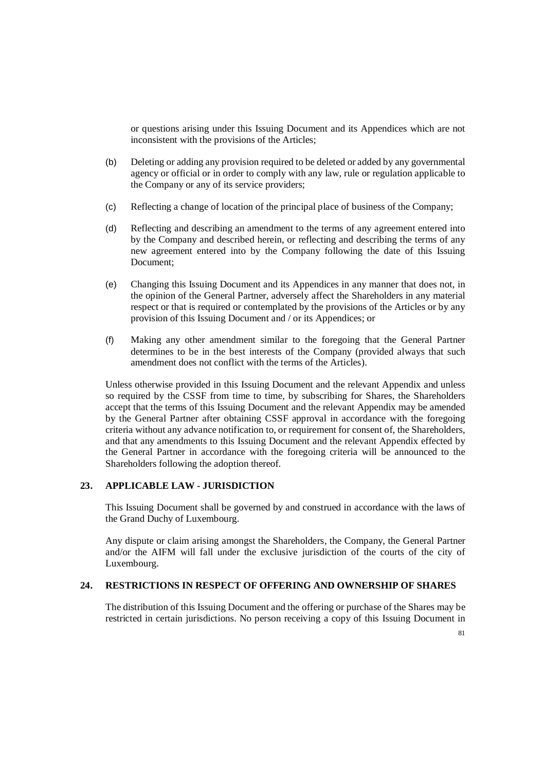or questions arising under this Issuing Document and its Appendices which are not inconsistent with the provisions of the Articles;

- (b) Deleting or adding any provision required to be deleted or added by any governmental agency or official or in order to comply with any law, rule or regulation applicable to the Company or any of its service providers;
- (c) Reflecting a change of location of the principal place of business of the Company;
- (d) Reflecting and describing an amendment to the terms of any agreement entered into by the Company and described herein, or reflecting and describing the terms of any new agreement entered into by the Company following the date of this Issuing Document;
- (e) Changing this Issuing Document and its Appendices in any manner that does not, in the opinion of the General Partner, adversely affect the Shareholders in any material respect or that is required or contemplated by the provisions of the Articles or by any provision of this Issuing Document and / or its Appendices; or
- (f) Making any other amendment similar to the foregoing that the General Partner determines to be in the best interests of the Company (provided always that such amendment does not conflict with the terms of the Articles).

Unless otherwise provided in this Issuing Document and the relevant Appendix and unless so required by the CSSF from time to time, by subscribing for Shares, the Shareholders accept that the terms of this Issuing Document and the relevant Appendix may be amended by the General Partner after obtaining CSSF approval in accordance with the foregoing criteria without any advance notification to, or requirement for consent of, the Shareholders, and that any amendments to this Issuing Document and the relevant Appendix effected by the General Partner in accordance with the foregoing criteria will be announced to the Shareholders following the adoption thereof.

## **23. APPLICABLE LAW - JURISDICTION**

This Issuing Document shall be governed by and construed in accordance with the laws of the Grand Duchy of Luxembourg.

Any dispute or claim arising amongst the Shareholders, the Company, the General Partner and/or the AIFM will fall under the exclusive jurisdiction of the courts of the city of Luxembourg.

# **24. RESTRICTIONS IN RESPECT OF OFFERING AND OWNERSHIP OF SHARES**

The distribution of this Issuing Document and the offering or purchase of the Shares may be restricted in certain jurisdictions. No person receiving a copy of this Issuing Document in

81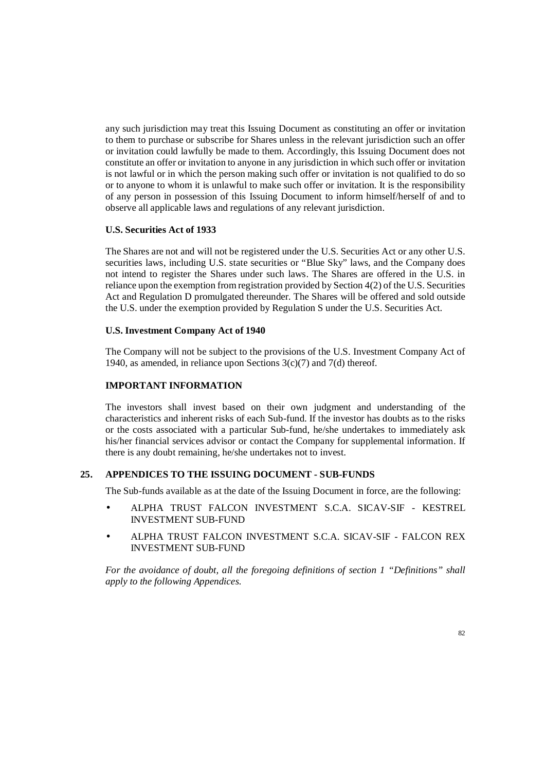any such jurisdiction may treat this Issuing Document as constituting an offer or invitation to them to purchase or subscribe for Shares unless in the relevant jurisdiction such an offer or invitation could lawfully be made to them. Accordingly, this Issuing Document does not constitute an offer or invitation to anyone in any jurisdiction in which such offer or invitation is not lawful or in which the person making such offer or invitation is not qualified to do so or to anyone to whom it is unlawful to make such offer or invitation. It is the responsibility of any person in possession of this Issuing Document to inform himself/herself of and to observe all applicable laws and regulations of any relevant jurisdiction.

## **U.S. Securities Act of 1933**

The Shares are not and will not be registered under the U.S. Securities Act or any other U.S. securities laws, including U.S. state securities or "Blue Sky" laws, and the Company does not intend to register the Shares under such laws. The Shares are offered in the U.S. in reliance upon the exemption from registration provided by Section 4(2) of the U.S. Securities Act and Regulation D promulgated thereunder. The Shares will be offered and sold outside the U.S. under the exemption provided by Regulation S under the U.S. Securities Act.

## **U.S. Investment Company Act of 1940**

The Company will not be subject to the provisions of the U.S. Investment Company Act of 1940, as amended, in reliance upon Sections  $3(c)(7)$  and  $7(d)$  thereof.

# **IMPORTANT INFORMATION**

The investors shall invest based on their own judgment and understanding of the characteristics and inherent risks of each Sub-fund. If the investor has doubts as to the risks or the costs associated with a particular Sub-fund, he/she undertakes to immediately ask his/her financial services advisor or contact the Company for supplemental information. If there is any doubt remaining, he/she undertakes not to invest.

## **25. APPENDICES TO THE ISSUING DOCUMENT - SUB-FUNDS**

The Sub-funds available as at the date of the Issuing Document in force, are the following:

- ALPHA TRUST FALCON INVESTMENT S.C.A. SICAV-SIF KESTREL INVESTMENT SUB-FUND
- ALPHA TRUST FALCON INVESTMENT S.C.A. SICAV-SIF FALCON REX INVESTMENT SUB-FUND

*For the avoidance of doubt, all the foregoing definitions of section 1 "Definitions" shall apply to the following Appendices.*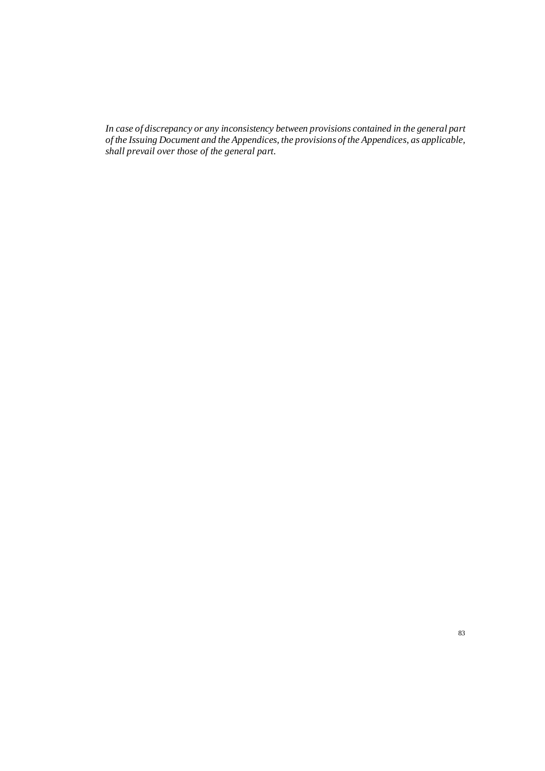*In case of discrepancy or any inconsistency between provisions contained in the general part of the Issuing Document and the Appendices, the provisions of the Appendices, as applicable, shall prevail over those of the general part.*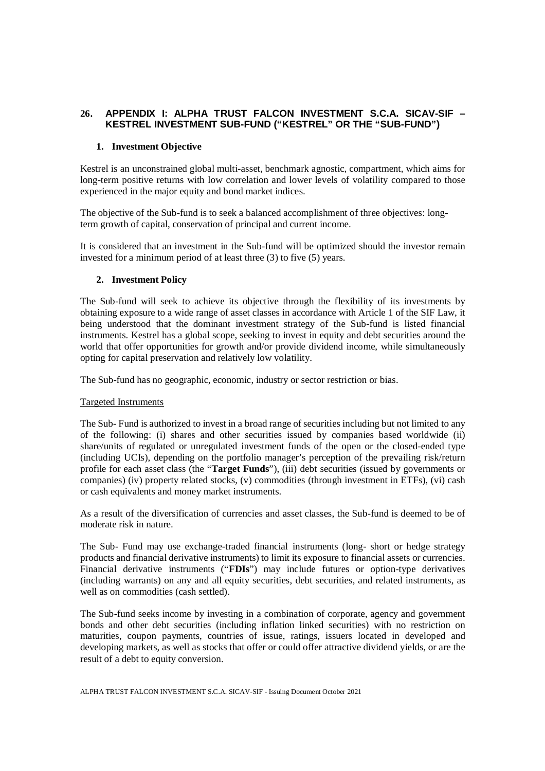# **26. APPENDIX I: ALPHA TRUST FALCON INVESTMENT S.C.A. SICAV-SIF – KESTREL INVESTMENT SUB-FUND ("KESTREL" OR THE "SUB-FUND")**

## **1. Investment Objective**

Kestrel is an unconstrained global multi-asset, benchmark agnostic, compartment, which aims for long-term positive returns with low correlation and lower levels of volatility compared to those experienced in the major equity and bond market indices.

The objective of the Sub-fund is to seek a balanced accomplishment of three objectives: longterm growth of capital, conservation of principal and current income.

It is considered that an investment in the Sub-fund will be optimized should the investor remain invested for a minimum period of at least three (3) to five (5) years.

## **2. Investment Policy**

The Sub-fund will seek to achieve its objective through the flexibility of its investments by obtaining exposure to a wide range of asset classes in accordance with Article 1 of the SIF Law, it being understood that the dominant investment strategy of the Sub-fund is listed financial instruments. Kestrel has a global scope, seeking to invest in equity and debt securities around the world that offer opportunities for growth and/or provide dividend income, while simultaneously opting for capital preservation and relatively low volatility.

The Sub-fund has no geographic, economic, industry or sector restriction or bias.

### Targeted Instruments

The Sub- Fund is authorized to invest in a broad range of securities including but not limited to any of the following: (i) shares and other securities issued by companies based worldwide (ii) share/units of regulated or unregulated investment funds of the open or the closed-ended type (including UCIs), depending on the portfolio manager's perception of the prevailing risk/return profile for each asset class (the "**Target Funds**"), (iii) debt securities (issued by governments or companies) (iv) property related stocks, (v) commodities (through investment in ETFs), (vi) cash or cash equivalents and money market instruments.

As a result of the diversification of currencies and asset classes, the Sub-fund is deemed to be of moderate risk in nature.

The Sub- Fund may use exchange-traded financial instruments (long- short or hedge strategy products and financial derivative instruments) to limit its exposure to financial assets or currencies. Financial derivative instruments ("**FDIs**") may include futures or option-type derivatives (including warrants) on any and all equity securities, debt securities, and related instruments, as well as on commodities (cash settled).

The Sub-fund seeks income by investing in a combination of corporate, agency and government bonds and other debt securities (including inflation linked securities) with no restriction on maturities, coupon payments, countries of issue, ratings, issuers located in developed and developing markets, as well as stocks that offer or could offer attractive dividend yields, or are the result of a debt to equity conversion.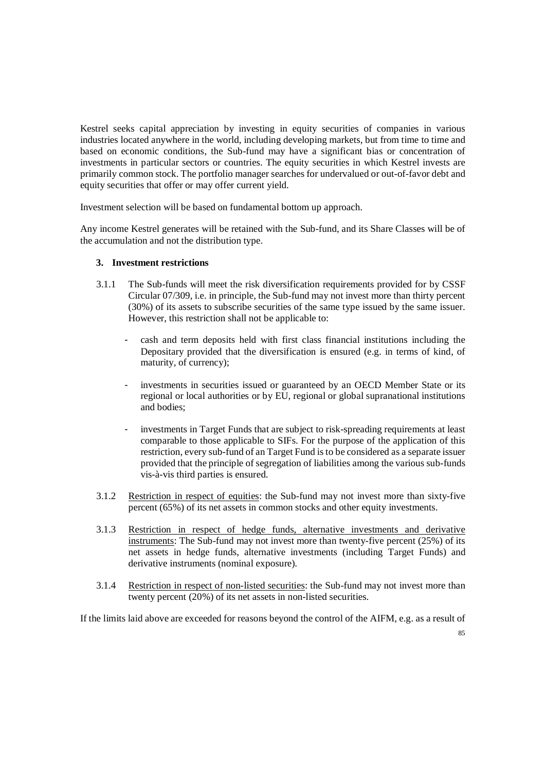Kestrel seeks capital appreciation by investing in equity securities of companies in various industries located anywhere in the world, including developing markets, but from time to time and based on economic conditions, the Sub-fund may have a significant bias or concentration of investments in particular sectors or countries. The equity securities in which Kestrel invests are primarily common stock. The portfolio manager searches for undervalued or out-of-favor debt and equity securities that offer or may offer current yield.

Investment selection will be based on fundamental bottom up approach.

Any income Kestrel generates will be retained with the Sub-fund, and its Share Classes will be of the accumulation and not the distribution type.

## **3. Investment restrictions**

- 3.1.1 The Sub-funds will meet the risk diversification requirements provided for by CSSF Circular 07/309, i.e. in principle, the Sub-fund may not invest more than thirty percent (30%) of its assets to subscribe securities of the same type issued by the same issuer. However, this restriction shall not be applicable to:
	- cash and term deposits held with first class financial institutions including the Depositary provided that the diversification is ensured (e.g. in terms of kind, of maturity, of currency);
	- investments in securities issued or guaranteed by an OECD Member State or its regional or local authorities or by EU, regional or global supranational institutions and bodies;
	- investments in Target Funds that are subject to risk-spreading requirements at least comparable to those applicable to SIFs. For the purpose of the application of this restriction, every sub-fund of an Target Fund is to be considered as a separate issuer provided that the principle of segregation of liabilities among the various sub-funds vis-à-vis third parties is ensured.
- 3.1.2 Restriction in respect of equities: the Sub-fund may not invest more than sixty-five percent (65%) of its net assets in common stocks and other equity investments.
- 3.1.3 Restriction in respect of hedge funds, alternative investments and derivative instruments: The Sub-fund may not invest more than twenty-five percent (25%) of its net assets in hedge funds, alternative investments (including Target Funds) and derivative instruments (nominal exposure).
- 3.1.4 Restriction in respect of non-listed securities: the Sub-fund may not invest more than twenty percent (20%) of its net assets in non-listed securities.

If the limits laid above are exceeded for reasons beyond the control of the AIFM, e.g. as a result of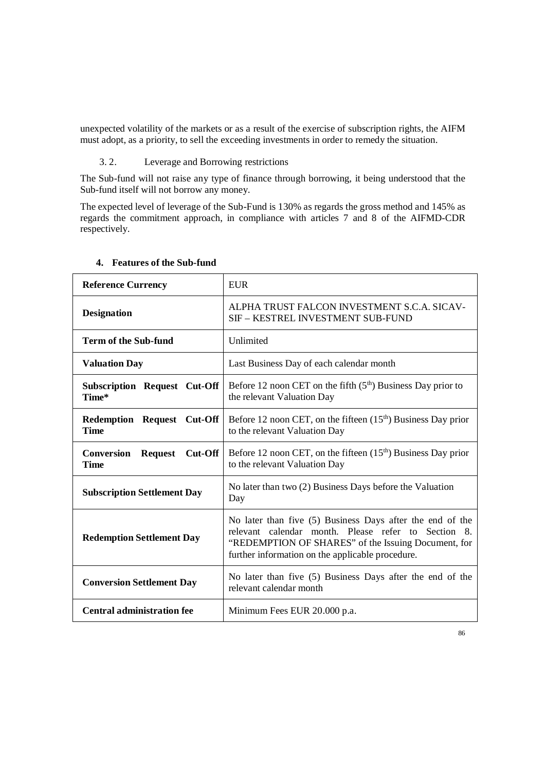unexpected volatility of the markets or as a result of the exercise of subscription rights, the AIFM must adopt, as a priority, to sell the exceeding investments in order to remedy the situation.

# 3. 2. Leverage and Borrowing restrictions

The Sub-fund will not raise any type of finance through borrowing, it being understood that the Sub-fund itself will not borrow any money.

The expected level of leverage of the Sub-Fund is 130% as regards the gross method and 145% as regards the commitment approach, in compliance with articles 7 and 8 of the AIFMD-CDR respectively.

| <b>Reference Currency</b>                                 | <b>EUR</b>                                                                                                                                                                                                                  |
|-----------------------------------------------------------|-----------------------------------------------------------------------------------------------------------------------------------------------------------------------------------------------------------------------------|
| <b>Designation</b>                                        | ALPHA TRUST FALCON INVESTMENT S.C.A. SICAV-<br>SIF – KESTREL INVESTMENT SUB-FUND                                                                                                                                            |
| <b>Term of the Sub-fund</b>                               | Unlimited                                                                                                                                                                                                                   |
| <b>Valuation Day</b>                                      | Last Business Day of each calendar month                                                                                                                                                                                    |
| <b>Subscription Request Cut-Off</b><br>Time*              | Before 12 noon CET on the fifth $(5th)$ Business Day prior to<br>the relevant Valuation Day                                                                                                                                 |
| Redemption Request Cut-Off<br><b>Time</b>                 | Before 12 noon CET, on the fifteen $(15th)$ Business Day prior<br>to the relevant Valuation Day                                                                                                                             |
| $Cut$ -Off<br>Conversion<br><b>Request</b><br><b>Time</b> | Before 12 noon CET, on the fifteen $(15th)$ Business Day prior<br>to the relevant Valuation Day                                                                                                                             |
| <b>Subscription Settlement Day</b>                        | No later than two (2) Business Days before the Valuation<br>Day                                                                                                                                                             |
| <b>Redemption Settlement Day</b>                          | No later than five (5) Business Days after the end of the<br>relevant calendar month. Please refer to Section 8.<br>"REDEMPTION OF SHARES" of the Issuing Document, for<br>further information on the applicable procedure. |
| <b>Conversion Settlement Day</b>                          | No later than five (5) Business Days after the end of the<br>relevant calendar month                                                                                                                                        |
| <b>Central administration fee</b>                         | Minimum Fees EUR 20.000 p.a.                                                                                                                                                                                                |

# **4. Features of the Sub-fund**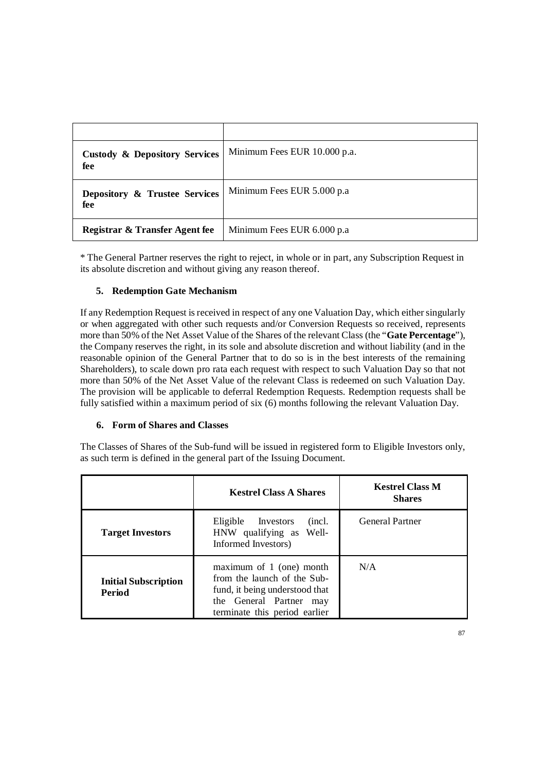| <b>Custody &amp; Depository Services</b><br>fee | Minimum Fees EUR 10.000 p.a. |
|-------------------------------------------------|------------------------------|
| Depository & Trustee Services<br>fee            | Minimum Fees EUR 5.000 p.a.  |
| Registrar & Transfer Agent fee                  | Minimum Fees EUR 6.000 p.a   |

\* The General Partner reserves the right to reject, in whole or in part, any Subscription Request in its absolute discretion and without giving any reason thereof.

# **5. Redemption Gate Mechanism**

If any Redemption Request is received in respect of any one Valuation Day, which either singularly or when aggregated with other such requests and/or Conversion Requests so received, represents more than 50% of the Net Asset Value of the Shares of the relevant Class (the "**Gate Percentage**"), the Company reserves the right, in its sole and absolute discretion and without liability (and in the reasonable opinion of the General Partner that to do so is in the best interests of the remaining Shareholders), to scale down pro rata each request with respect to such Valuation Day so that not more than 50% of the Net Asset Value of the relevant Class is redeemed on such Valuation Day. The provision will be applicable to deferral Redemption Requests. Redemption requests shall be fully satisfied within a maximum period of six (6) months following the relevant Valuation Day.

## **6. Form of Shares and Classes**

The Classes of Shares of the Sub-fund will be issued in registered form to Eligible Investors only, as such term is defined in the general part of the Issuing Document.

|                                       | <b>Kestrel Class A Shares</b>                                                                                                                            | <b>Kestrel Class M</b><br><b>Shares</b> |
|---------------------------------------|----------------------------------------------------------------------------------------------------------------------------------------------------------|-----------------------------------------|
| <b>Target Investors</b>               | Eligible Investors<br>(incl.<br>HNW qualifying as Well-<br>Informed Investors)                                                                           | <b>General Partner</b>                  |
| <b>Initial Subscription</b><br>Period | maximum of 1 (one) month<br>from the launch of the Sub-<br>fund, it being understood that<br>the General Partner<br>may<br>terminate this period earlier | N/A                                     |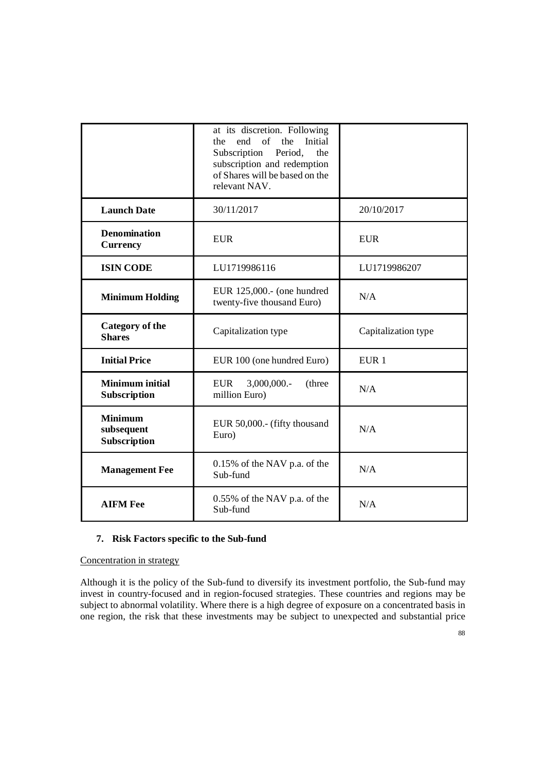|                                              | at its discretion. Following<br>of<br>Initial<br>end<br>the<br>the<br>Subscription<br>Period,<br>the<br>subscription and redemption<br>of Shares will be based on the<br>relevant NAV. |                     |
|----------------------------------------------|----------------------------------------------------------------------------------------------------------------------------------------------------------------------------------------|---------------------|
| <b>Launch Date</b>                           | 30/11/2017                                                                                                                                                                             | 20/10/2017          |
| <b>Denomination</b><br><b>Currency</b>       | <b>EUR</b>                                                                                                                                                                             | <b>EUR</b>          |
| <b>ISIN CODE</b>                             | LU1719986116                                                                                                                                                                           | LU1719986207        |
| <b>Minimum Holding</b>                       | EUR 125,000.- (one hundred<br>twenty-five thousand Euro)                                                                                                                               | N/A                 |
| <b>Category of the</b><br><b>Shares</b>      | Capitalization type                                                                                                                                                                    | Capitalization type |
| <b>Initial Price</b>                         | EUR 100 (one hundred Euro)                                                                                                                                                             | EUR <sub>1</sub>    |
| <b>Minimum initial</b><br>Subscription       | 3,000,000.-<br><b>EUR</b><br>(three<br>million Euro)                                                                                                                                   | N/A                 |
| <b>Minimum</b><br>subsequent<br>Subscription | EUR 50,000 .- (fifty thousand<br>Euro)                                                                                                                                                 | N/A                 |
| <b>Management Fee</b>                        | $0.15\%$ of the NAV p.a. of the<br>Sub-fund                                                                                                                                            | N/A                 |
| <b>AIFM Fee</b>                              | 0.55% of the NAV p.a. of the<br>Sub-fund                                                                                                                                               | N/A                 |

# **7. Risk Factors specific to the Sub-fund**

## Concentration in strategy

Although it is the policy of the Sub-fund to diversify its investment portfolio, the Sub-fund may invest in country-focused and in region-focused strategies. These countries and regions may be subject to abnormal volatility. Where there is a high degree of exposure on a concentrated basis in one region, the risk that these investments may be subject to unexpected and substantial price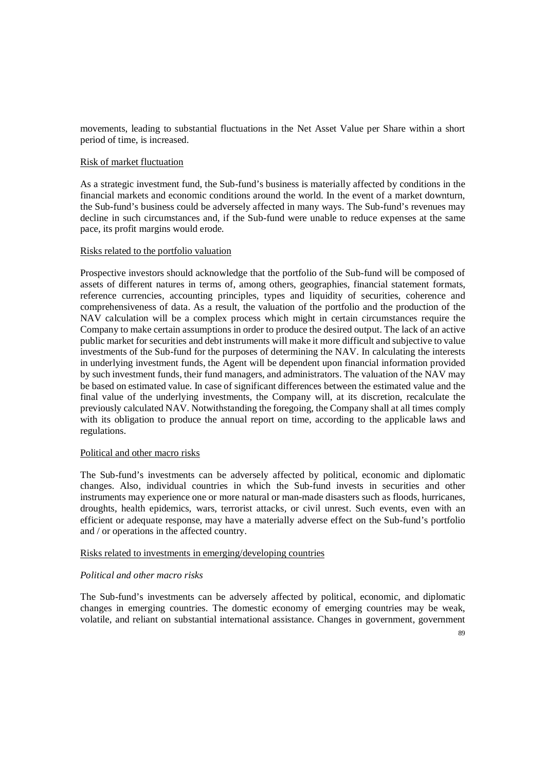movements, leading to substantial fluctuations in the Net Asset Value per Share within a short period of time, is increased.

### Risk of market fluctuation

As a strategic investment fund, the Sub-fund's business is materially affected by conditions in the financial markets and economic conditions around the world. In the event of a market downturn, the Sub-fund's business could be adversely affected in many ways. The Sub-fund's revenues may decline in such circumstances and, if the Sub-fund were unable to reduce expenses at the same pace, its profit margins would erode.

#### Risks related to the portfolio valuation

Prospective investors should acknowledge that the portfolio of the Sub-fund will be composed of assets of different natures in terms of, among others, geographies, financial statement formats, reference currencies, accounting principles, types and liquidity of securities, coherence and comprehensiveness of data. As a result, the valuation of the portfolio and the production of the NAV calculation will be a complex process which might in certain circumstances require the Company to make certain assumptions in order to produce the desired output. The lack of an active public market for securities and debt instruments will make it more difficult and subjective to value investments of the Sub-fund for the purposes of determining the NAV. In calculating the interests in underlying investment funds, the Agent will be dependent upon financial information provided by such investment funds, their fund managers, and administrators. The valuation of the NAV may be based on estimated value. In case of significant differences between the estimated value and the final value of the underlying investments, the Company will, at its discretion, recalculate the previously calculated NAV. Notwithstanding the foregoing, the Company shall at all times comply with its obligation to produce the annual report on time, according to the applicable laws and regulations.

#### Political and other macro risks

The Sub-fund's investments can be adversely affected by political, economic and diplomatic changes. Also, individual countries in which the Sub-fund invests in securities and other instruments may experience one or more natural or man-made disasters such as floods, hurricanes, droughts, health epidemics, wars, terrorist attacks, or civil unrest. Such events, even with an efficient or adequate response, may have a materially adverse effect on the Sub-fund's portfolio and / or operations in the affected country.

#### Risks related to investments in emerging/developing countries

### *Political and other macro risks*

The Sub-fund's investments can be adversely affected by political, economic, and diplomatic changes in emerging countries. The domestic economy of emerging countries may be weak, volatile, and reliant on substantial international assistance. Changes in government, government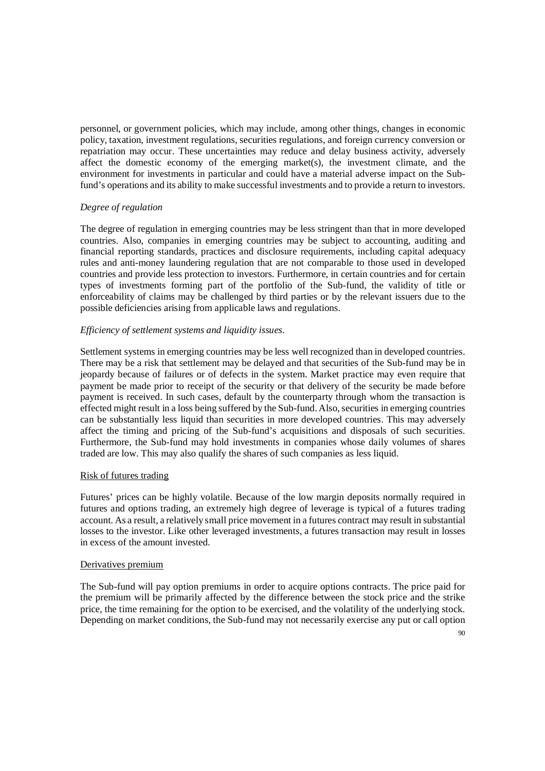personnel, or government policies, which may include, among other things, changes in economic policy, taxation, investment regulations, securities regulations, and foreign currency conversion or repatriation may occur. These uncertainties may reduce and delay business activity, adversely affect the domestic economy of the emerging market(s), the investment climate, and the environment for investments in particular and could have a material adverse impact on the Subfund's operations and its ability to make successful investments and to provide a return to investors.

## *Degree of regulation*

The degree of regulation in emerging countries may be less stringent than that in more developed countries. Also, companies in emerging countries may be subject to accounting, auditing and financial reporting standards, practices and disclosure requirements, including capital adequacy rules and anti-money laundering regulation that are not comparable to those used in developed countries and provide less protection to investors. Furthermore, in certain countries and for certain types of investments forming part of the portfolio of the Sub-fund, the validity of title or enforceability of claims may be challenged by third parties or by the relevant issuers due to the possible deficiencies arising from applicable laws and regulations.

## *Efficiency of settlement systems and liquidity issues.*

Settlement systems in emerging countries may be less well recognized than in developed countries. There may be a risk that settlement may be delayed and that securities of the Sub-fund may be in jeopardy because of failures or of defects in the system. Market practice may even require that payment be made prior to receipt of the security or that delivery of the security be made before payment is received. In such cases, default by the counterparty through whom the transaction is effected might result in a loss being suffered by the Sub-fund. Also, securities in emerging countries can be substantially less liquid than securities in more developed countries. This may adversely affect the timing and pricing of the Sub-fund's acquisitions and disposals of such securities. Furthermore, the Sub-fund may hold investments in companies whose daily volumes of shares traded are low. This may also qualify the shares of such companies as less liquid.

### Risk of futures trading

Futures' prices can be highly volatile. Because of the low margin deposits normally required in futures and options trading, an extremely high degree of leverage is typical of a futures trading account. As a result, a relatively small price movement in a futures contract may result in substantial losses to the investor. Like other leveraged investments, a futures transaction may result in losses in excess of the amount invested.

### Derivatives premium

The Sub-fund will pay option premiums in order to acquire options contracts. The price paid for the premium will be primarily affected by the difference between the stock price and the strike price, the time remaining for the option to be exercised, and the volatility of the underlying stock. Depending on market conditions, the Sub-fund may not necessarily exercise any put or call option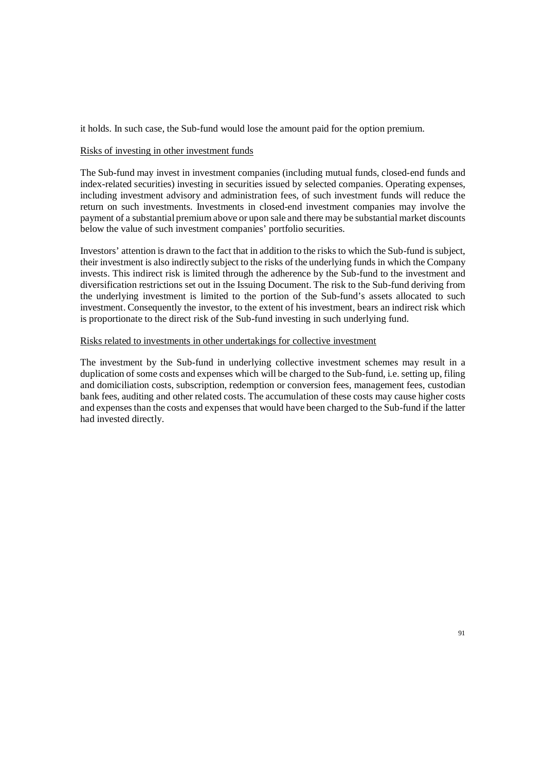it holds. In such case, the Sub-fund would lose the amount paid for the option premium.

### Risks of investing in other investment funds

The Sub-fund may invest in investment companies (including mutual funds, closed-end funds and index-related securities) investing in securities issued by selected companies. Operating expenses, including investment advisory and administration fees, of such investment funds will reduce the return on such investments. Investments in closed-end investment companies may involve the payment of a substantial premium above or upon sale and there may be substantial market discounts below the value of such investment companies' portfolio securities.

Investors' attention is drawn to the fact that in addition to the risks to which the Sub-fund is subject, their investment is also indirectly subject to the risks of the underlying funds in which the Company invests. This indirect risk is limited through the adherence by the Sub-fund to the investment and diversification restrictions set out in the Issuing Document. The risk to the Sub-fund deriving from the underlying investment is limited to the portion of the Sub-fund's assets allocated to such investment. Consequently the investor, to the extent of his investment, bears an indirect risk which is proportionate to the direct risk of the Sub-fund investing in such underlying fund.

# Risks related to investments in other undertakings for collective investment

The investment by the Sub-fund in underlying collective investment schemes may result in a duplication of some costs and expenses which will be charged to the Sub-fund, i.e. setting up, filing and domiciliation costs, subscription, redemption or conversion fees, management fees, custodian bank fees, auditing and other related costs. The accumulation of these costs may cause higher costs and expenses than the costs and expenses that would have been charged to the Sub-fund if the latter had invested directly.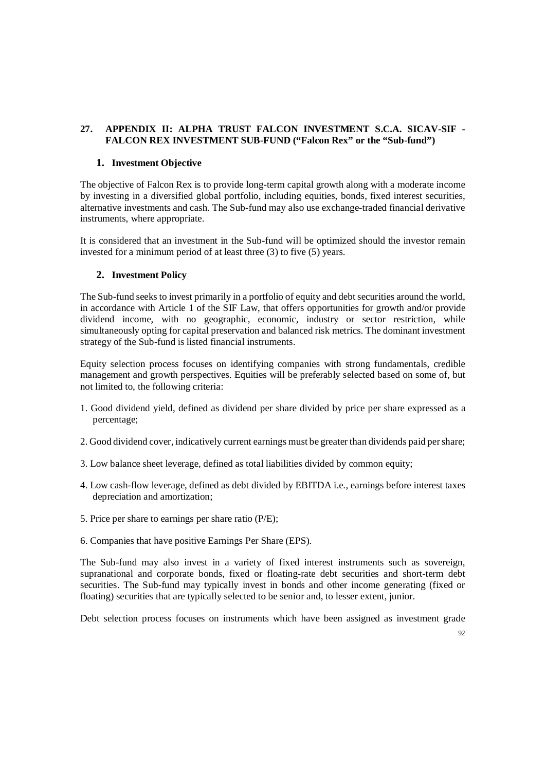# **27. APPENDIX II: ALPHA TRUST FALCON INVESTMENT S.C.A. SICAV-SIF - FALCON REX INVESTMENT SUB-FUND ("Falcon Rex" or the "Sub-fund")**

## **1. Investment Objective**

The objective of Falcon Rex is to provide long-term capital growth along with a moderate income by investing in a diversified global portfolio, including equities, bonds, fixed interest securities, alternative investments and cash. The Sub-fund may also use exchange-traded financial derivative instruments, where appropriate.

It is considered that an investment in the Sub-fund will be optimized should the investor remain invested for a minimum period of at least three (3) to five (5) years.

# **2. Investment Policy**

The Sub-fund seeks to invest primarily in a portfolio of equity and debt securities around the world, in accordance with Article 1 of the SIF Law, that offers opportunities for growth and/or provide dividend income, with no geographic, economic, industry or sector restriction, while simultaneously opting for capital preservation and balanced risk metrics. The dominant investment strategy of the Sub-fund is listed financial instruments.

Equity selection process focuses on identifying companies with strong fundamentals, credible management and growth perspectives. Equities will be preferably selected based on some of, but not limited to, the following criteria:

- 1. Good dividend yield, defined as dividend per share divided by price per share expressed as a percentage;
- 2. Good dividend cover, indicatively current earnings must be greater than dividends paid per share;
- 3. Low balance sheet leverage, defined as total liabilities divided by common equity;
- 4. Low cash-flow leverage, defined as debt divided by EBITDA i.e., earnings before interest taxes depreciation and amortization;
- 5. Price per share to earnings per share ratio (P/E);
- 6. Companies that have positive Earnings Per Share (EPS).

The Sub-fund may also invest in a variety of fixed interest instruments such as sovereign, supranational and corporate bonds, fixed or floating-rate debt securities and short-term debt securities. The Sub-fund may typically invest in bonds and other income generating (fixed or floating) securities that are typically selected to be senior and, to lesser extent, junior.

Debt selection process focuses on instruments which have been assigned as investment grade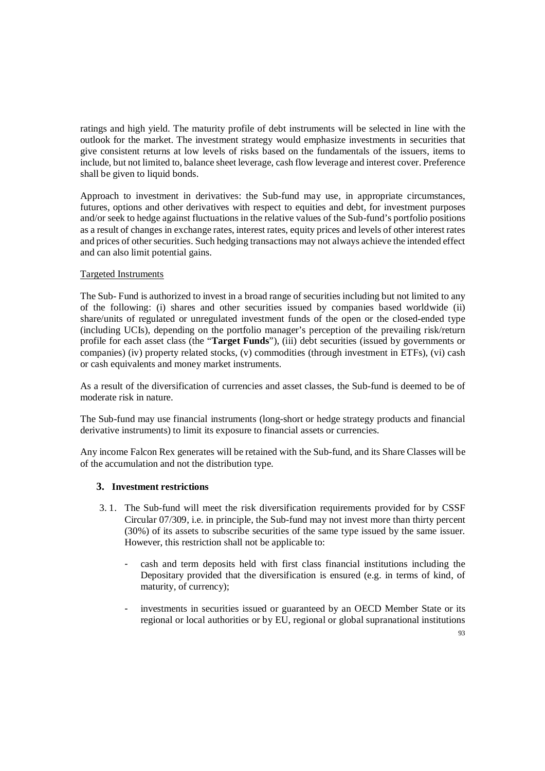ratings and high yield. The maturity profile of debt instruments will be selected in line with the outlook for the market. The investment strategy would emphasize investments in securities that give consistent returns at low levels of risks based on the fundamentals of the issuers, items to include, but not limited to, balance sheet leverage, cash flow leverage and interest cover. Preference shall be given to liquid bonds.

Approach to investment in derivatives: the Sub-fund may use, in appropriate circumstances, futures, options and other derivatives with respect to equities and debt, for investment purposes and/or seek to hedge against fluctuations in the relative values of the Sub-fund's portfolio positions as a result of changes in exchange rates, interest rates, equity prices and levels of other interest rates and prices of other securities. Such hedging transactions may not always achieve the intended effect and can also limit potential gains.

## Targeted Instruments

The Sub- Fund is authorized to invest in a broad range of securities including but not limited to any of the following: (i) shares and other securities issued by companies based worldwide (ii) share/units of regulated or unregulated investment funds of the open or the closed-ended type (including UCIs), depending on the portfolio manager's perception of the prevailing risk/return profile for each asset class (the "**Target Funds**"), (iii) debt securities (issued by governments or companies) (iv) property related stocks, (v) commodities (through investment in ETFs), (vi) cash or cash equivalents and money market instruments.

As a result of the diversification of currencies and asset classes, the Sub-fund is deemed to be of moderate risk in nature.

The Sub-fund may use financial instruments (long-short or hedge strategy products and financial derivative instruments) to limit its exposure to financial assets or currencies.

Any income Falcon Rex generates will be retained with the Sub-fund, and its Share Classes will be of the accumulation and not the distribution type.

### **3. Investment restrictions**

- 3. 1. The Sub-fund will meet the risk diversification requirements provided for by CSSF Circular 07/309, i.e. in principle, the Sub-fund may not invest more than thirty percent (30%) of its assets to subscribe securities of the same type issued by the same issuer. However, this restriction shall not be applicable to:
	- cash and term deposits held with first class financial institutions including the Depositary provided that the diversification is ensured (e.g. in terms of kind, of maturity, of currency);
	- investments in securities issued or guaranteed by an OECD Member State or its regional or local authorities or by EU, regional or global supranational institutions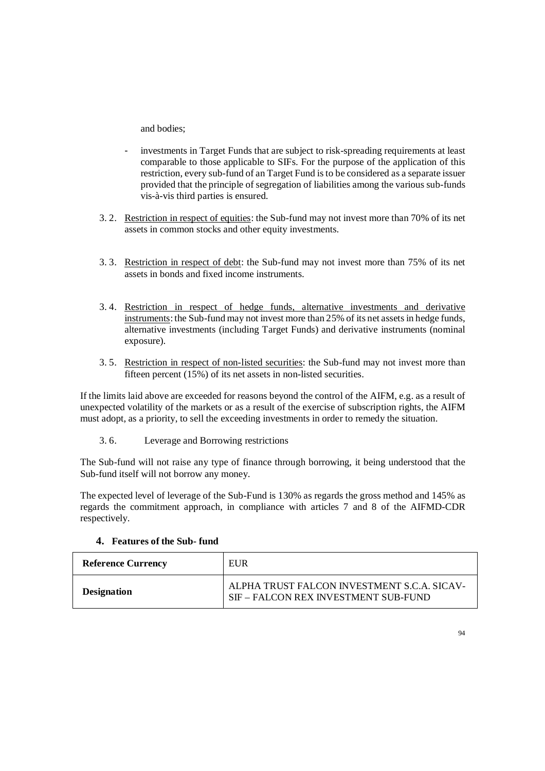and bodies;

- investments in Target Funds that are subject to risk-spreading requirements at least comparable to those applicable to SIFs. For the purpose of the application of this restriction, every sub-fund of an Target Fund is to be considered as a separate issuer provided that the principle of segregation of liabilities among the various sub-funds vis-à-vis third parties is ensured.
- 3. 2. Restriction in respect of equities: the Sub-fund may not invest more than 70% of its net assets in common stocks and other equity investments.
- 3. 3. Restriction in respect of debt: the Sub-fund may not invest more than 75% of its net assets in bonds and fixed income instruments.
- 3. 4. Restriction in respect of hedge funds, alternative investments and derivative instruments: the Sub-fund may not invest more than 25% of its net assets in hedge funds, alternative investments (including Target Funds) and derivative instruments (nominal exposure).
- 3. 5. Restriction in respect of non-listed securities: the Sub-fund may not invest more than fifteen percent (15%) of its net assets in non-listed securities.

If the limits laid above are exceeded for reasons beyond the control of the AIFM, e.g. as a result of unexpected volatility of the markets or as a result of the exercise of subscription rights, the AIFM must adopt, as a priority, to sell the exceeding investments in order to remedy the situation.

3. 6. Leverage and Borrowing restrictions

The Sub-fund will not raise any type of finance through borrowing, it being understood that the Sub-fund itself will not borrow any money.

The expected level of leverage of the Sub-Fund is 130% as regards the gross method and 145% as regards the commitment approach, in compliance with articles 7 and 8 of the AIFMD-CDR respectively.

| 4. Features of the Sub-fund |  |
|-----------------------------|--|
|                             |  |

| <b>Reference Currency</b> | EUR                                                                                 |
|---------------------------|-------------------------------------------------------------------------------------|
| <b>Designation</b>        | ALPHA TRUST FALCON INVESTMENT S.C.A. SICAV-<br>SIF – FALCON REX INVESTMENT SUB-FUND |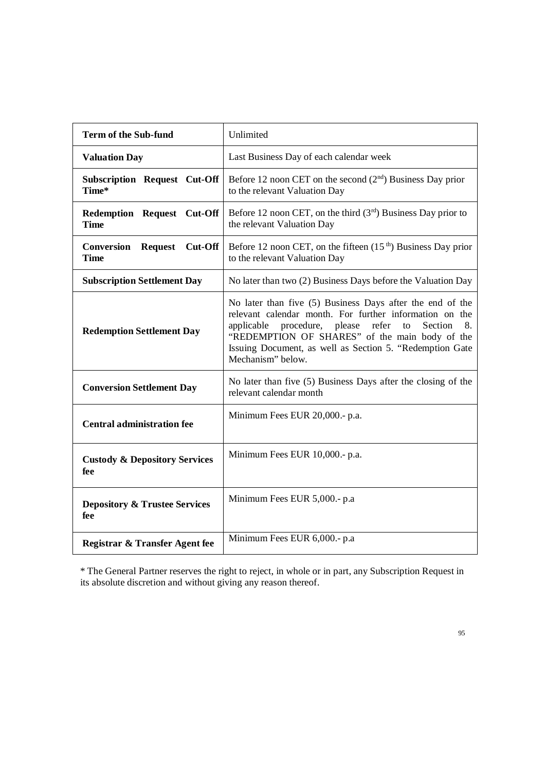| <b>Term of the Sub-fund</b>                     | Unlimited                                                                                                                                                                                                                                                                                                                  |
|-------------------------------------------------|----------------------------------------------------------------------------------------------------------------------------------------------------------------------------------------------------------------------------------------------------------------------------------------------------------------------------|
| <b>Valuation Day</b>                            | Last Business Day of each calendar week                                                                                                                                                                                                                                                                                    |
| <b>Subscription Request Cut-Off</b><br>Time*    | Before 12 noon CET on the second $(2nd)$ Business Day prior<br>to the relevant Valuation Day                                                                                                                                                                                                                               |
| Redemption Request Cut-Off<br><b>Time</b>       | Before 12 noon CET, on the third $(3rd)$ Business Day prior to<br>the relevant Valuation Day                                                                                                                                                                                                                               |
| Request Cut-Off<br>Conversion<br><b>Time</b>    | Before 12 noon CET, on the fifteen $(15th)$ Business Day prior<br>to the relevant Valuation Day                                                                                                                                                                                                                            |
| <b>Subscription Settlement Day</b>              | No later than two (2) Business Days before the Valuation Day                                                                                                                                                                                                                                                               |
| <b>Redemption Settlement Day</b>                | No later than five (5) Business Days after the end of the<br>relevant calendar month. For further information on the<br>procedure, please<br>refer<br>Section<br>8.<br>applicable<br>to<br>"REDEMPTION OF SHARES" of the main body of the<br>Issuing Document, as well as Section 5. "Redemption Gate<br>Mechanism" below. |
| <b>Conversion Settlement Day</b>                | No later than five (5) Business Days after the closing of the<br>relevant calendar month                                                                                                                                                                                                                                   |
| <b>Central administration fee</b>               | Minimum Fees EUR 20,000 .- p.a.                                                                                                                                                                                                                                                                                            |
| <b>Custody &amp; Depository Services</b><br>fee | Minimum Fees EUR 10,000 .- p.a.                                                                                                                                                                                                                                                                                            |
| <b>Depository &amp; Trustee Services</b><br>fee | Minimum Fees EUR 5,000.- p.a.                                                                                                                                                                                                                                                                                              |
| Registrar & Transfer Agent fee                  | Minimum Fees EUR 6,000 .- p.a                                                                                                                                                                                                                                                                                              |

\* The General Partner reserves the right to reject, in whole or in part, any Subscription Request in its absolute discretion and without giving any reason thereof.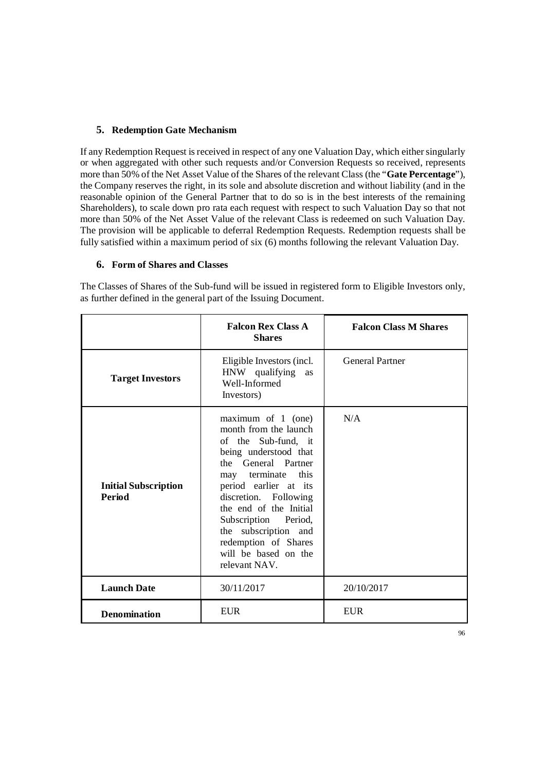# **5. Redemption Gate Mechanism**

If any Redemption Request is received in respect of any one Valuation Day, which either singularly or when aggregated with other such requests and/or Conversion Requests so received, represents more than 50% of the Net Asset Value of the Shares of the relevant Class (the "**Gate Percentage**"), the Company reserves the right, in its sole and absolute discretion and without liability (and in the reasonable opinion of the General Partner that to do so is in the best interests of the remaining Shareholders), to scale down pro rata each request with respect to such Valuation Day so that not more than 50% of the Net Asset Value of the relevant Class is redeemed on such Valuation Day. The provision will be applicable to deferral Redemption Requests. Redemption requests shall be fully satisfied within a maximum period of six (6) months following the relevant Valuation Day.

## **6. Form of Shares and Classes**

|                                              | <b>Falcon Rex Class A</b><br><b>Shares</b>                                                                                                                                                                                                                                                                                              | <b>Falcon Class M Shares</b> |
|----------------------------------------------|-----------------------------------------------------------------------------------------------------------------------------------------------------------------------------------------------------------------------------------------------------------------------------------------------------------------------------------------|------------------------------|
| <b>Target Investors</b>                      | Eligible Investors (incl.<br>HNW qualifying<br>as<br>Well-Informed<br>Investors)                                                                                                                                                                                                                                                        | <b>General Partner</b>       |
| <b>Initial Subscription</b><br><b>Period</b> | maximum of $1$ (one)<br>month from the launch<br>of the Sub-fund, it<br>being understood that<br>the General Partner<br>may terminate this<br>period earlier at its<br>discretion. Following<br>the end of the Initial<br>Subscription Period,<br>the subscription and<br>redemption of Shares<br>will be based on the<br>relevant NAV. | N/A                          |
| <b>Launch Date</b>                           | 30/11/2017                                                                                                                                                                                                                                                                                                                              | 20/10/2017                   |
| <b>Denomination</b>                          | <b>EUR</b>                                                                                                                                                                                                                                                                                                                              | <b>EUR</b>                   |

The Classes of Shares of the Sub-fund will be issued in registered form to Eligible Investors only, as further defined in the general part of the Issuing Document.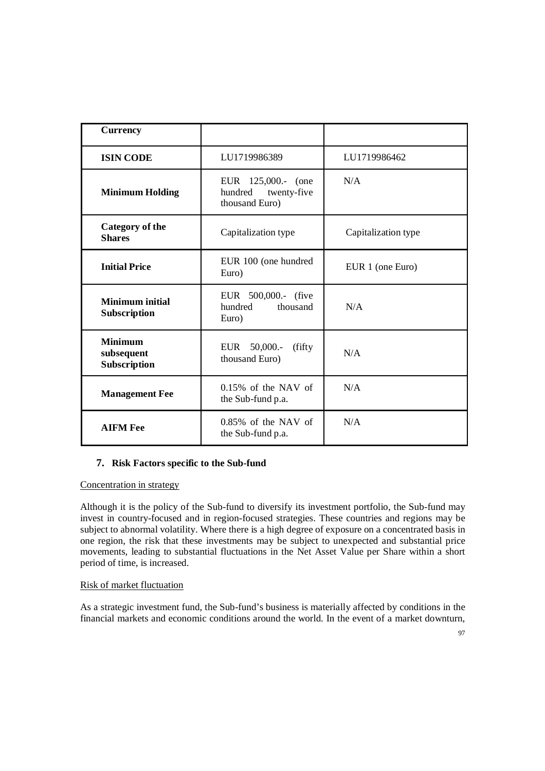| <b>Currency</b>                              |                                                                |                     |
|----------------------------------------------|----------------------------------------------------------------|---------------------|
| <b>ISIN CODE</b>                             | LU1719986389                                                   | LU1719986462        |
| <b>Minimum Holding</b>                       | EUR 125,000.- (one<br>hundred<br>twenty-five<br>thousand Euro) | N/A                 |
| <b>Category of the</b><br><b>Shares</b>      | Capitalization type                                            | Capitalization type |
| <b>Initial Price</b>                         | EUR 100 (one hundred<br>Euro)                                  | EUR 1 (one Euro)    |
| <b>Minimum</b> initial<br>Subscription       | EUR 500,000.- (five<br>hundred<br>thousand<br>Euro)            | N/A                 |
| <b>Minimum</b><br>subsequent<br>Subscription | EUR<br>50,000.<br>(fifty)<br>thousand Euro)                    | N/A                 |
| <b>Management Fee</b>                        | $0.15\%$ of the NAV of<br>the Sub-fund p.a.                    | N/A                 |
| <b>AIFM Fee</b>                              | $0.85\%$ of the NAV of<br>the Sub-fund p.a.                    | N/A                 |

## **7. Risk Factors specific to the Sub-fund**

Concentration in strategy

Although it is the policy of the Sub-fund to diversify its investment portfolio, the Sub-fund may invest in country-focused and in region-focused strategies. These countries and regions may be subject to abnormal volatility. Where there is a high degree of exposure on a concentrated basis in one region, the risk that these investments may be subject to unexpected and substantial price movements, leading to substantial fluctuations in the Net Asset Value per Share within a short period of time, is increased.

## Risk of market fluctuation

As a strategic investment fund, the Sub-fund's business is materially affected by conditions in the financial markets and economic conditions around the world. In the event of a market downturn,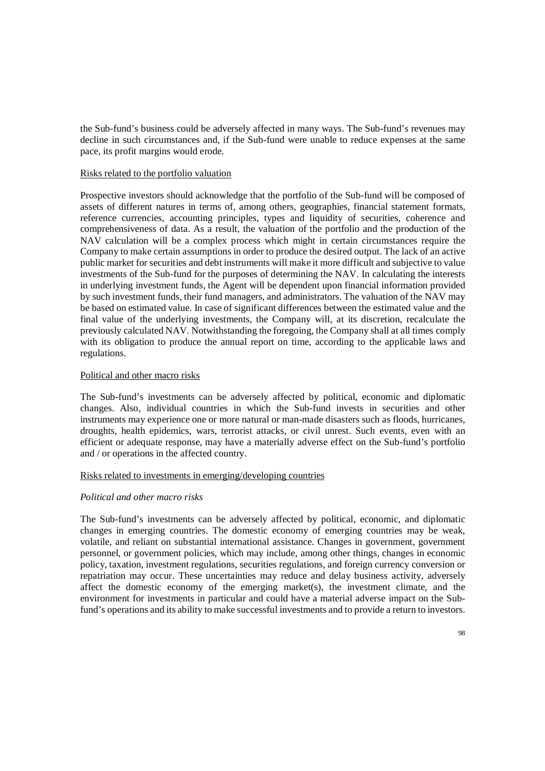the Sub-fund's business could be adversely affected in many ways. The Sub-fund's revenues may decline in such circumstances and, if the Sub-fund were unable to reduce expenses at the same pace, its profit margins would erode.

### Risks related to the portfolio valuation

Prospective investors should acknowledge that the portfolio of the Sub-fund will be composed of assets of different natures in terms of, among others, geographies, financial statement formats, reference currencies, accounting principles, types and liquidity of securities, coherence and comprehensiveness of data. As a result, the valuation of the portfolio and the production of the NAV calculation will be a complex process which might in certain circumstances require the Company to make certain assumptions in order to produce the desired output. The lack of an active public market for securities and debt instruments will make it more difficult and subjective to value investments of the Sub-fund for the purposes of determining the NAV. In calculating the interests in underlying investment funds, the Agent will be dependent upon financial information provided by such investment funds, their fund managers, and administrators. The valuation of the NAV may be based on estimated value. In case of significant differences between the estimated value and the final value of the underlying investments, the Company will, at its discretion, recalculate the previously calculated NAV. Notwithstanding the foregoing, the Company shall at all times comply with its obligation to produce the annual report on time, according to the applicable laws and regulations.

## Political and other macro risks

The Sub-fund's investments can be adversely affected by political, economic and diplomatic changes. Also, individual countries in which the Sub-fund invests in securities and other instruments may experience one or more natural or man-made disasters such as floods, hurricanes, droughts, health epidemics, wars, terrorist attacks, or civil unrest. Such events, even with an efficient or adequate response, may have a materially adverse effect on the Sub-fund's portfolio and / or operations in the affected country.

## Risks related to investments in emerging/developing countries

# *Political and other macro risks*

The Sub-fund's investments can be adversely affected by political, economic, and diplomatic changes in emerging countries. The domestic economy of emerging countries may be weak, volatile, and reliant on substantial international assistance. Changes in government, government personnel, or government policies, which may include, among other things, changes in economic policy, taxation, investment regulations, securities regulations, and foreign currency conversion or repatriation may occur. These uncertainties may reduce and delay business activity, adversely affect the domestic economy of the emerging market(s), the investment climate, and the environment for investments in particular and could have a material adverse impact on the Subfund's operations and its ability to make successful investments and to provide a return to investors.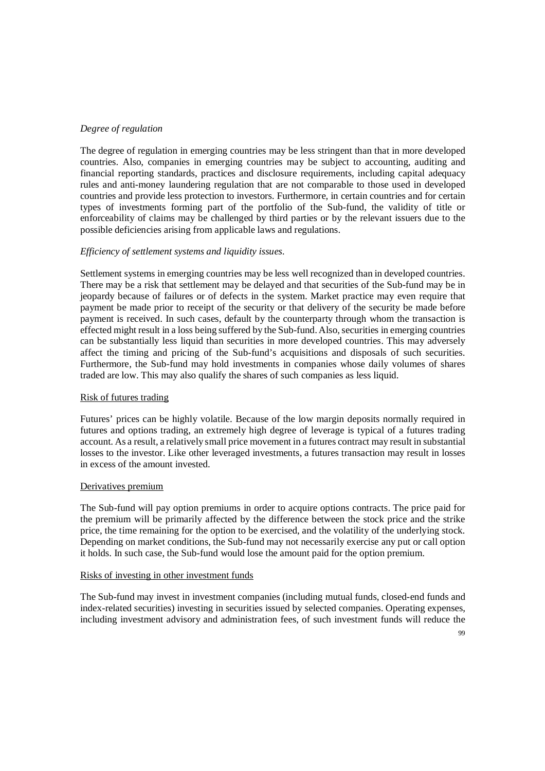### *Degree of regulation*

The degree of regulation in emerging countries may be less stringent than that in more developed countries. Also, companies in emerging countries may be subject to accounting, auditing and financial reporting standards, practices and disclosure requirements, including capital adequacy rules and anti-money laundering regulation that are not comparable to those used in developed countries and provide less protection to investors. Furthermore, in certain countries and for certain types of investments forming part of the portfolio of the Sub-fund, the validity of title or enforceability of claims may be challenged by third parties or by the relevant issuers due to the possible deficiencies arising from applicable laws and regulations.

### *Efficiency of settlement systems and liquidity issues.*

Settlement systems in emerging countries may be less well recognized than in developed countries. There may be a risk that settlement may be delayed and that securities of the Sub-fund may be in jeopardy because of failures or of defects in the system. Market practice may even require that payment be made prior to receipt of the security or that delivery of the security be made before payment is received. In such cases, default by the counterparty through whom the transaction is effected might result in a loss being suffered by the Sub-fund. Also, securities in emerging countries can be substantially less liquid than securities in more developed countries. This may adversely affect the timing and pricing of the Sub-fund's acquisitions and disposals of such securities. Furthermore, the Sub-fund may hold investments in companies whose daily volumes of shares traded are low. This may also qualify the shares of such companies as less liquid.

## Risk of futures trading

Futures' prices can be highly volatile. Because of the low margin deposits normally required in futures and options trading, an extremely high degree of leverage is typical of a futures trading account. As a result, a relatively small price movement in a futures contract may result in substantial losses to the investor. Like other leveraged investments, a futures transaction may result in losses in excess of the amount invested.

### Derivatives premium

The Sub-fund will pay option premiums in order to acquire options contracts. The price paid for the premium will be primarily affected by the difference between the stock price and the strike price, the time remaining for the option to be exercised, and the volatility of the underlying stock. Depending on market conditions, the Sub-fund may not necessarily exercise any put or call option it holds. In such case, the Sub-fund would lose the amount paid for the option premium.

### Risks of investing in other investment funds

The Sub-fund may invest in investment companies (including mutual funds, closed-end funds and index-related securities) investing in securities issued by selected companies. Operating expenses, including investment advisory and administration fees, of such investment funds will reduce the